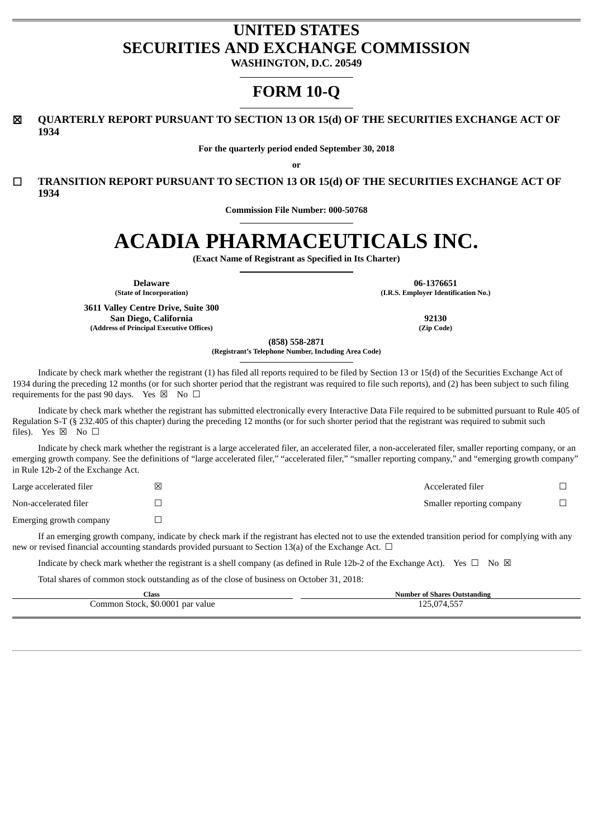# **UNITED STATES SECURITIES AND EXCHANGE COMMISSION**

**WASHINGTON, D.C. 20549**

# **FORM 10-Q**

☒ **QUARTERLY REPORT PURSUANT TO SECTION 13 OR 15(d) OF THE SECURITIES EXCHANGE ACT OF 1934**

**For the quarterly period ended September 30, 2018**

**or**

☐ **TRANSITION REPORT PURSUANT TO SECTION 13 OR 15(d) OF THE SECURITIES EXCHANGE ACT OF 1934**

**Commission File Number: 000-50768**

# **ACADIA PHARMACEUTICALS INC.**

**(Exact Name of Registrant as Specified in Its Charter)**

**3611 Valley Centre Drive, Suite 300 San Diego, California 92130 (Address of Principal Executive Offices) (Zip Code)**

**Delaware 06-1376651 (State of Incorporation) (I.R.S. Employer Identification No.)**

**(858) 558-2871**

**(Registrant's Telephone Number, Including Area Code)**

Indicate by check mark whether the registrant (1) has filed all reports required to be filed by Section 13 or 15(d) of the Securities Exchange Act of 1934 during the preceding 12 months (or for such shorter period that the registrant was required to file such reports), and (2) has been subject to such filing requirements for the past 90 days. Yes  $\boxtimes$  No  $\Box$ 

Indicate by check mark whether the registrant has submitted electronically every Interactive Data File required to be submitted pursuant to Rule 405 of Regulation S-T (§ 232.405 of this chapter) during the preceding 12 months (or for such shorter period that the registrant was required to submit such files). Yes  $\boxtimes$  No  $\square$ 

Indicate by check mark whether the registrant is a large accelerated filer, an accelerated filer, a non-accelerated filer, smaller reporting company, or an emerging growth company. See the definitions of "large accelerated filer," "accelerated filer," "smaller reporting company," and "emerging growth company" in Rule 12b-2 of the Exchange Act.

| Large accelerated filer | ⊠ | Accelerated filer         |  |
|-------------------------|---|---------------------------|--|
| Non-accelerated filer   |   | Smaller reporting company |  |
| Emerging growth company |   |                           |  |

If an emerging growth company, indicate by check mark if the registrant has elected not to use the extended transition period for complying with any new or revised financial accounting standards provided pursuant to Section 13(a) of the Exchange Act.  $\Box$ 

Indicate by check mark whether the registrant is a shell company (as defined in Rule 12b-2 of the Exchange Act). Yes  $\Box$  No  $\boxtimes$ 

Total shares of common stock outstanding as of the close of business on October 31, 2018:

| <b>Class</b>                     | <b>Number of Shares Outstanding</b> |
|----------------------------------|-------------------------------------|
| Common Stock, \$0.0001 par value | 125,074,557                         |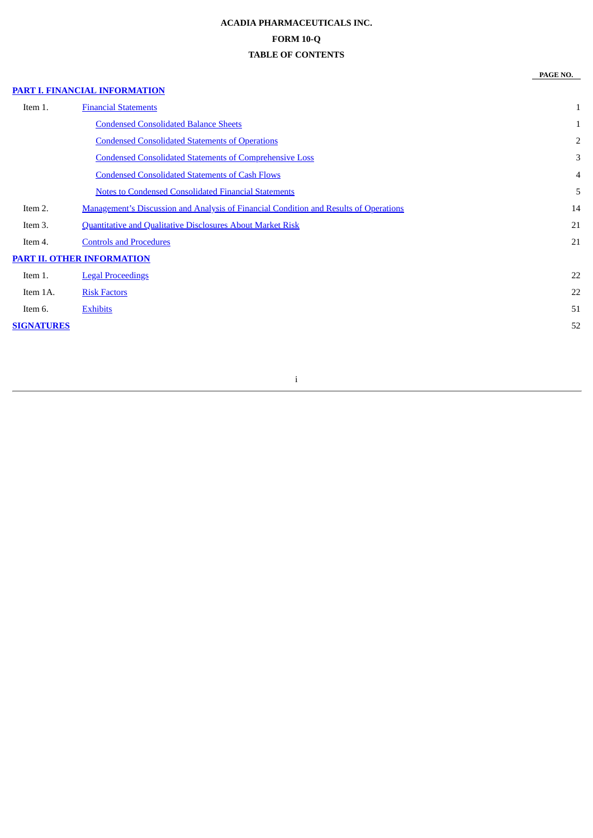# **ACADIA PHARMACEUTICALS INC. FORM 10-Q TABLE OF CONTENTS**

**PAGE NO.**

## **PART I. FINANCIAL [INFORMATION](#page-2-0)**

| Item 1.           | <b>Financial Statements</b>                                                           | $\mathbf{1}$ |
|-------------------|---------------------------------------------------------------------------------------|--------------|
|                   | <b>Condensed Consolidated Balance Sheets</b>                                          | 1            |
|                   | <b>Condensed Consolidated Statements of Operations</b>                                | 2            |
|                   | <b>Condensed Consolidated Statements of Comprehensive Loss</b>                        | 3            |
|                   | <b>Condensed Consolidated Statements of Cash Flows</b>                                | 4            |
|                   | <b>Notes to Condensed Consolidated Financial Statements</b>                           | 5            |
| Item 2.           | Management's Discussion and Analysis of Financial Condition and Results of Operations | 14           |
| Item 3.           | <b>Quantitative and Qualitative Disclosures About Market Risk</b>                     | 21           |
| Item 4.           | <b>Controls and Procedures</b>                                                        | 21           |
|                   | <b>PART II. OTHER INFORMATION</b>                                                     |              |
| Item 1.           | <b>Legal Proceedings</b>                                                              | 22           |
| Item 1A.          | <b>Risk Factors</b>                                                                   | 22           |
| Item 6.           | <b>Exhibits</b>                                                                       | 51           |
| <b>SIGNATURES</b> |                                                                                       | 52           |
|                   |                                                                                       |              |

# i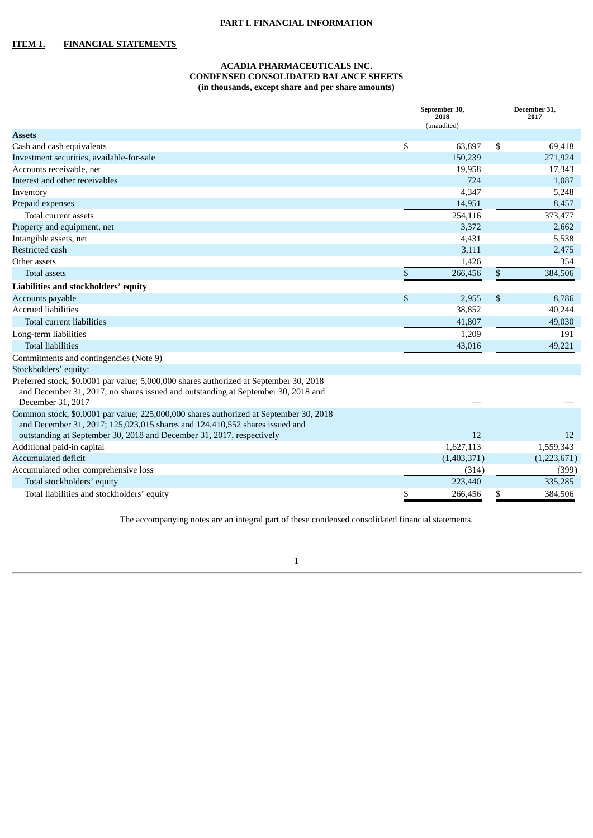#### **PART I. FINANCIAL INFORMATION**

#### <span id="page-2-2"></span><span id="page-2-1"></span><span id="page-2-0"></span>**ITEM 1. FINANCIAL STATEMENTS**

## **ACADIA PHARMACEUTICALS INC. CONDENSED CONSOLIDATED BALANCE SHEETS (in thousands, except share and per share amounts)**

|                                                                                                                                                                                                  |      | September 30,<br>2018 | December 31,<br>2017 |  |  |
|--------------------------------------------------------------------------------------------------------------------------------------------------------------------------------------------------|------|-----------------------|----------------------|--|--|
|                                                                                                                                                                                                  |      | (unaudited)           |                      |  |  |
| <b>Assets</b>                                                                                                                                                                                    |      |                       |                      |  |  |
| Cash and cash equivalents                                                                                                                                                                        | \$   | 63,897                | \$<br>69,418         |  |  |
| Investment securities, available-for-sale                                                                                                                                                        |      | 150,239               | 271,924              |  |  |
| Accounts receivable, net                                                                                                                                                                         |      | 19,958                | 17,343               |  |  |
| Interest and other receivables                                                                                                                                                                   |      | 724                   | 1,087                |  |  |
| Inventory                                                                                                                                                                                        |      | 4,347                 | 5,248                |  |  |
| Prepaid expenses                                                                                                                                                                                 |      | 14,951                | 8,457                |  |  |
| Total current assets                                                                                                                                                                             |      | 254,116               | 373,477              |  |  |
| Property and equipment, net                                                                                                                                                                      |      | 3,372                 | 2,662                |  |  |
| Intangible assets, net                                                                                                                                                                           |      | 4,431                 | 5,538                |  |  |
| <b>Restricted cash</b>                                                                                                                                                                           |      | 3,111                 | 2,475                |  |  |
| Other assets                                                                                                                                                                                     |      | 1,426                 | 354                  |  |  |
| <b>Total assets</b>                                                                                                                                                                              | $\$$ | 266,456               | \$<br>384,506        |  |  |
| Liabilities and stockholders' equity                                                                                                                                                             |      |                       |                      |  |  |
| Accounts payable                                                                                                                                                                                 | \$   | 2,955                 | \$<br>8,786          |  |  |
| <b>Accrued liabilities</b>                                                                                                                                                                       |      | 38,852                | 40,244               |  |  |
| Total current liabilities                                                                                                                                                                        |      | 41,807                | 49,030               |  |  |
| Long-term liabilities                                                                                                                                                                            |      | 1,209                 | 191                  |  |  |
| <b>Total liabilities</b>                                                                                                                                                                         |      | 43,016                | 49,221               |  |  |
| Commitments and contingencies (Note 9)                                                                                                                                                           |      |                       |                      |  |  |
| Stockholders' equity:                                                                                                                                                                            |      |                       |                      |  |  |
| Preferred stock, \$0.0001 par value; 5,000,000 shares authorized at September 30, 2018<br>and December 31, 2017; no shares issued and outstanding at September 30, 2018 and<br>December 31, 2017 |      |                       |                      |  |  |
| Common stock, \$0.0001 par value; 225,000,000 shares authorized at September 30, 2018<br>and December 31, 2017; 125,023,015 shares and 124,410,552 shares issued and                             |      |                       |                      |  |  |
| outstanding at September 30, 2018 and December 31, 2017, respectively                                                                                                                            |      | 12                    | 12                   |  |  |
| Additional paid-in capital                                                                                                                                                                       |      | 1,627,113             | 1,559,343            |  |  |
| <b>Accumulated deficit</b>                                                                                                                                                                       |      | (1,403,371)           | (1,223,671)          |  |  |
| Accumulated other comprehensive loss                                                                                                                                                             |      | (314)                 | (399)                |  |  |
| Total stockholders' equity                                                                                                                                                                       |      | 223,440               | 335,285              |  |  |
| Total liabilities and stockholders' equity                                                                                                                                                       | \$   | 266,456               | \$<br>384,506        |  |  |

The accompanying notes are an integral part of these condensed consolidated financial statements.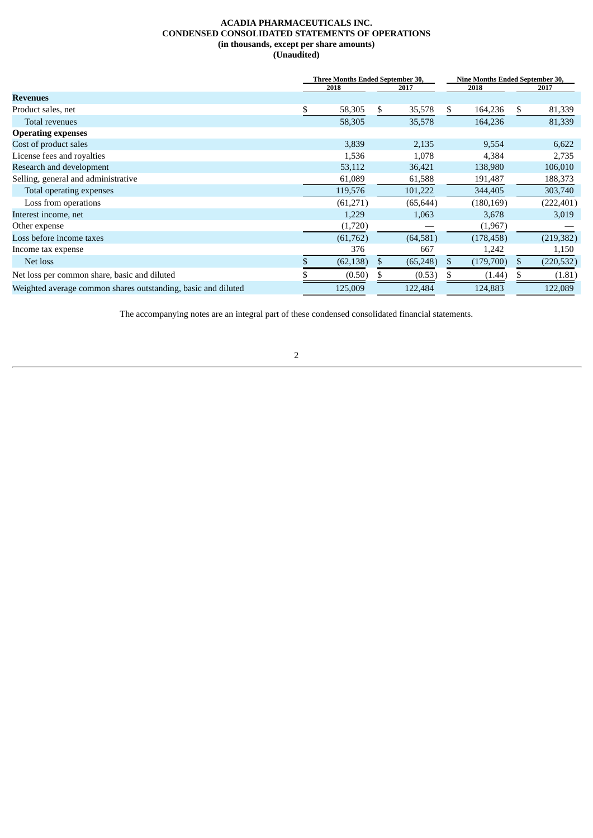#### **ACADIA PHARMACEUTICALS INC. CONDENSED CONSOLIDATED STATEMENTS OF OPERATIONS (in thousands, except per share amounts) (Unaudited)**

<span id="page-3-0"></span>

|                                                               | <b>Three Months Ended September 30,</b> |           |      |           | <b>Nine Months Ended September 30,</b> |            |     |            |  |
|---------------------------------------------------------------|-----------------------------------------|-----------|------|-----------|----------------------------------------|------------|-----|------------|--|
|                                                               | 2018<br>2017                            |           | 2018 |           |                                        | 2017       |     |            |  |
| <b>Revenues</b>                                               |                                         |           |      |           |                                        |            |     |            |  |
| Product sales, net                                            | \$                                      | 58,305    | \$   | 35,578    | \$                                     | 164,236    | \$. | 81,339     |  |
| Total revenues                                                |                                         | 58,305    |      | 35,578    |                                        | 164,236    |     | 81,339     |  |
| <b>Operating expenses</b>                                     |                                         |           |      |           |                                        |            |     |            |  |
| Cost of product sales                                         |                                         | 3,839     |      | 2,135     |                                        | 9,554      |     | 6,622      |  |
| License fees and royalties                                    |                                         | 1,536     |      | 1,078     |                                        | 4,384      |     | 2,735      |  |
| Research and development                                      |                                         | 53,112    |      | 36,421    |                                        | 138,980    |     | 106,010    |  |
| Selling, general and administrative                           |                                         | 61,089    |      | 61,588    |                                        | 191,487    |     | 188,373    |  |
| Total operating expenses                                      |                                         | 119,576   |      | 101,222   |                                        | 344,405    |     | 303,740    |  |
| Loss from operations                                          |                                         | (61,271)  |      | (65, 644) |                                        | (180, 169) |     | (222, 401) |  |
| Interest income, net                                          |                                         | 1,229     |      | 1,063     |                                        | 3,678      |     | 3,019      |  |
| Other expense                                                 |                                         | (1,720)   |      |           |                                        | (1,967)    |     |            |  |
| Loss before income taxes                                      |                                         | (61,762)  |      | (64, 581) |                                        | (178, 458) |     | (219, 382) |  |
| Income tax expense                                            |                                         | 376       |      | 667       |                                        | 1,242      |     | 1,150      |  |
| Net loss                                                      |                                         | (62, 138) |      | (65, 248) |                                        | (179,700)  |     | (220, 532) |  |
| Net loss per common share, basic and diluted                  |                                         | (0.50)    |      | (0.53)    |                                        | (1.44)     |     | (1.81)     |  |
| Weighted average common shares outstanding, basic and diluted |                                         | 125,009   |      | 122,484   |                                        | 124,883    |     | 122,089    |  |

The accompanying notes are an integral part of these condensed consolidated financial statements.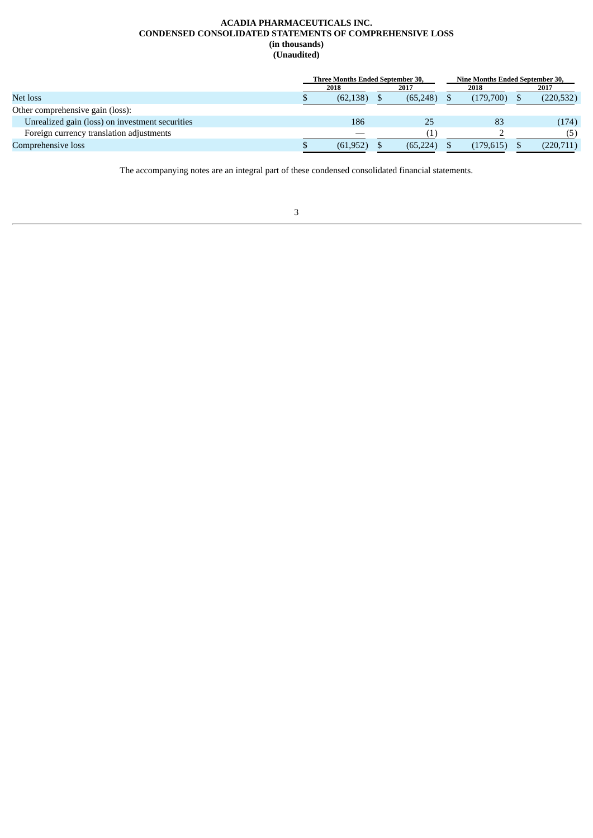#### **ACADIA PHARMACEUTICALS INC. CONDENSED CONSOLIDATED STATEMENTS OF COMPREHENSIVE LOSS (in thousands) (Unaudited)**

<span id="page-4-0"></span>

|                                                 |           | <b>Three Months Ended September 30,</b> |  | Nine Months Ended September 30, |  |            |
|-------------------------------------------------|-----------|-----------------------------------------|--|---------------------------------|--|------------|
|                                                 | 2018      | 2017                                    |  | 2018                            |  | 2017       |
| Net loss                                        | (62, 138) | (65, 248)                               |  | (179.700)                       |  | (220, 532) |
| Other comprehensive gain (loss):                |           |                                         |  |                                 |  |            |
| Unrealized gain (loss) on investment securities | 186       | 25                                      |  | -83                             |  | (174)      |
| Foreign currency translation adjustments        |           |                                         |  |                                 |  | (5)        |
| Comprehensive loss                              | (61, 952) | (65, 224)                               |  | (179, 615)                      |  | (220, 711) |

The accompanying notes are an integral part of these condensed consolidated financial statements.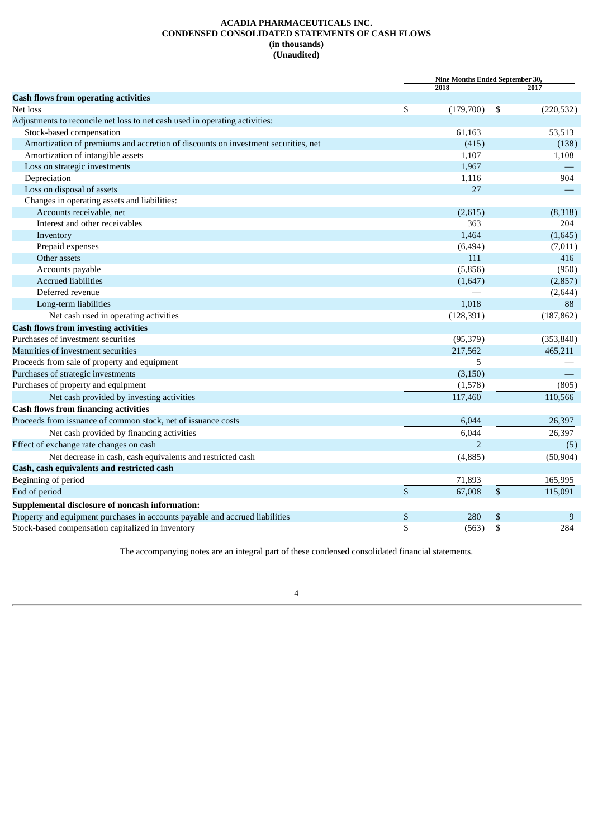#### **ACADIA PHARMACEUTICALS INC. CONDENSED CONSOLIDATED STATEMENTS OF CASH FLOWS (in thousands) (Unaudited)**

<span id="page-5-0"></span>

|                                                                                   |      |                | Nine Months Ended September 30, |            |  |
|-----------------------------------------------------------------------------------|------|----------------|---------------------------------|------------|--|
|                                                                                   |      | 2018           |                                 | 2017       |  |
| <b>Cash flows from operating activities</b><br>Net loss                           | \$   | (179,700)      | -\$                             |            |  |
|                                                                                   |      |                |                                 | (220, 532) |  |
| Adjustments to reconcile net loss to net cash used in operating activities:       |      |                |                                 |            |  |
| Stock-based compensation                                                          |      | 61,163         |                                 | 53,513     |  |
| Amortization of premiums and accretion of discounts on investment securities, net |      | (415)          |                                 | (138)      |  |
| Amortization of intangible assets                                                 |      | 1,107          |                                 | 1,108      |  |
| Loss on strategic investments                                                     |      | 1,967          |                                 |            |  |
| Depreciation                                                                      |      | 1,116          |                                 | 904        |  |
| Loss on disposal of assets                                                        |      | 27             |                                 |            |  |
| Changes in operating assets and liabilities:                                      |      |                |                                 |            |  |
| Accounts receivable, net                                                          |      | (2,615)        |                                 | (8,318)    |  |
| Interest and other receivables                                                    |      | 363            |                                 | 204        |  |
| Inventory                                                                         |      | 1,464          |                                 | (1,645)    |  |
| Prepaid expenses                                                                  |      | (6, 494)       |                                 | (7,011)    |  |
| Other assets                                                                      |      | 111            |                                 | 416        |  |
| Accounts payable                                                                  |      | (5,856)        |                                 | (950)      |  |
| <b>Accrued liabilities</b>                                                        |      | (1,647)        |                                 | (2,857)    |  |
| Deferred revenue                                                                  |      |                |                                 | (2, 644)   |  |
| Long-term liabilities                                                             |      | 1,018          |                                 | 88         |  |
| Net cash used in operating activities                                             |      | (128, 391)     |                                 | (187, 862) |  |
| <b>Cash flows from investing activities</b>                                       |      |                |                                 |            |  |
| Purchases of investment securities                                                |      | (95, 379)      |                                 | (353, 840) |  |
| Maturities of investment securities                                               |      | 217,562        |                                 | 465,211    |  |
| Proceeds from sale of property and equipment                                      |      | 5              |                                 |            |  |
| Purchases of strategic investments                                                |      | (3, 150)       |                                 |            |  |
| Purchases of property and equipment                                               |      | (1,578)        |                                 | (805)      |  |
| Net cash provided by investing activities                                         |      | 117,460        |                                 | 110,566    |  |
| <b>Cash flows from financing activities</b>                                       |      |                |                                 |            |  |
| Proceeds from issuance of common stock, net of issuance costs                     |      | 6,044          |                                 | 26,397     |  |
| Net cash provided by financing activities                                         |      | 6,044          |                                 | 26,397     |  |
| Effect of exchange rate changes on cash                                           |      | $\overline{2}$ |                                 | (5)        |  |
| Net decrease in cash, cash equivalents and restricted cash                        |      | (4,885)        |                                 | (50, 904)  |  |
| Cash, cash equivalents and restricted cash                                        |      |                |                                 |            |  |
|                                                                                   |      |                |                                 | 165,995    |  |
| Beginning of period                                                               |      | 71,893         |                                 |            |  |
| End of period                                                                     | $\$$ | 67,008         | \$                              | 115,091    |  |
| Supplemental disclosure of noncash information:                                   |      |                |                                 |            |  |
| Property and equipment purchases in accounts payable and accrued liabilities      | \$   | 280            | \$                              | 9          |  |
| Stock-based compensation capitalized in inventory                                 | \$   | (563)          | \$                              | 284        |  |

The accompanying notes are an integral part of these condensed consolidated financial statements.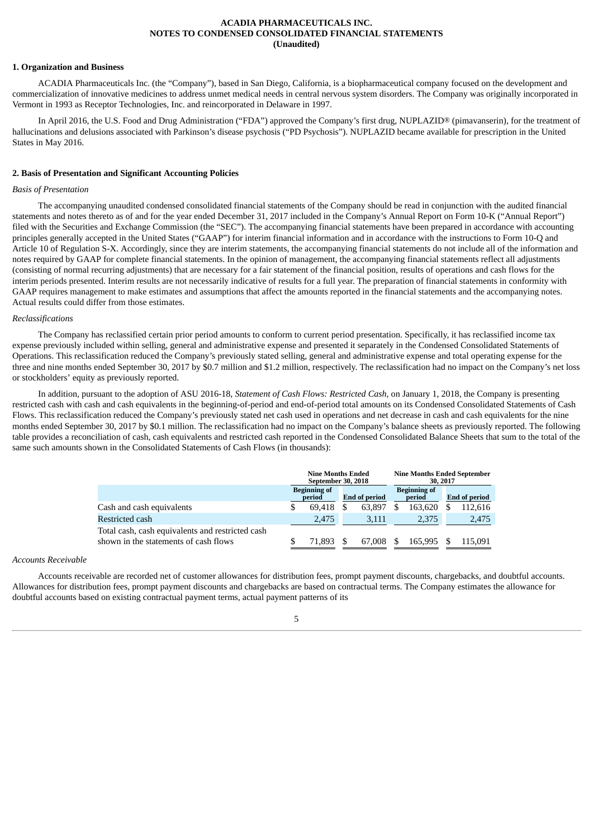#### **ACADIA PHARMACEUTICALS INC. NOTES TO CONDENSED CONSOLIDATED FINANCIAL STATEMENTS (Unaudited)**

#### <span id="page-6-0"></span>**1. Organization and Business**

ACADIA Pharmaceuticals Inc. (the "Company"), based in San Diego, California, is a biopharmaceutical company focused on the development and commercialization of innovative medicines to address unmet medical needs in central nervous system disorders. The Company was originally incorporated in Vermont in 1993 as Receptor Technologies, Inc. and reincorporated in Delaware in 1997.

In April 2016, the U.S. Food and Drug Administration ("FDA") approved the Company's first drug, NUPLAZID® (pimavanserin), for the treatment of hallucinations and delusions associated with Parkinson's disease psychosis ("PD Psychosis"). NUPLAZID became available for prescription in the United States in May 2016.

#### **2. Basis of Presentation and Significant Accounting Policies**

#### *Basis of Presentation*

The accompanying unaudited condensed consolidated financial statements of the Company should be read in conjunction with the audited financial statements and notes thereto as of and for the year ended December 31, 2017 included in the Company's Annual Report on Form 10-K ("Annual Report") filed with the Securities and Exchange Commission (the "SEC"). The accompanying financial statements have been prepared in accordance with accounting principles generally accepted in the United States ("GAAP") for interim financial information and in accordance with the instructions to Form 10-Q and Article 10 of Regulation S-X. Accordingly, since they are interim statements, the accompanying financial statements do not include all of the information and notes required by GAAP for complete financial statements. In the opinion of management, the accompanying financial statements reflect all adjustments (consisting of normal recurring adjustments) that are necessary for a fair statement of the financial position, results of operations and cash flows for the interim periods presented. Interim results are not necessarily indicative of results for a full year. The preparation of financial statements in conformity with GAAP requires management to make estimates and assumptions that affect the amounts reported in the financial statements and the accompanying notes. Actual results could differ from those estimates.

#### *Reclassifications*

The Company has reclassified certain prior period amounts to conform to current period presentation. Specifically, it has reclassified income tax expense previously included within selling, general and administrative expense and presented it separately in the Condensed Consolidated Statements of Operations. This reclassification reduced the Company's previously stated selling, general and administrative expense and total operating expense for the three and nine months ended September 30, 2017 by \$0.7 million and \$1.2 million, respectively. The reclassification had no impact on the Company's net loss or stockholders' equity as previously reported.

In addition, pursuant to the adoption of ASU 2016-18, *Statement of Cash Flows: Restricted Cash*, on January 1, 2018, the Company is presenting restricted cash with cash and cash equivalents in the beginning-of-period and end-of-period total amounts on its Condensed Consolidated Statements of Cash Flows. This reclassification reduced the Company's previously stated net cash used in operations and net decrease in cash and cash equivalents for the nine months ended September 30, 2017 by \$0.1 million. The reclassification had no impact on the Company's balance sheets as previously reported. The following table provides a reconciliation of cash, cash equivalents and restricted cash reported in the Condensed Consolidated Balance Sheets that sum to the total of the same such amounts shown in the Consolidated Statements of Cash Flows (in thousands):

|                                                                                           | <b>Nine Months Ended</b><br>September 30, 2018 |                      |        |  |                                      | <b>Nine Months Ended September</b><br>30, 2017 |         |  |  |                      |
|-------------------------------------------------------------------------------------------|------------------------------------------------|----------------------|--------|--|--------------------------------------|------------------------------------------------|---------|--|--|----------------------|
|                                                                                           | <b>Beginning of</b><br>period                  | <b>End of period</b> |        |  | <b>Beginning of</b><br><b>period</b> |                                                |         |  |  | <b>End of period</b> |
| Cash and cash equivalents                                                                 | 69.418                                         |                      | 63.897 |  | 163.620                              |                                                | 112,616 |  |  |                      |
| Restricted cash                                                                           | 2.475                                          |                      | 3,111  |  | 2,375                                |                                                | 2,475   |  |  |                      |
| Total cash, cash equivalents and restricted cash<br>shown in the statements of cash flows | 71.893                                         |                      | 67,008 |  | 165.995                              |                                                | 115.091 |  |  |                      |

#### *Accounts Receivable*

Accounts receivable are recorded net of customer allowances for distribution fees, prompt payment discounts, chargebacks, and doubtful accounts. Allowances for distribution fees, prompt payment discounts and chargebacks are based on contractual terms. The Company estimates the allowance for doubtful accounts based on existing contractual payment terms, actual payment patterns of its

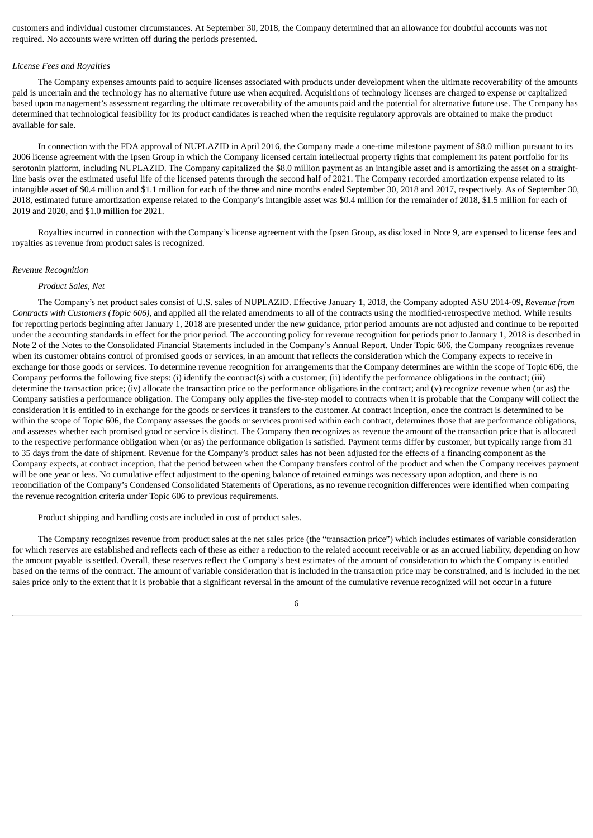customers and individual customer circumstances. At September 30, 2018, the Company determined that an allowance for doubtful accounts was not required. No accounts were written off during the periods presented.

#### *License Fees and Royalties*

The Company expenses amounts paid to acquire licenses associated with products under development when the ultimate recoverability of the amounts paid is uncertain and the technology has no alternative future use when acquired. Acquisitions of technology licenses are charged to expense or capitalized based upon management's assessment regarding the ultimate recoverability of the amounts paid and the potential for alternative future use. The Company has determined that technological feasibility for its product candidates is reached when the requisite regulatory approvals are obtained to make the product available for sale.

In connection with the FDA approval of NUPLAZID in April 2016, the Company made a one-time milestone payment of \$8.0 million pursuant to its 2006 license agreement with the Ipsen Group in which the Company licensed certain intellectual property rights that complement its patent portfolio for its serotonin platform, including NUPLAZID. The Company capitalized the \$8.0 million payment as an intangible asset and is amortizing the asset on a straightline basis over the estimated useful life of the licensed patents through the second half of 2021. The Company recorded amortization expense related to its intangible asset of \$0.4 million and \$1.1 million for each of the three and nine months ended September 30, 2018 and 2017, respectively. As of September 30, 2018, estimated future amortization expense related to the Company's intangible asset was \$0.4 million for the remainder of 2018, \$1.5 million for each of 2019 and 2020, and \$1.0 million for 2021.

Royalties incurred in connection with the Company's license agreement with the Ipsen Group, as disclosed in Note 9, are expensed to license fees and royalties as revenue from product sales is recognized.

#### *Revenue Recognition*

#### *Product Sales, Net*

The Company's net product sales consist of U.S. sales of NUPLAZID. Effective January 1, 2018, the Company adopted ASU 2014-09, *Revenue from Contracts with Customers (Topic 606),* and applied all the related amendments to all of the contracts using the modified-retrospective method. While results for reporting periods beginning after January 1, 2018 are presented under the new guidance, prior period amounts are not adjusted and continue to be reported under the accounting standards in effect for the prior period. The accounting policy for revenue recognition for periods prior to January 1, 2018 is described in Note 2 of the Notes to the Consolidated Financial Statements included in the Company's Annual Report. Under Topic 606, the Company recognizes revenue when its customer obtains control of promised goods or services, in an amount that reflects the consideration which the Company expects to receive in exchange for those goods or services. To determine revenue recognition for arrangements that the Company determines are within the scope of Topic 606, the Company performs the following five steps: (i) identify the contract(s) with a customer; (ii) identify the performance obligations in the contract; (iii) determine the transaction price; (iv) allocate the transaction price to the performance obligations in the contract; and (v) recognize revenue when (or as) the Company satisfies a performance obligation. The Company only applies the five-step model to contracts when it is probable that the Company will collect the consideration it is entitled to in exchange for the goods or services it transfers to the customer. At contract inception, once the contract is determined to be within the scope of Topic 606, the Company assesses the goods or services promised within each contract, determines those that are performance obligations, and assesses whether each promised good or service is distinct. The Company then recognizes as revenue the amount of the transaction price that is allocated to the respective performance obligation when (or as) the performance obligation is satisfied. Payment terms differ by customer, but typically range from 31 to 35 days from the date of shipment. Revenue for the Company's product sales has not been adjusted for the effects of a financing component as the Company expects, at contract inception, that the period between when the Company transfers control of the product and when the Company receives payment will be one year or less. No cumulative effect adjustment to the opening balance of retained earnings was necessary upon adoption, and there is no reconciliation of the Company's Condensed Consolidated Statements of Operations, as no revenue recognition differences were identified when comparing the revenue recognition criteria under Topic 606 to previous requirements.

Product shipping and handling costs are included in cost of product sales.

The Company recognizes revenue from product sales at the net sales price (the "transaction price") which includes estimates of variable consideration for which reserves are established and reflects each of these as either a reduction to the related account receivable or as an accrued liability, depending on how the amount payable is settled. Overall, these reserves reflect the Company's best estimates of the amount of consideration to which the Company is entitled based on the terms of the contract. The amount of variable consideration that is included in the transaction price may be constrained, and is included in the net sales price only to the extent that it is probable that a significant reversal in the amount of the cumulative revenue recognized will not occur in a future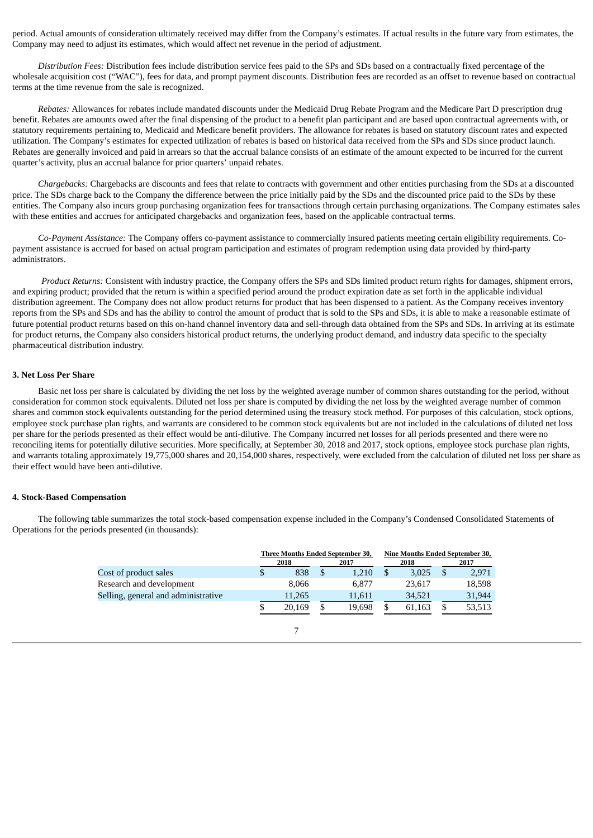period. Actual amounts of consideration ultimately received may differ from the Company's estimates. If actual results in the future vary from estimates, the Company may need to adjust its estimates, which would affect net revenue in the period of adjustment.

*Distribution Fees:* Distribution fees include distribution service fees paid to the SPs and SDs based on a contractually fixed percentage of the wholesale acquisition cost ("WAC"), fees for data, and prompt payment discounts. Distribution fees are recorded as an offset to revenue based on contractual terms at the time revenue from the sale is recognized.

*Rebates:* Allowances for rebates include mandated discounts under the Medicaid Drug Rebate Program and the Medicare Part D prescription drug benefit. Rebates are amounts owed after the final dispensing of the product to a benefit plan participant and are based upon contractual agreements with, or statutory requirements pertaining to, Medicaid and Medicare benefit providers. The allowance for rebates is based on statutory discount rates and expected utilization. The Company's estimates for expected utilization of rebates is based on historical data received from the SPs and SDs since product launch. Rebates are generally invoiced and paid in arrears so that the accrual balance consists of an estimate of the amount expected to be incurred for the current quarter's activity, plus an accrual balance for prior quarters' unpaid rebates.

*Chargebacks:* Chargebacks are discounts and fees that relate to contracts with government and other entities purchasing from the SDs at a discounted price. The SDs charge back to the Company the difference between the price initially paid by the SDs and the discounted price paid to the SDs by these entities. The Company also incurs group purchasing organization fees for transactions through certain purchasing organizations. The Company estimates sales with these entities and accrues for anticipated chargebacks and organization fees, based on the applicable contractual terms.

*Co-Payment Assistance:* The Company offers co-payment assistance to commercially insured patients meeting certain eligibility requirements. Copayment assistance is accrued for based on actual program participation and estimates of program redemption using data provided by third-party administrators.

*Product Returns:* Consistent with industry practice, the Company offers the SPs and SDs limited product return rights for damages, shipment errors, and expiring product; provided that the return is within a specified period around the product expiration date as set forth in the applicable individual distribution agreement. The Company does not allow product returns for product that has been dispensed to a patient. As the Company receives inventory reports from the SPs and SDs and has the ability to control the amount of product that is sold to the SPs and SDs, it is able to make a reasonable estimate of future potential product returns based on this on-hand channel inventory data and sell-through data obtained from the SPs and SDs. In arriving at its estimate for product returns, the Company also considers historical product returns, the underlying product demand, and industry data specific to the specialty pharmaceutical distribution industry.

#### **3. Net Loss Per Share**

Basic net loss per share is calculated by dividing the net loss by the weighted average number of common shares outstanding for the period, without consideration for common stock equivalents. Diluted net loss per share is computed by dividing the net loss by the weighted average number of common shares and common stock equivalents outstanding for the period determined using the treasury stock method. For purposes of this calculation, stock options, employee stock purchase plan rights, and warrants are considered to be common stock equivalents but are not included in the calculations of diluted net loss per share for the periods presented as their effect would be anti-dilutive. The Company incurred net losses for all periods presented and there were no reconciling items for potentially dilutive securities. More specifically, at September 30, 2018 and 2017, stock options, employee stock purchase plan rights, and warrants totaling approximately 19,775,000 shares and 20,154,000 shares, respectively, were excluded from the calculation of diluted net loss per share as their effect would have been anti-dilutive.

#### **4. Stock-Based Compensation**

The following table summarizes the total stock-based compensation expense included in the Company's Condensed Consolidated Statements of Operations for the periods presented (in thousands):

|                                     |              |        | Three Months Ended September 30, |        | <b>Nine Months Ended September 30,</b> |        |  |
|-------------------------------------|--------------|--------|----------------------------------|--------|----------------------------------------|--------|--|
|                                     | 2018<br>2017 |        | 2018                             |        | 2017                                   |        |  |
| Cost of product sales               |              | 838    | 1.210                            | 3.025  |                                        | 2,971  |  |
| Research and development            |              | 8.066  | 6.877                            | 23,617 |                                        | 18,598 |  |
| Selling, general and administrative |              | 11.265 | 11,611                           | 34,521 |                                        | 31,944 |  |
|                                     |              | 20.169 | 19.698                           | 61,163 | S                                      | 53,513 |  |

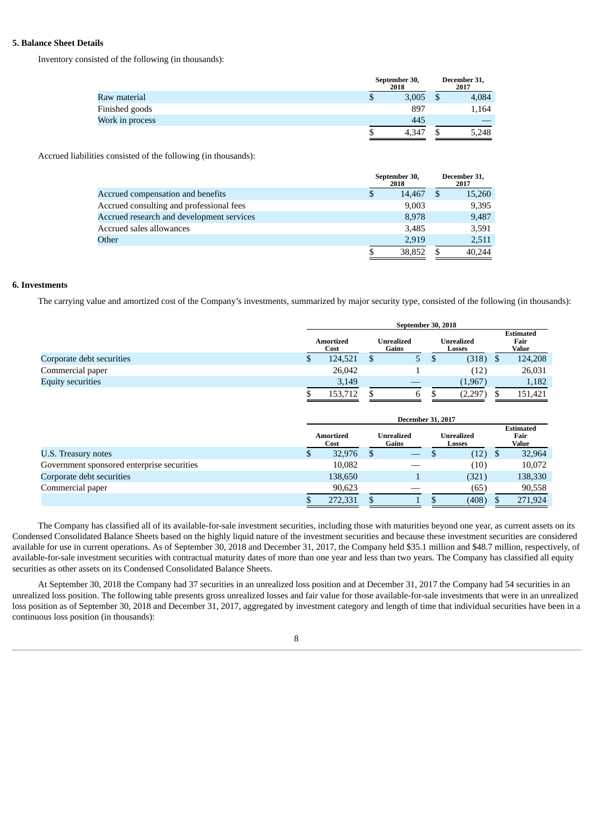#### **5. Balance Sheet Details**

Inventory consisted of the following (in thousands):

|                 |   | September 30,<br>2018 | December 31,<br>2017 |
|-----------------|---|-----------------------|----------------------|
| Raw material    | P | 3,005                 | 4,084                |
| Finished goods  |   | 897                   | 1,164                |
| Work in process |   | 445                   |                      |
|                 |   | 4,347                 | 5,248                |

Accrued liabilities consisted of the following (in thousands):

|                                           | September 30,<br>2018 | December 31,<br>2017 |
|-------------------------------------------|-----------------------|----------------------|
| Accrued compensation and benefits         | \$<br>14.467          | \$<br>15,260         |
| Accrued consulting and professional fees  | 9,003                 | 9,395                |
| Accrued research and development services | 8,978                 | 9,487                |
| Accrued sales allowances                  | 3,485                 | 3,591                |
| Other                                     | 2.919                 | 2,511                |
|                                           | \$<br>38,852          | 40.244               |

#### **6. Investments**

The carrying value and amortized cost of the Company's investments, summarized by major security type, consisted of the following (in thousands):

|                                            | September 30, 2018       |                                                           |                          |    |                             |     |                                   |  |
|--------------------------------------------|--------------------------|-----------------------------------------------------------|--------------------------|----|-----------------------------|-----|-----------------------------------|--|
|                                            | <b>Amortized</b><br>Cost |                                                           | Unrealized<br>Gains      |    | <b>Unrealized</b><br>Losses |     | <b>Estimated</b><br>Fair<br>Value |  |
| Corporate debt securities                  | \$<br>124,521            | $\mathbb{S}$                                              | 5                        | \$ | (318)                       | \$. | 124,208                           |  |
| Commercial paper                           | 26,042                   |                                                           |                          |    | (12)                        |     | 26,031                            |  |
| <b>Equity securities</b>                   | 3,149                    |                                                           |                          |    | (1,967)                     |     | 1,182                             |  |
|                                            | 153,712                  | \$.                                                       | 6                        | \$ | (2,297)                     | \$  | 151,421                           |  |
|                                            |                          |                                                           |                          |    |                             |     |                                   |  |
|                                            |                          |                                                           | <b>December 31, 2017</b> |    |                             |     |                                   |  |
|                                            | <b>Amortized</b><br>Cost | <b>Unrealized</b><br><b>Unrealized</b><br>Gains<br>Losses |                          |    |                             |     | <b>Estimated</b><br>Fair<br>Value |  |
| U.S. Treasury notes                        |                          |                                                           |                          |    |                             |     |                                   |  |
|                                            | \$<br>32,976             | -\$                                                       |                          | \$ | (12)                        | -\$ | 32,964                            |  |
| Government sponsored enterprise securities | 10,082                   |                                                           |                          |    | (10)                        |     | 10,072                            |  |
| Corporate debt securities                  | 138,650                  |                                                           |                          |    | (321)                       |     | 138,330                           |  |
| Commercial paper                           | 90,623                   |                                                           |                          |    | (65)                        |     | 90,558                            |  |

The Company has classified all of its available-for-sale investment securities, including those with maturities beyond one year, as current assets on its Condensed Consolidated Balance Sheets based on the highly liquid nature of the investment securities and because these investment securities are considered available for use in current operations. As of September 30, 2018 and December 31, 2017, the Company held \$35.1 million and \$48.7 million, respectively, of available-for-sale investment securities with contractual maturity dates of more than one year and less than two years. The Company has classified all equity securities as other assets on its Condensed Consolidated Balance Sheets.

At September 30, 2018 the Company had 37 securities in an unrealized loss position and at December 31, 2017 the Company had 54 securities in an unrealized loss position. The following table presents gross unrealized losses and fair value for those available-for-sale investments that were in an unrealized loss position as of September 30, 2018 and December 31, 2017, aggregated by investment category and length of time that individual securities have been in a continuous loss position (in thousands):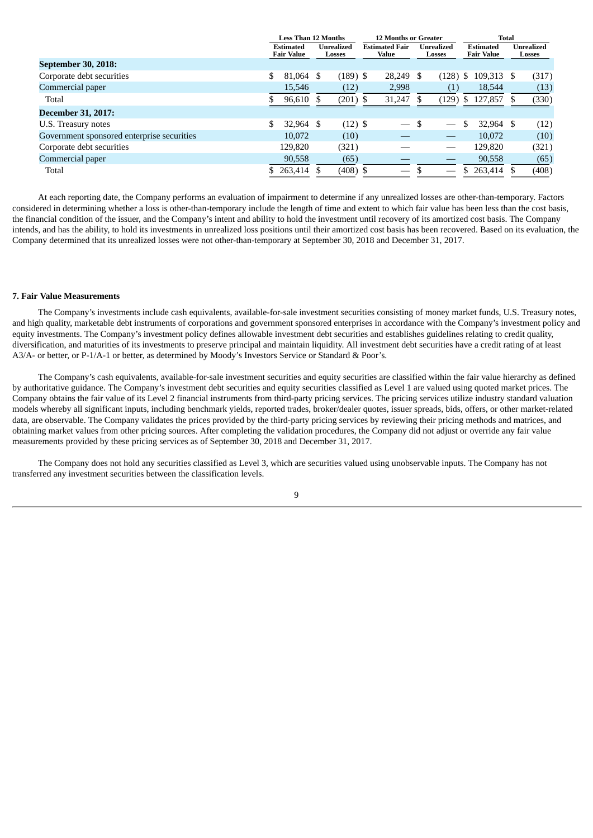|                                            | Less Than 12 Months                   |  |                      | <b>12 Months or Greater</b> |                                |   |                                 | Total |                                       |  |                             |
|--------------------------------------------|---------------------------------------|--|----------------------|-----------------------------|--------------------------------|---|---------------------------------|-------|---------------------------------------|--|-----------------------------|
|                                            | <b>Estimated</b><br><b>Fair Value</b> |  | Unrealized<br>Losses |                             | <b>Estimated Fair</b><br>Value |   | <b>Unrealized</b><br>Losses     |       | <b>Estimated</b><br><b>Fair Value</b> |  | <b>Unrealized</b><br>Losses |
| September 30, 2018:                        |                                       |  |                      |                             |                                |   |                                 |       |                                       |  |                             |
| Corporate debt securities                  | \$<br>81,064 \$                       |  | $(189)$ \$           |                             | 28,249                         | S | $(128)$ \$                      |       | 109,313 \$                            |  | (317)                       |
| Commercial paper                           | 15,546                                |  | (12)                 |                             | 2,998                          |   | (1)                             |       | 18,544                                |  | (13)                        |
| Total                                      | 96,610 \$                             |  | $(201)$ \$           |                             | 31,247                         |   | (129)                           |       | \$127,857                             |  | (330)                       |
| <b>December 31, 2017:</b>                  |                                       |  |                      |                             |                                |   |                                 |       |                                       |  |                             |
| U.S. Treasury notes                        | 32,964 \$                             |  | $(12)$ \$            |                             | $\overbrace{\phantom{aaaaa}}$  |   |                                 | \$.   | 32,964 \$                             |  | (12)                        |
| Government sponsored enterprise securities | 10,072                                |  | (10)                 |                             |                                |   | $\hspace{0.1mm}-\hspace{0.1mm}$ |       | 10.072                                |  | (10)                        |
| Corporate debt securities                  | 129,820                               |  | (321)                |                             |                                |   |                                 |       | 129,820                               |  | (321)                       |
| Commercial paper                           | 90,558                                |  | (65)                 |                             |                                |   |                                 |       | 90,558                                |  | (65)                        |
| Total                                      | 263,414 \$                            |  | $(408)$ \$           |                             |                                |   |                                 |       | 263,414 \$                            |  | (408)                       |

At each reporting date, the Company performs an evaluation of impairment to determine if any unrealized losses are other-than-temporary. Factors considered in determining whether a loss is other-than-temporary include the length of time and extent to which fair value has been less than the cost basis, the financial condition of the issuer, and the Company's intent and ability to hold the investment until recovery of its amortized cost basis. The Company intends, and has the ability, to hold its investments in unrealized loss positions until their amortized cost basis has been recovered. Based on its evaluation, the Company determined that its unrealized losses were not other-than-temporary at September 30, 2018 and December 31, 2017.

#### **7. Fair Value Measurements**

The Company's investments include cash equivalents, available-for-sale investment securities consisting of money market funds, U.S. Treasury notes, and high quality, marketable debt instruments of corporations and government sponsored enterprises in accordance with the Company's investment policy and equity investments. The Company's investment policy defines allowable investment debt securities and establishes guidelines relating to credit quality, diversification, and maturities of its investments to preserve principal and maintain liquidity. All investment debt securities have a credit rating of at least A3/A- or better, or P-1/A-1 or better, as determined by Moody's Investors Service or Standard & Poor's.

The Company's cash equivalents, available-for-sale investment securities and equity securities are classified within the fair value hierarchy as defined by authoritative guidance. The Company's investment debt securities and equity securities classified as Level 1 are valued using quoted market prices. The Company obtains the fair value of its Level 2 financial instruments from third-party pricing services. The pricing services utilize industry standard valuation models whereby all significant inputs, including benchmark yields, reported trades, broker/dealer quotes, issuer spreads, bids, offers, or other market-related data, are observable. The Company validates the prices provided by the third-party pricing services by reviewing their pricing methods and matrices, and obtaining market values from other pricing sources. After completing the validation procedures, the Company did not adjust or override any fair value measurements provided by these pricing services as of September 30, 2018 and December 31, 2017.

The Company does not hold any securities classified as Level 3, which are securities valued using unobservable inputs. The Company has not transferred any investment securities between the classification levels.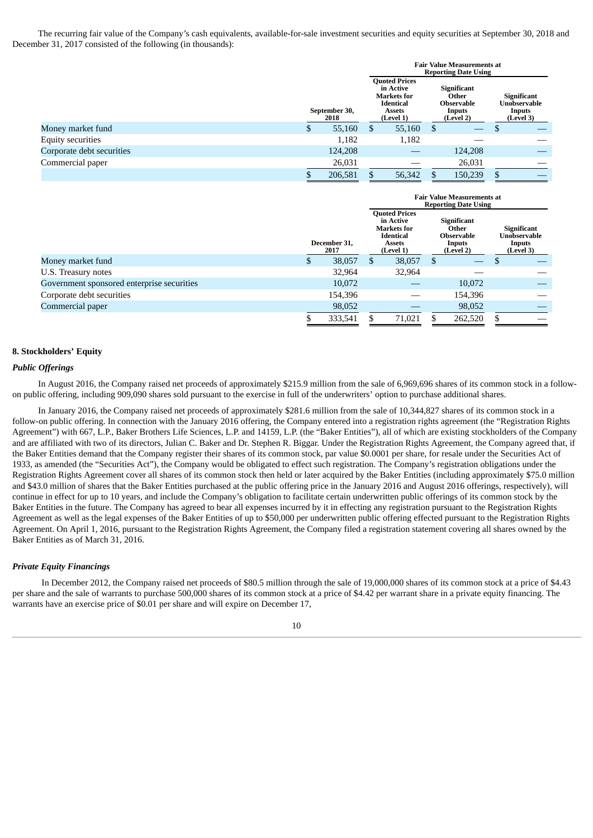The recurring fair value of the Company's cash equivalents, available-for-sale investment securities and equity securities at September 30, 2018 and December 31, 2017 consisted of the following (in thousands):

|                           |                       |   |                                                                                                           |                                                                         | <b>Fair Value Measurements at</b><br><b>Reporting Date Using</b> |                                                           |
|---------------------------|-----------------------|---|-----------------------------------------------------------------------------------------------------------|-------------------------------------------------------------------------|------------------------------------------------------------------|-----------------------------------------------------------|
|                           | September 30,<br>2018 |   | <b>Quoted Prices</b><br>in Active<br><b>Markets</b> for<br><b>Identical</b><br><b>Assets</b><br>(Level 1) | <b>Significant</b><br>Other<br><b>Observable</b><br>Inputs<br>(Level 2) |                                                                  | <b>Significant</b><br>Unobservable<br>Inputs<br>(Level 3) |
| Money market fund         | 55,160                | S | 55,160                                                                                                    | S                                                                       |                                                                  |                                                           |
| <b>Equity securities</b>  | 1,182                 |   | 1,182                                                                                                     |                                                                         |                                                                  |                                                           |
| Corporate debt securities | 124,208               |   |                                                                                                           |                                                                         | 124,208                                                          |                                                           |
| Commercial paper          | 26,031                |   |                                                                                                           |                                                                         | 26,031                                                           |                                                           |
|                           | 206,581               |   | 56,342                                                                                                    |                                                                         | 150,239                                                          |                                                           |

|                                            |   |                      | <b>Fair Value Measurements at</b><br><b>Reporting Date Using</b> |                                                                                                           |              |                                                                  |   |                                                                  |
|--------------------------------------------|---|----------------------|------------------------------------------------------------------|-----------------------------------------------------------------------------------------------------------|--------------|------------------------------------------------------------------|---|------------------------------------------------------------------|
|                                            |   | December 31.<br>2017 |                                                                  | <b>Quoted Prices</b><br>in Active<br><b>Markets</b> for<br><b>Identical</b><br><b>Assets</b><br>(Level 1) |              | <b>Significant</b><br>Other<br>Observable<br>Inputs<br>(Level 2) |   | <b>Significant</b><br>Unobservable<br><b>Inputs</b><br>(Level 3) |
| Money market fund                          | S | 38,057               | S                                                                | 38,057                                                                                                    | <sup>S</sup> | $\overline{\phantom{m}}$                                         | D |                                                                  |
| U.S. Treasury notes                        |   | 32,964               |                                                                  | 32,964                                                                                                    |              |                                                                  |   |                                                                  |
| Government sponsored enterprise securities |   | 10,072               |                                                                  |                                                                                                           |              | 10,072                                                           |   |                                                                  |
| Corporate debt securities                  |   | 154,396              |                                                                  |                                                                                                           |              | 154,396                                                          |   |                                                                  |
| Commercial paper                           |   | 98,052               |                                                                  |                                                                                                           |              | 98,052                                                           |   |                                                                  |
|                                            | ъ | 333,541              |                                                                  | 71.021                                                                                                    |              | 262,520                                                          |   |                                                                  |

#### **8. Stockholders' Equity**

#### *Public Offerings*

In August 2016, the Company raised net proceeds of approximately \$215.9 million from the sale of 6,969,696 shares of its common stock in a followon public offering, including 909,090 shares sold pursuant to the exercise in full of the underwriters' option to purchase additional shares.

In January 2016, the Company raised net proceeds of approximately \$281.6 million from the sale of 10,344,827 shares of its common stock in a follow-on public offering. In connection with the January 2016 offering, the Company entered into a registration rights agreement (the "Registration Rights Agreement") with 667, L.P., Baker Brothers Life Sciences, L.P. and 14159, L.P. (the "Baker Entities"), all of which are existing stockholders of the Company and are affiliated with two of its directors, Julian C. Baker and Dr. Stephen R. Biggar. Under the Registration Rights Agreement, the Company agreed that, if the Baker Entities demand that the Company register their shares of its common stock, par value \$0.0001 per share, for resale under the Securities Act of 1933, as amended (the "Securities Act"), the Company would be obligated to effect such registration. The Company's registration obligations under the Registration Rights Agreement cover all shares of its common stock then held or later acquired by the Baker Entities (including approximately \$75.0 million and \$43.0 million of shares that the Baker Entities purchased at the public offering price in the January 2016 and August 2016 offerings, respectively), will continue in effect for up to 10 years, and include the Company's obligation to facilitate certain underwritten public offerings of its common stock by the Baker Entities in the future. The Company has agreed to bear all expenses incurred by it in effecting any registration pursuant to the Registration Rights Agreement as well as the legal expenses of the Baker Entities of up to \$50,000 per underwritten public offering effected pursuant to the Registration Rights Agreement. On April 1, 2016, pursuant to the Registration Rights Agreement, the Company filed a registration statement covering all shares owned by the Baker Entities as of March 31, 2016.

#### *Private Equity Financings*

In December 2012, the Company raised net proceeds of \$80.5 million through the sale of 19,000,000 shares of its common stock at a price of \$4.43 per share and the sale of warrants to purchase 500,000 shares of its common stock at a price of \$4.42 per warrant share in a private equity financing. The warrants have an exercise price of \$0.01 per share and will expire on December 17,

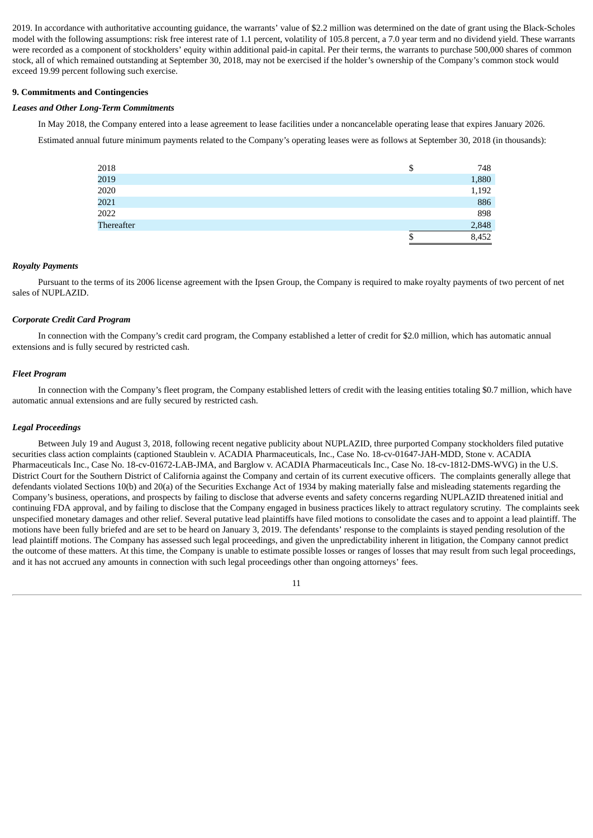2019. In accordance with authoritative accounting guidance, the warrants' value of \$2.2 million was determined on the date of grant using the Black-Scholes model with the following assumptions: risk free interest rate of 1.1 percent, volatility of 105.8 percent, a 7.0 year term and no dividend yield. These warrants were recorded as a component of stockholders' equity within additional paid-in capital. Per their terms, the warrants to purchase 500,000 shares of common stock, all of which remained outstanding at September 30, 2018, may not be exercised if the holder's ownership of the Company's common stock would exceed 19.99 percent following such exercise.

#### **9. Commitments and Contingencies**

#### *Leases and Other Long-Term Commitments*

In May 2018, the Company entered into a lease agreement to lease facilities under a noncancelable operating lease that expires January 2026. Estimated annual future minimum payments related to the Company's operating leases were as follows at September 30, 2018 (in thousands):

| 2018              | \$ | 748   |
|-------------------|----|-------|
| 2019              |    | 1,880 |
| 2020              |    | 1,192 |
| 2021              |    | 886   |
| 2022              |    | 898   |
| <b>Thereafter</b> |    | 2,848 |
|                   | J  | 8,452 |

#### *Royalty Payments*

Pursuant to the terms of its 2006 license agreement with the Ipsen Group, the Company is required to make royalty payments of two percent of net sales of NUPLAZID.

#### *Corporate Credit Card Program*

In connection with the Company's credit card program, the Company established a letter of credit for \$2.0 million, which has automatic annual extensions and is fully secured by restricted cash.

#### *Fleet Program*

In connection with the Company's fleet program, the Company established letters of credit with the leasing entities totaling \$0.7 million, which have automatic annual extensions and are fully secured by restricted cash.

#### *Legal Proceedings*

Between July 19 and August 3, 2018, following recent negative publicity about NUPLAZID, three purported Company stockholders filed putative securities class action complaints (captioned Staublein v. ACADIA Pharmaceuticals, Inc., Case No. 18-cv-01647-JAH-MDD, Stone v. ACADIA Pharmaceuticals Inc., Case No. 18-cv-01672-LAB-JMA, and Barglow v. ACADIA Pharmaceuticals Inc., Case No. 18-cv-1812-DMS-WVG) in the U.S. District Court for the Southern District of California against the Company and certain of its current executive officers. The complaints generally allege that defendants violated Sections 10(b) and 20(a) of the Securities Exchange Act of 1934 by making materially false and misleading statements regarding the Company's business, operations, and prospects by failing to disclose that adverse events and safety concerns regarding NUPLAZID threatened initial and continuing FDA approval, and by failing to disclose that the Company engaged in business practices likely to attract regulatory scrutiny. The complaints seek unspecified monetary damages and other relief. Several putative lead plaintiffs have filed motions to consolidate the cases and to appoint a lead plaintiff. The motions have been fully briefed and are set to be heard on January 3, 2019. The defendants' response to the complaints is stayed pending resolution of the lead plaintiff motions. The Company has assessed such legal proceedings, and given the unpredictability inherent in litigation, the Company cannot predict the outcome of these matters. At this time, the Company is unable to estimate possible losses or ranges of losses that may result from such legal proceedings, and it has not accrued any amounts in connection with such legal proceedings other than ongoing attorneys' fees.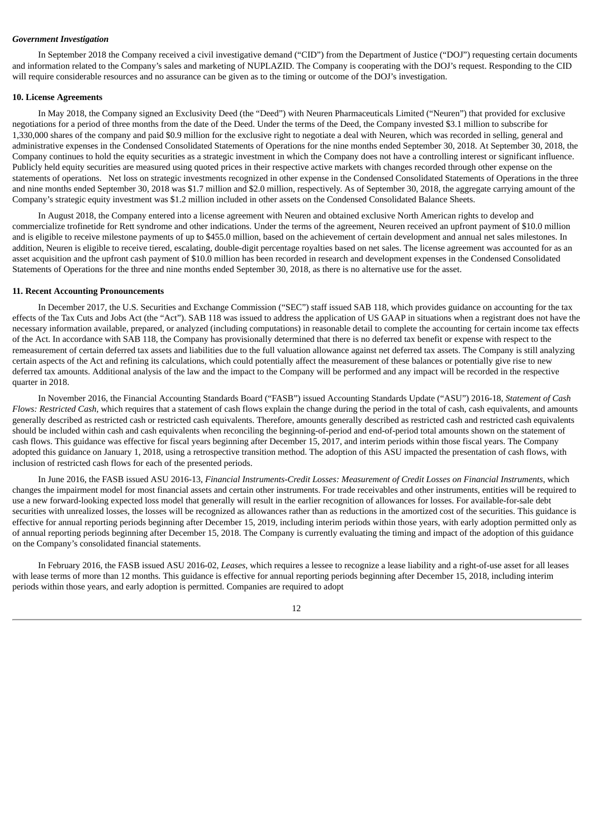#### *Government Investigation*

In September 2018 the Company received a civil investigative demand ("CID") from the Department of Justice ("DOJ") requesting certain documents and information related to the Company's sales and marketing of NUPLAZID. The Company is cooperating with the DOJ's request. Responding to the CID will require considerable resources and no assurance can be given as to the timing or outcome of the DOJ's investigation.

#### **10. License Agreements**

In May 2018, the Company signed an Exclusivity Deed (the "Deed") with Neuren Pharmaceuticals Limited ("Neuren") that provided for exclusive negotiations for a period of three months from the date of the Deed. Under the terms of the Deed, the Company invested \$3.1 million to subscribe for 1,330,000 shares of the company and paid \$0.9 million for the exclusive right to negotiate a deal with Neuren, which was recorded in selling, general and administrative expenses in the Condensed Consolidated Statements of Operations for the nine months ended September 30, 2018. At September 30, 2018, the Company continues to hold the equity securities as a strategic investment in which the Company does not have a controlling interest or significant influence. Publicly held equity securities are measured using quoted prices in their respective active markets with changes recorded through other expense on the statements of operations. Net loss on strategic investments recognized in other expense in the Condensed Consolidated Statements of Operations in the three and nine months ended September 30, 2018 was \$1.7 million and \$2.0 million, respectively. As of September 30, 2018, the aggregate carrying amount of the Company's strategic equity investment was \$1.2 million included in other assets on the Condensed Consolidated Balance Sheets.

In August 2018, the Company entered into a license agreement with Neuren and obtained exclusive North American rights to develop and commercialize trofinetide for Rett syndrome and other indications. Under the terms of the agreement, Neuren received an upfront payment of \$10.0 million and is eligible to receive milestone payments of up to \$455.0 million, based on the achievement of certain development and annual net sales milestones. In addition, Neuren is eligible to receive tiered, escalating, double-digit percentage royalties based on net sales. The license agreement was accounted for as an asset acquisition and the upfront cash payment of \$10.0 million has been recorded in research and development expenses in the Condensed Consolidated Statements of Operations for the three and nine months ended September 30, 2018, as there is no alternative use for the asset.

#### **11. Recent Accounting Pronouncements**

In December 2017, the U.S. Securities and Exchange Commission ("SEC") staff issued SAB 118, which provides guidance on accounting for the tax effects of the Tax Cuts and Jobs Act (the "Act"). SAB 118 was issued to address the application of US GAAP in situations when a registrant does not have the necessary information available, prepared, or analyzed (including computations) in reasonable detail to complete the accounting for certain income tax effects of the Act. In accordance with SAB 118, the Company has provisionally determined that there is no deferred tax benefit or expense with respect to the remeasurement of certain deferred tax assets and liabilities due to the full valuation allowance against net deferred tax assets. The Company is still analyzing certain aspects of the Act and refining its calculations, which could potentially affect the measurement of these balances or potentially give rise to new deferred tax amounts. Additional analysis of the law and the impact to the Company will be performed and any impact will be recorded in the respective quarter in 2018.

In November 2016, the Financial Accounting Standards Board ("FASB") issued Accounting Standards Update ("ASU") 2016-18, *Statement of Cash Flows: Restricted Cash*, which requires that a statement of cash flows explain the change during the period in the total of cash, cash equivalents, and amounts generally described as restricted cash or restricted cash equivalents. Therefore, amounts generally described as restricted cash and restricted cash equivalents should be included within cash and cash equivalents when reconciling the beginning-of-period and end-of-period total amounts shown on the statement of cash flows. This guidance was effective for fiscal years beginning after December 15, 2017, and interim periods within those fiscal years. The Company adopted this guidance on January 1, 2018, using a retrospective transition method. The adoption of this ASU impacted the presentation of cash flows, with inclusion of restricted cash flows for each of the presented periods.

In June 2016, the FASB issued ASU 2016-13, *Financial Instruments-Credit Losses: Measurement of Credit Losses on Financial Instruments*, which changes the impairment model for most financial assets and certain other instruments. For trade receivables and other instruments, entities will be required to use a new forward-looking expected loss model that generally will result in the earlier recognition of allowances for losses. For available-for-sale debt securities with unrealized losses, the losses will be recognized as allowances rather than as reductions in the amortized cost of the securities. This guidance is effective for annual reporting periods beginning after December 15, 2019, including interim periods within those years, with early adoption permitted only as of annual reporting periods beginning after December 15, 2018. The Company is currently evaluating the timing and impact of the adoption of this guidance on the Company's consolidated financial statements.

In February 2016, the FASB issued ASU 2016-02, *Leases*, which requires a lessee to recognize a lease liability and a right-of-use asset for all leases with lease terms of more than 12 months. This guidance is effective for annual reporting periods beginning after December 15, 2018, including interim periods within those years, and early adoption is permitted. Companies are required to adopt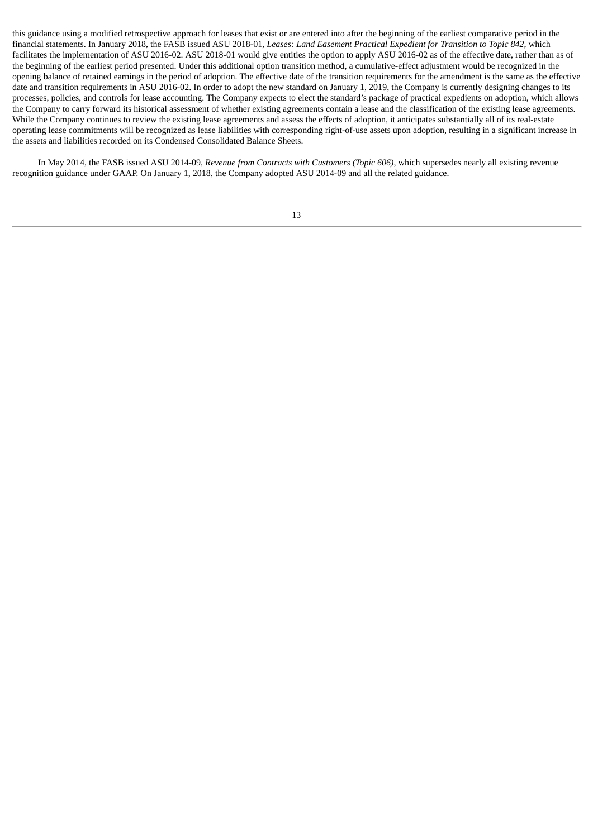this guidance using a modified retrospective approach for leases that exist or are entered into after the beginning of the earliest comparative period in the financial statements. In January 2018, the FASB issued ASU 2018-01, *Leases: Land Easement Practical Expedient for Transition to Topic 842*, which facilitates the implementation of ASU 2016-02. ASU 2018-01 would give entities the option to apply ASU 2016-02 as of the effective date, rather than as of the beginning of the earliest period presented. Under this additional option transition method, a cumulative-effect adjustment would be recognized in the opening balance of retained earnings in the period of adoption. The effective date of the transition requirements for the amendment is the same as the effective date and transition requirements in ASU 2016-02. In order to adopt the new standard on January 1, 2019, the Company is currently designing changes to its processes, policies, and controls for lease accounting. The Company expects to elect the standard's package of practical expedients on adoption, which allows the Company to carry forward its historical assessment of whether existing agreements contain a lease and the classification of the existing lease agreements. While the Company continues to review the existing lease agreements and assess the effects of adoption, it anticipates substantially all of its real-estate operating lease commitments will be recognized as lease liabilities with corresponding right-of-use assets upon adoption, resulting in a significant increase in the assets and liabilities recorded on its Condensed Consolidated Balance Sheets.

In May 2014, the FASB issued ASU 2014-09, *Revenue from Contracts with Customers (Topic 606)*, which supersedes nearly all existing revenue recognition guidance under GAAP. On January 1, 2018, the Company adopted ASU 2014-09 and all the related guidance.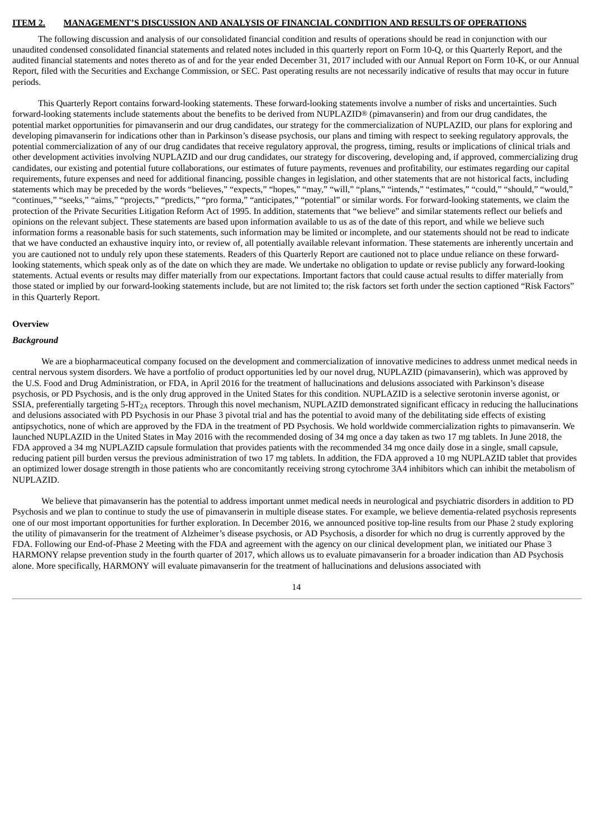#### <span id="page-15-0"></span>**ITEM 2. MANAGEMENT'S DISCUSSION AND ANALYSIS OF FINANCIAL CONDITION AND RESULTS OF OPERATIONS**

The following discussion and analysis of our consolidated financial condition and results of operations should be read in conjunction with our unaudited condensed consolidated financial statements and related notes included in this quarterly report on Form 10-Q, or this Quarterly Report, and the audited financial statements and notes thereto as of and for the year ended December 31, 2017 included with our Annual Report on Form 10-K, or our Annual Report, filed with the Securities and Exchange Commission, or SEC. Past operating results are not necessarily indicative of results that may occur in future periods.

This Quarterly Report contains forward-looking statements. These forward-looking statements involve a number of risks and uncertainties. Such forward-looking statements include statements about the benefits to be derived from NUPLAZID® (pimavanserin) and from our drug candidates, the potential market opportunities for pimavanserin and our drug candidates, our strategy for the commercialization of NUPLAZID, our plans for exploring and developing pimavanserin for indications other than in Parkinson's disease psychosis, our plans and timing with respect to seeking regulatory approvals, the potential commercialization of any of our drug candidates that receive regulatory approval, the progress, timing, results or implications of clinical trials and other development activities involving NUPLAZID and our drug candidates, our strategy for discovering, developing and, if approved, commercializing drug candidates, our existing and potential future collaborations, our estimates of future payments, revenues and profitability, our estimates regarding our capital requirements, future expenses and need for additional financing, possible changes in legislation, and other statements that are not historical facts, including statements which may be preceded by the words "believes," "expects," "hopes," "may," "will," "plans," "intends," "estimates," "could," "should," "would," "continues," "seeks," "aims," "projects," "predicts," "pro forma," "anticipates," "potential" or similar words. For forward-looking statements, we claim the protection of the Private Securities Litigation Reform Act of 1995. In addition, statements that "we believe" and similar statements reflect our beliefs and opinions on the relevant subject. These statements are based upon information available to us as of the date of this report, and while we believe such information forms a reasonable basis for such statements, such information may be limited or incomplete, and our statements should not be read to indicate that we have conducted an exhaustive inquiry into, or review of, all potentially available relevant information. These statements are inherently uncertain and you are cautioned not to unduly rely upon these statements. Readers of this Quarterly Report are cautioned not to place undue reliance on these forwardlooking statements, which speak only as of the date on which they are made. We undertake no obligation to update or revise publicly any forward-looking statements. Actual events or results may differ materially from our expectations. Important factors that could cause actual results to differ materially from those stated or implied by our forward-looking statements include, but are not limited to; the risk factors set forth under the section captioned "Risk Factors" in this Quarterly Report.

#### **Overview**

#### *Background*

We are a biopharmaceutical company focused on the development and commercialization of innovative medicines to address unmet medical needs in central nervous system disorders. We have a portfolio of product opportunities led by our novel drug, NUPLAZID (pimavanserin), which was approved by the U.S. Food and Drug Administration, or FDA, in April 2016 for the treatment of hallucinations and delusions associated with Parkinson's disease psychosis, or PD Psychosis, and is the only drug approved in the United States for this condition. NUPLAZID is a selective serotonin inverse agonist, or SSIA, preferentially targeting  $5-HT<sub>2A</sub>$  receptors. Through this novel mechanism, NUPLAZID demonstrated significant efficacy in reducing the hallucinations and delusions associated with PD Psychosis in our Phase 3 pivotal trial and has the potential to avoid many of the debilitating side effects of existing antipsychotics, none of which are approved by the FDA in the treatment of PD Psychosis. We hold worldwide commercialization rights to pimavanserin. We launched NUPLAZID in the United States in May 2016 with the recommended dosing of 34 mg once a day taken as two 17 mg tablets. In June 2018, the FDA approved a 34 mg NUPLAZID capsule formulation that provides patients with the recommended 34 mg once daily dose in a single, small capsule, reducing patient pill burden versus the previous administration of two 17 mg tablets. In addition, the FDA approved a 10 mg NUPLAZID tablet that provides an optimized lower dosage strength in those patients who are concomitantly receiving strong cytochrome 3A4 inhibitors which can inhibit the metabolism of NUPLAZID.

We believe that pimavanserin has the potential to address important unmet medical needs in neurological and psychiatric disorders in addition to PD Psychosis and we plan to continue to study the use of pimavanserin in multiple disease states. For example, we believe dementia-related psychosis represents one of our most important opportunities for further exploration. In December 2016, we announced positive top-line results from our Phase 2 study exploring the utility of pimavanserin for the treatment of Alzheimer's disease psychosis, or AD Psychosis, a disorder for which no drug is currently approved by the FDA. Following our End-of-Phase 2 Meeting with the FDA and agreement with the agency on our clinical development plan, we initiated our Phase 3 HARMONY relapse prevention study in the fourth quarter of 2017, which allows us to evaluate pimavanserin for a broader indication than AD Psychosis alone. More specifically, HARMONY will evaluate pimavanserin for the treatment of hallucinations and delusions associated with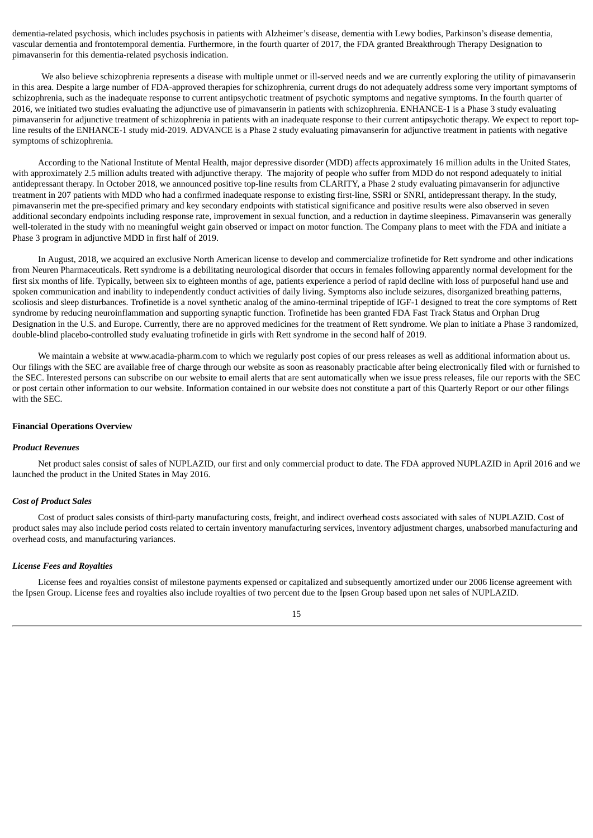dementia-related psychosis, which includes psychosis in patients with Alzheimer's disease, dementia with Lewy bodies, Parkinson's disease dementia, vascular dementia and frontotemporal dementia. Furthermore, in the fourth quarter of 2017, the FDA granted Breakthrough Therapy Designation to pimavanserin for this dementia-related psychosis indication.

We also believe schizophrenia represents a disease with multiple unmet or ill-served needs and we are currently exploring the utility of pimavanserin in this area. Despite a large number of FDA-approved therapies for schizophrenia, current drugs do not adequately address some very important symptoms of schizophrenia, such as the inadequate response to current antipsychotic treatment of psychotic symptoms and negative symptoms. In the fourth quarter of 2016, we initiated two studies evaluating the adjunctive use of pimavanserin in patients with schizophrenia. ENHANCE-1 is a Phase 3 study evaluating pimavanserin for adjunctive treatment of schizophrenia in patients with an inadequate response to their current antipsychotic therapy. We expect to report topline results of the ENHANCE-1 study mid-2019. ADVANCE is a Phase 2 study evaluating pimavanserin for adjunctive treatment in patients with negative symptoms of schizophrenia.

According to the National Institute of Mental Health, major depressive disorder (MDD) affects approximately 16 million adults in the United States, with approximately 2.5 million adults treated with adjunctive therapy. The majority of people who suffer from MDD do not respond adequately to initial antidepressant therapy. In October 2018, we announced positive top-line results from CLARITY, a Phase 2 study evaluating pimavanserin for adjunctive treatment in 207 patients with MDD who had a confirmed inadequate response to existing first-line, SSRI or SNRI, antidepressant therapy. In the study, pimavanserin met the pre-specified primary and key secondary endpoints with statistical significance and positive results were also observed in seven additional secondary endpoints including response rate, improvement in sexual function, and a reduction in daytime sleepiness. Pimavanserin was generally well-tolerated in the study with no meaningful weight gain observed or impact on motor function. The Company plans to meet with the FDA and initiate a Phase 3 program in adjunctive MDD in first half of 2019.

In August, 2018, we acquired an exclusive North American license to develop and commercialize trofinetide for Rett syndrome and other indications from Neuren Pharmaceuticals. Rett syndrome is a debilitating neurological disorder that occurs in females following apparently normal development for the first six months of life. Typically, between six to eighteen months of age, patients experience a period of rapid decline with loss of purposeful hand use and spoken communication and inability to independently conduct activities of daily living. Symptoms also include seizures, disorganized breathing patterns, scoliosis and sleep disturbances. Trofinetide is a novel synthetic analog of the amino-terminal tripeptide of IGF-1 designed to treat the core symptoms of Rett syndrome by reducing neuroinflammation and supporting synaptic function. Trofinetide has been granted FDA Fast Track Status and Orphan Drug Designation in the U.S. and Europe. Currently, there are no approved medicines for the treatment of Rett syndrome. We plan to initiate a Phase 3 randomized, double-blind placebo-controlled study evaluating trofinetide in girls with Rett syndrome in the second half of 2019.

We maintain a website at www.acadia-pharm.com to which we regularly post copies of our press releases as well as additional information about us. Our filings with the SEC are available free of charge through our website as soon as reasonably practicable after being electronically filed with or furnished to the SEC. Interested persons can subscribe on our website to email alerts that are sent automatically when we issue press releases, file our reports with the SEC or post certain other information to our website. Information contained in our website does not constitute a part of this Quarterly Report or our other filings with the SEC.

#### **Financial Operations Overview**

#### *Product Revenues*

Net product sales consist of sales of NUPLAZID, our first and only commercial product to date. The FDA approved NUPLAZID in April 2016 and we launched the product in the United States in May 2016.

#### *Cost of Product Sales*

Cost of product sales consists of third-party manufacturing costs, freight, and indirect overhead costs associated with sales of NUPLAZID. Cost of product sales may also include period costs related to certain inventory manufacturing services, inventory adjustment charges, unabsorbed manufacturing and overhead costs, and manufacturing variances.

#### *License Fees and Royalties*

License fees and royalties consist of milestone payments expensed or capitalized and subsequently amortized under our 2006 license agreement with the Ipsen Group. License fees and royalties also include royalties of two percent due to the Ipsen Group based upon net sales of NUPLAZID.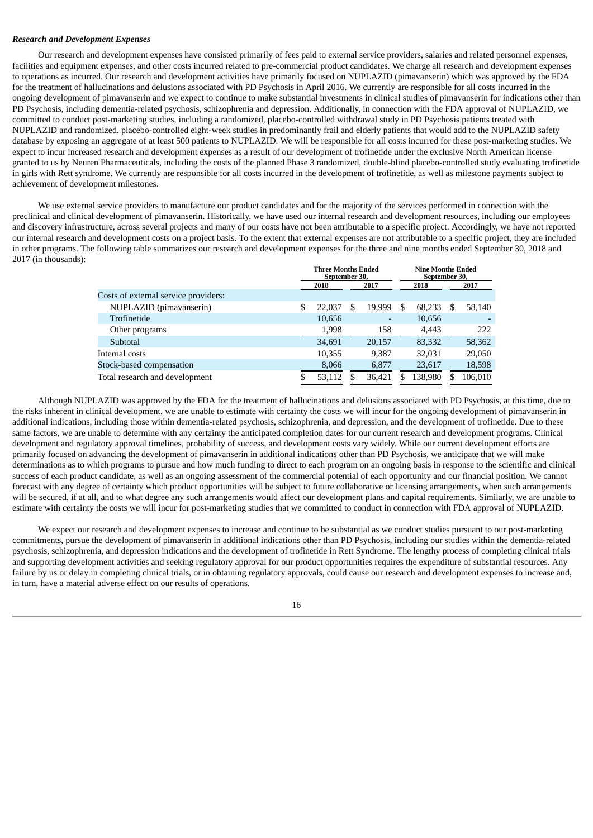#### *Research and Development Expenses*

Our research and development expenses have consisted primarily of fees paid to external service providers, salaries and related personnel expenses, facilities and equipment expenses, and other costs incurred related to pre-commercial product candidates. We charge all research and development expenses to operations as incurred. Our research and development activities have primarily focused on NUPLAZID (pimavanserin) which was approved by the FDA for the treatment of hallucinations and delusions associated with PD Psychosis in April 2016. We currently are responsible for all costs incurred in the ongoing development of pimavanserin and we expect to continue to make substantial investments in clinical studies of pimavanserin for indications other than PD Psychosis, including dementia-related psychosis, schizophrenia and depression. Additionally, in connection with the FDA approval of NUPLAZID, we committed to conduct post-marketing studies, including a randomized, placebo-controlled withdrawal study in PD Psychosis patients treated with NUPLAZID and randomized, placebo-controlled eight-week studies in predominantly frail and elderly patients that would add to the NUPLAZID safety database by exposing an aggregate of at least 500 patients to NUPLAZID. We will be responsible for all costs incurred for these post-marketing studies. We expect to incur increased research and development expenses as a result of our development of trofinetide under the exclusive North American license granted to us by Neuren Pharmaceuticals, including the costs of the planned Phase 3 randomized, double-blind placebo-controlled study evaluating trofinetide in girls with Rett syndrome. We currently are responsible for all costs incurred in the development of trofinetide, as well as milestone payments subject to achievement of development milestones.

We use external service providers to manufacture our product candidates and for the majority of the services performed in connection with the preclinical and clinical development of pimavanserin. Historically, we have used our internal research and development resources, including our employees and discovery infrastructure, across several projects and many of our costs have not been attributable to a specific project. Accordingly, we have not reported our internal research and development costs on a project basis. To the extent that external expenses are not attributable to a specific project, they are included in other programs. The following table summarizes our research and development expenses for the three and nine months ended September 30, 2018 and 2017 (in thousands):

|                                      | <b>Three Months Ended</b><br>September 30, |        |   |        |   |         | <b>Nine Months Ended</b><br>September 30, |         |  |
|--------------------------------------|--------------------------------------------|--------|---|--------|---|---------|-------------------------------------------|---------|--|
|                                      |                                            | 2018   |   | 2017   |   | 2018    |                                           | 2017    |  |
| Costs of external service providers: |                                            |        |   |        |   |         |                                           |         |  |
| NUPLAZID (pimavanserin)              |                                            | 22.037 | S | 19.999 | S | 68,233  | S                                         | 58,140  |  |
| Trofinetide                          |                                            | 10,656 |   | -      |   | 10,656  |                                           |         |  |
| Other programs                       |                                            | 1,998  |   | 158    |   | 4,443   |                                           | 222     |  |
| Subtotal                             |                                            | 34,691 |   | 20,157 |   | 83,332  |                                           | 58,362  |  |
| Internal costs                       |                                            | 10,355 |   | 9,387  |   | 32,031  |                                           | 29,050  |  |
| Stock-based compensation             |                                            | 8,066  |   | 6.877  |   | 23,617  |                                           | 18,598  |  |
| Total research and development       |                                            | 53,112 |   | 36,421 |   | 138,980 |                                           | 106,010 |  |

Although NUPLAZID was approved by the FDA for the treatment of hallucinations and delusions associated with PD Psychosis, at this time, due to the risks inherent in clinical development, we are unable to estimate with certainty the costs we will incur for the ongoing development of pimavanserin in additional indications, including those within dementia-related psychosis, schizophrenia, and depression, and the development of trofinetide. Due to these same factors, we are unable to determine with any certainty the anticipated completion dates for our current research and development programs. Clinical development and regulatory approval timelines, probability of success, and development costs vary widely. While our current development efforts are primarily focused on advancing the development of pimavanserin in additional indications other than PD Psychosis, we anticipate that we will make determinations as to which programs to pursue and how much funding to direct to each program on an ongoing basis in response to the scientific and clinical success of each product candidate, as well as an ongoing assessment of the commercial potential of each opportunity and our financial position. We cannot forecast with any degree of certainty which product opportunities will be subject to future collaborative or licensing arrangements, when such arrangements will be secured, if at all, and to what degree any such arrangements would affect our development plans and capital requirements. Similarly, we are unable to estimate with certainty the costs we will incur for post-marketing studies that we committed to conduct in connection with FDA approval of NUPLAZID.

We expect our research and development expenses to increase and continue to be substantial as we conduct studies pursuant to our post-marketing commitments, pursue the development of pimavanserin in additional indications other than PD Psychosis, including our studies within the dementia-related psychosis, schizophrenia, and depression indications and the development of trofinetide in Rett Syndrome. The lengthy process of completing clinical trials and supporting development activities and seeking regulatory approval for our product opportunities requires the expenditure of substantial resources. Any failure by us or delay in completing clinical trials, or in obtaining regulatory approvals, could cause our research and development expenses to increase and, in turn, have a material adverse effect on our results of operations.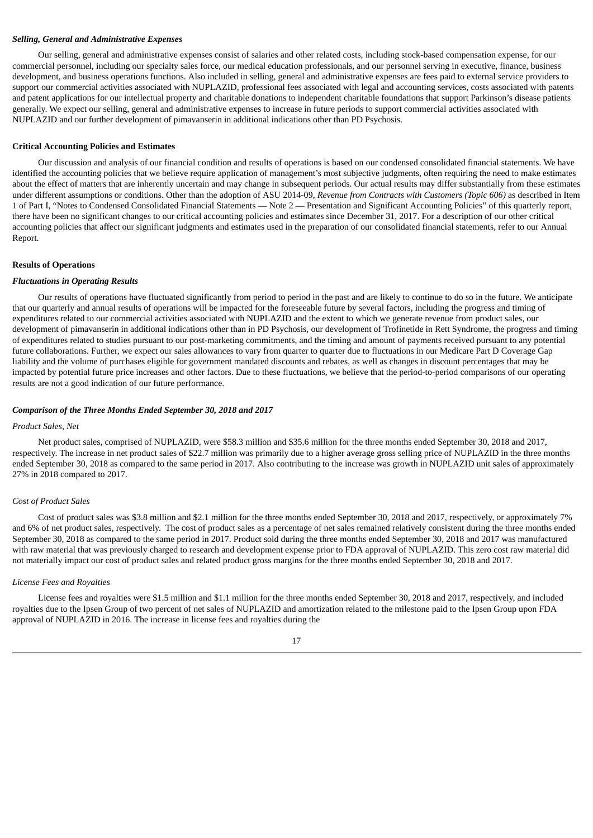#### *Selling, General and Administrative Expenses*

Our selling, general and administrative expenses consist of salaries and other related costs, including stock-based compensation expense, for our commercial personnel, including our specialty sales force, our medical education professionals, and our personnel serving in executive, finance, business development, and business operations functions. Also included in selling, general and administrative expenses are fees paid to external service providers to support our commercial activities associated with NUPLAZID, professional fees associated with legal and accounting services, costs associated with patents and patent applications for our intellectual property and charitable donations to independent charitable foundations that support Parkinson's disease patients generally. We expect our selling, general and administrative expenses to increase in future periods to support commercial activities associated with NUPLAZID and our further development of pimavanserin in additional indications other than PD Psychosis.

#### **Critical Accounting Policies and Estimates**

Our discussion and analysis of our financial condition and results of operations is based on our condensed consolidated financial statements. We have identified the accounting policies that we believe require application of management's most subjective judgments, often requiring the need to make estimates about the effect of matters that are inherently uncertain and may change in subsequent periods. Our actual results may differ substantially from these estimates under different assumptions or conditions. Other than the adoption of ASU 2014-09, *Revenue from Contracts with Customers (Topic 606)* as described in Item 1 of Part I, "Notes to Condensed Consolidated Financial Statements — Note 2 — Presentation and Significant Accounting Policies" of this quarterly report, there have been no significant changes to our critical accounting policies and estimates since December 31, 2017. For a description of our other critical accounting policies that affect our significant judgments and estimates used in the preparation of our consolidated financial statements, refer to our Annual Report.

#### **Results of Operations**

#### *Fluctuations in Operating Results*

Our results of operations have fluctuated significantly from period to period in the past and are likely to continue to do so in the future. We anticipate that our quarterly and annual results of operations will be impacted for the foreseeable future by several factors, including the progress and timing of expenditures related to our commercial activities associated with NUPLAZID and the extent to which we generate revenue from product sales, our development of pimavanserin in additional indications other than in PD Psychosis, our development of Trofinetide in Rett Syndrome, the progress and timing of expenditures related to studies pursuant to our post-marketing commitments, and the timing and amount of payments received pursuant to any potential future collaborations. Further, we expect our sales allowances to vary from quarter to quarter due to fluctuations in our Medicare Part D Coverage Gap liability and the volume of purchases eligible for government mandated discounts and rebates, as well as changes in discount percentages that may be impacted by potential future price increases and other factors. Due to these fluctuations, we believe that the period-to-period comparisons of our operating results are not a good indication of our future performance.

#### *Comparison of the Three Months Ended September 30, 2018 and 2017*

#### *Product Sales, Net*

Net product sales, comprised of NUPLAZID, were \$58.3 million and \$35.6 million for the three months ended September 30, 2018 and 2017, respectively. The increase in net product sales of \$22.7 million was primarily due to a higher average gross selling price of NUPLAZID in the three months ended September 30, 2018 as compared to the same period in 2017. Also contributing to the increase was growth in NUPLAZID unit sales of approximately 27% in 2018 compared to 2017.

#### *Cost of Product Sales*

Cost of product sales was \$3.8 million and \$2.1 million for the three months ended September 30, 2018 and 2017, respectively, or approximately 7% and 6% of net product sales, respectively. The cost of product sales as a percentage of net sales remained relatively consistent during the three months ended September 30, 2018 as compared to the same period in 2017. Product sold during the three months ended September 30, 2018 and 2017 was manufactured with raw material that was previously charged to research and development expense prior to FDA approval of NUPLAZID. This zero cost raw material did not materially impact our cost of product sales and related product gross margins for the three months ended September 30, 2018 and 2017.

#### *License Fees and Royalties*

License fees and royalties were \$1.5 million and \$1.1 million for the three months ended September 30, 2018 and 2017, respectively, and included royalties due to the Ipsen Group of two percent of net sales of NUPLAZID and amortization related to the milestone paid to the Ipsen Group upon FDA approval of NUPLAZID in 2016. The increase in license fees and royalties during the

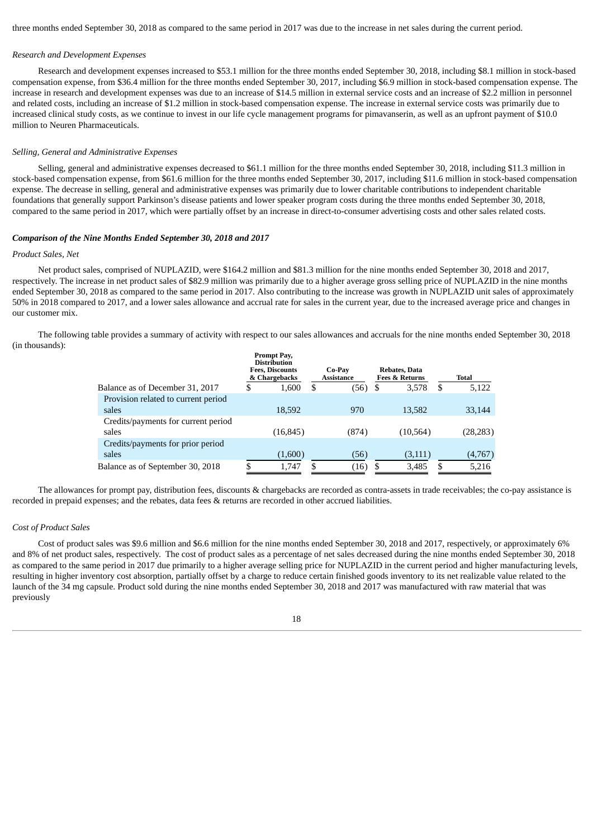three months ended September 30, 2018 as compared to the same period in 2017 was due to the increase in net sales during the current period.

#### *Research and Development Expenses*

Research and development expenses increased to \$53.1 million for the three months ended September 30, 2018, including \$8.1 million in stock-based compensation expense, from \$36.4 million for the three months ended September 30, 2017, including \$6.9 million in stock-based compensation expense. The increase in research and development expenses was due to an increase of \$14.5 million in external service costs and an increase of \$2.2 million in personnel and related costs, including an increase of \$1.2 million in stock-based compensation expense. The increase in external service costs was primarily due to increased clinical study costs, as we continue to invest in our life cycle management programs for pimavanserin, as well as an upfront payment of \$10.0 million to Neuren Pharmaceuticals.

#### *Selling, General and Administrative Expenses*

Selling, general and administrative expenses decreased to \$61.1 million for the three months ended September 30, 2018, including \$11.3 million in stock-based compensation expense, from \$61.6 million for the three months ended September 30, 2017, including \$11.6 million in stock-based compensation expense. The decrease in selling, general and administrative expenses was primarily due to lower charitable contributions to independent charitable foundations that generally support Parkinson's disease patients and lower speaker program costs during the three months ended September 30, 2018, compared to the same period in 2017, which were partially offset by an increase in direct-to-consumer advertising costs and other sales related costs.

#### *Comparison of the Nine Months Ended September 30, 2018 and 2017*

#### *Product Sales, Net*

Net product sales, comprised of NUPLAZID, were \$164.2 million and \$81.3 million for the nine months ended September 30, 2018 and 2017, respectively. The increase in net product sales of \$82.9 million was primarily due to a higher average gross selling price of NUPLAZID in the nine months ended September 30, 2018 as compared to the same period in 2017. Also contributing to the increase was growth in NUPLAZID unit sales of approximately 50% in 2018 compared to 2017, and a lower sales allowance and accrual rate for sales in the current year, due to the increased average price and changes in our customer mix.

The following table provides a summary of activity with respect to our sales allowances and accruals for the nine months ended September 30, 2018 (in thousands):

|                                     | Prompt Pay,<br><b>Distribution</b><br><b>Fees, Discounts</b><br>& Chargebacks |   | Co-Pav<br>Assistance |     | <b>Rebates, Data</b><br><b>Fees &amp; Returns</b> |    | Total     |
|-------------------------------------|-------------------------------------------------------------------------------|---|----------------------|-----|---------------------------------------------------|----|-----------|
| Balance as of December 31, 2017     | \$<br>1,600                                                                   | S | (56)                 | - 5 | 3,578                                             | \$ | 5,122     |
| Provision related to current period |                                                                               |   |                      |     |                                                   |    |           |
| sales                               | 18,592                                                                        |   | 970                  |     | 13,582                                            |    | 33,144    |
| Credits/payments for current period |                                                                               |   |                      |     |                                                   |    |           |
| sales                               | (16, 845)                                                                     |   | (874)                |     | (10, 564)                                         |    | (28, 283) |
| Credits/payments for prior period   |                                                                               |   |                      |     |                                                   |    |           |
| sales                               | (1,600)                                                                       |   | (56)                 |     | (3, 111)                                          |    | (4,767)   |
| Balance as of September 30, 2018    | \$<br>1,747                                                                   | S | (16)                 |     | 3,485                                             | S  | 5,216     |
|                                     |                                                                               |   |                      |     |                                                   |    |           |

The allowances for prompt pay, distribution fees, discounts & chargebacks are recorded as contra-assets in trade receivables; the co-pay assistance is recorded in prepaid expenses; and the rebates, data fees & returns are recorded in other accrued liabilities.

#### *Cost of Product Sales*

Cost of product sales was \$9.6 million and \$6.6 million for the nine months ended September 30, 2018 and 2017, respectively, or approximately 6% and 8% of net product sales, respectively. The cost of product sales as a percentage of net sales decreased during the nine months ended September 30, 2018 as compared to the same period in 2017 due primarily to a higher average selling price for NUPLAZID in the current period and higher manufacturing levels, resulting in higher inventory cost absorption, partially offset by a charge to reduce certain finished goods inventory to its net realizable value related to the launch of the 34 mg capsule. Product sold during the nine months ended September 30, 2018 and 2017 was manufactured with raw material that was previously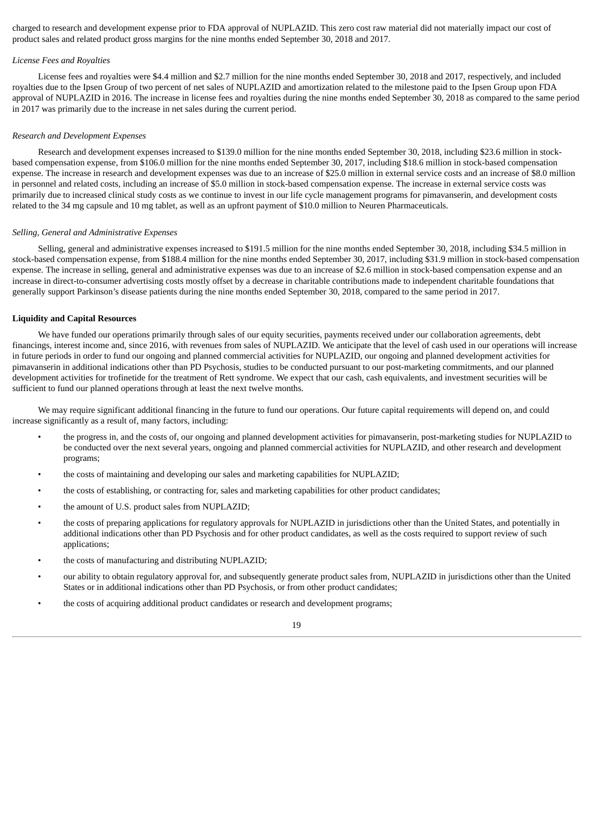charged to research and development expense prior to FDA approval of NUPLAZID. This zero cost raw material did not materially impact our cost of product sales and related product gross margins for the nine months ended September 30, 2018 and 2017.

#### *License Fees and Royalties*

License fees and royalties were \$4.4 million and \$2.7 million for the nine months ended September 30, 2018 and 2017, respectively, and included royalties due to the Ipsen Group of two percent of net sales of NUPLAZID and amortization related to the milestone paid to the Ipsen Group upon FDA approval of NUPLAZID in 2016. The increase in license fees and royalties during the nine months ended September 30, 2018 as compared to the same period in 2017 was primarily due to the increase in net sales during the current period.

#### *Research and Development Expenses*

Research and development expenses increased to \$139.0 million for the nine months ended September 30, 2018, including \$23.6 million in stockbased compensation expense, from \$106.0 million for the nine months ended September 30, 2017, including \$18.6 million in stock-based compensation expense. The increase in research and development expenses was due to an increase of \$25.0 million in external service costs and an increase of \$8.0 million in personnel and related costs, including an increase of \$5.0 million in stock-based compensation expense. The increase in external service costs was primarily due to increased clinical study costs as we continue to invest in our life cycle management programs for pimavanserin, and development costs related to the 34 mg capsule and 10 mg tablet, as well as an upfront payment of \$10.0 million to Neuren Pharmaceuticals.

#### *Selling, General and Administrative Expenses*

Selling, general and administrative expenses increased to \$191.5 million for the nine months ended September 30, 2018, including \$34.5 million in stock-based compensation expense, from \$188.4 million for the nine months ended September 30, 2017, including \$31.9 million in stock-based compensation expense. The increase in selling, general and administrative expenses was due to an increase of \$2.6 million in stock-based compensation expense and an increase in direct-to-consumer advertising costs mostly offset by a decrease in charitable contributions made to independent charitable foundations that generally support Parkinson's disease patients during the nine months ended September 30, 2018, compared to the same period in 2017.

#### **Liquidity and Capital Resources**

We have funded our operations primarily through sales of our equity securities, payments received under our collaboration agreements, debt financings, interest income and, since 2016, with revenues from sales of NUPLAZID. We anticipate that the level of cash used in our operations will increase in future periods in order to fund our ongoing and planned commercial activities for NUPLAZID, our ongoing and planned development activities for pimavanserin in additional indications other than PD Psychosis, studies to be conducted pursuant to our post-marketing commitments, and our planned development activities for trofinetide for the treatment of Rett syndrome. We expect that our cash, cash equivalents, and investment securities will be sufficient to fund our planned operations through at least the next twelve months.

We may require significant additional financing in the future to fund our operations. Our future capital requirements will depend on, and could increase significantly as a result of, many factors, including:

- the progress in, and the costs of, our ongoing and planned development activities for pimavanserin, post-marketing studies for NUPLAZID to be conducted over the next several years, ongoing and planned commercial activities for NUPLAZID, and other research and development programs;
- the costs of maintaining and developing our sales and marketing capabilities for NUPLAZID;
- the costs of establishing, or contracting for, sales and marketing capabilities for other product candidates;
- the amount of U.S. product sales from NUPLAZID;
- the costs of preparing applications for regulatory approvals for NUPLAZID in jurisdictions other than the United States, and potentially in additional indications other than PD Psychosis and for other product candidates, as well as the costs required to support review of such applications;
- the costs of manufacturing and distributing NUPLAZID;
- our ability to obtain regulatory approval for, and subsequently generate product sales from, NUPLAZID in jurisdictions other than the United States or in additional indications other than PD Psychosis, or from other product candidates;
- the costs of acquiring additional product candidates or research and development programs;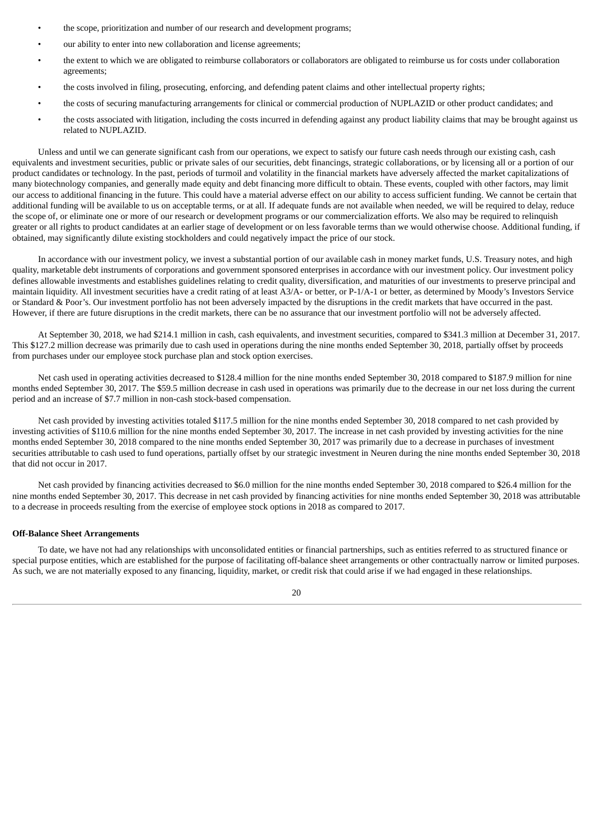- the scope, prioritization and number of our research and development programs;
- our ability to enter into new collaboration and license agreements;
- the extent to which we are obligated to reimburse collaborators or collaborators are obligated to reimburse us for costs under collaboration agreements;
- the costs involved in filing, prosecuting, enforcing, and defending patent claims and other intellectual property rights;
- the costs of securing manufacturing arrangements for clinical or commercial production of NUPLAZID or other product candidates; and
- the costs associated with litigation, including the costs incurred in defending against any product liability claims that may be brought against us related to NUPLAZID.

Unless and until we can generate significant cash from our operations, we expect to satisfy our future cash needs through our existing cash, cash equivalents and investment securities, public or private sales of our securities, debt financings, strategic collaborations, or by licensing all or a portion of our product candidates or technology. In the past, periods of turmoil and volatility in the financial markets have adversely affected the market capitalizations of many biotechnology companies, and generally made equity and debt financing more difficult to obtain. These events, coupled with other factors, may limit our access to additional financing in the future. This could have a material adverse effect on our ability to access sufficient funding. We cannot be certain that additional funding will be available to us on acceptable terms, or at all. If adequate funds are not available when needed, we will be required to delay, reduce the scope of, or eliminate one or more of our research or development programs or our commercialization efforts. We also may be required to relinquish greater or all rights to product candidates at an earlier stage of development or on less favorable terms than we would otherwise choose. Additional funding, if obtained, may significantly dilute existing stockholders and could negatively impact the price of our stock.

In accordance with our investment policy, we invest a substantial portion of our available cash in money market funds, U.S. Treasury notes, and high quality, marketable debt instruments of corporations and government sponsored enterprises in accordance with our investment policy. Our investment policy defines allowable investments and establishes guidelines relating to credit quality, diversification, and maturities of our investments to preserve principal and maintain liquidity. All investment securities have a credit rating of at least A3/A- or better, or P-1/A-1 or better, as determined by Moody's Investors Service or Standard & Poor's. Our investment portfolio has not been adversely impacted by the disruptions in the credit markets that have occurred in the past. However, if there are future disruptions in the credit markets, there can be no assurance that our investment portfolio will not be adversely affected.

At September 30, 2018, we had \$214.1 million in cash, cash equivalents, and investment securities, compared to \$341.3 million at December 31, 2017. This \$127.2 million decrease was primarily due to cash used in operations during the nine months ended September 30, 2018, partially offset by proceeds from purchases under our employee stock purchase plan and stock option exercises.

Net cash used in operating activities decreased to \$128.4 million for the nine months ended September 30, 2018 compared to \$187.9 million for nine months ended September 30, 2017. The \$59.5 million decrease in cash used in operations was primarily due to the decrease in our net loss during the current period and an increase of \$7.7 million in non-cash stock-based compensation.

Net cash provided by investing activities totaled \$117.5 million for the nine months ended September 30, 2018 compared to net cash provided by investing activities of \$110.6 million for the nine months ended September 30, 2017. The increase in net cash provided by investing activities for the nine months ended September 30, 2018 compared to the nine months ended September 30, 2017 was primarily due to a decrease in purchases of investment securities attributable to cash used to fund operations, partially offset by our strategic investment in Neuren during the nine months ended September 30, 2018 that did not occur in 2017.

Net cash provided by financing activities decreased to \$6.0 million for the nine months ended September 30, 2018 compared to \$26.4 million for the nine months ended September 30, 2017. This decrease in net cash provided by financing activities for nine months ended September 30, 2018 was attributable to a decrease in proceeds resulting from the exercise of employee stock options in 2018 as compared to 2017.

#### **Off-Balance Sheet Arrangements**

To date, we have not had any relationships with unconsolidated entities or financial partnerships, such as entities referred to as structured finance or special purpose entities, which are established for the purpose of facilitating off-balance sheet arrangements or other contractually narrow or limited purposes. As such, we are not materially exposed to any financing, liquidity, market, or credit risk that could arise if we had engaged in these relationships.

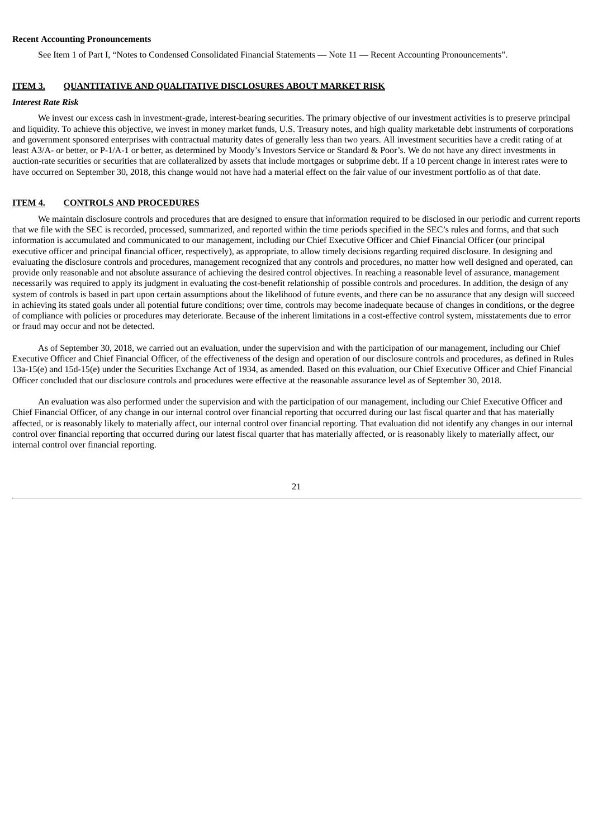#### **Recent Accounting Pronouncements**

<span id="page-22-0"></span>See Item 1 of Part I, "Notes to Condensed Consolidated Financial Statements — Note 11 — Recent Accounting Pronouncements".

#### **ITEM 3. QUANTITATIVE AND QUALITATIVE DISCLOSURES ABOUT MARKET RISK**

#### *Interest Rate Risk*

We invest our excess cash in investment-grade, interest-bearing securities. The primary objective of our investment activities is to preserve principal and liquidity. To achieve this objective, we invest in money market funds, U.S. Treasury notes, and high quality marketable debt instruments of corporations and government sponsored enterprises with contractual maturity dates of generally less than two years. All investment securities have a credit rating of at least A3/A- or better, or P-1/A-1 or better, as determined by Moody's Investors Service or Standard & Poor's. We do not have any direct investments in auction-rate securities or securities that are collateralized by assets that include mortgages or subprime debt. If a 10 percent change in interest rates were to have occurred on September 30, 2018, this change would not have had a material effect on the fair value of our investment portfolio as of that date.

#### <span id="page-22-1"></span>**ITEM 4. CONTROLS AND PROCEDURES**

We maintain disclosure controls and procedures that are designed to ensure that information required to be disclosed in our periodic and current reports that we file with the SEC is recorded, processed, summarized, and reported within the time periods specified in the SEC's rules and forms, and that such information is accumulated and communicated to our management, including our Chief Executive Officer and Chief Financial Officer (our principal executive officer and principal financial officer, respectively), as appropriate, to allow timely decisions regarding required disclosure. In designing and evaluating the disclosure controls and procedures, management recognized that any controls and procedures, no matter how well designed and operated, can provide only reasonable and not absolute assurance of achieving the desired control objectives. In reaching a reasonable level of assurance, management necessarily was required to apply its judgment in evaluating the cost-benefit relationship of possible controls and procedures. In addition, the design of any system of controls is based in part upon certain assumptions about the likelihood of future events, and there can be no assurance that any design will succeed in achieving its stated goals under all potential future conditions; over time, controls may become inadequate because of changes in conditions, or the degree of compliance with policies or procedures may deteriorate. Because of the inherent limitations in a cost-effective control system, misstatements due to error or fraud may occur and not be detected.

As of September 30, 2018, we carried out an evaluation, under the supervision and with the participation of our management, including our Chief Executive Officer and Chief Financial Officer, of the effectiveness of the design and operation of our disclosure controls and procedures, as defined in Rules 13a-15(e) and 15d-15(e) under the Securities Exchange Act of 1934, as amended. Based on this evaluation, our Chief Executive Officer and Chief Financial Officer concluded that our disclosure controls and procedures were effective at the reasonable assurance level as of September 30, 2018.

An evaluation was also performed under the supervision and with the participation of our management, including our Chief Executive Officer and Chief Financial Officer, of any change in our internal control over financial reporting that occurred during our last fiscal quarter and that has materially affected, or is reasonably likely to materially affect, our internal control over financial reporting. That evaluation did not identify any changes in our internal control over financial reporting that occurred during our latest fiscal quarter that has materially affected, or is reasonably likely to materially affect, our internal control over financial reporting.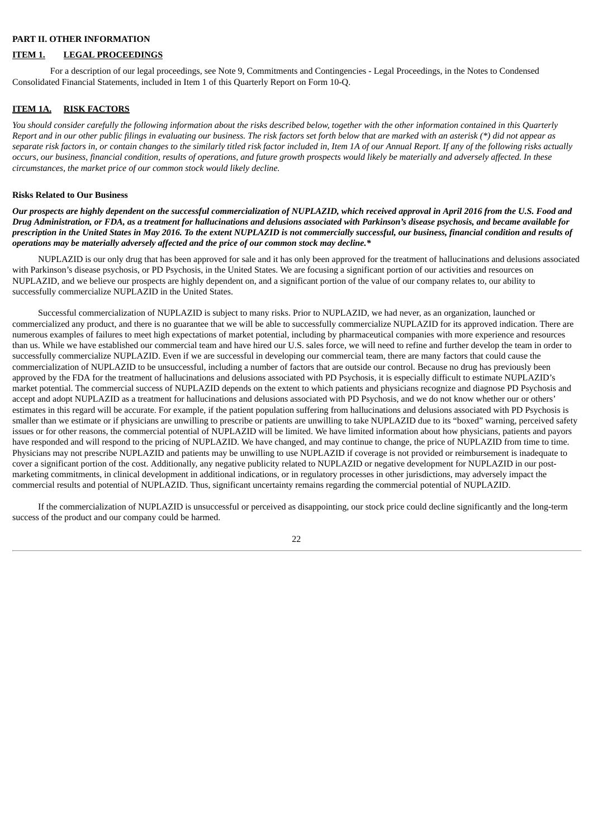#### <span id="page-23-0"></span>**PART II. OTHER INFORMATION**

#### <span id="page-23-1"></span>**ITEM 1. LEGAL PROCEEDINGS**

For a description of our legal proceedings, see Note 9, Commitments and Contingencies - Legal Proceedings, in the Notes to Condensed Consolidated Financial Statements, included in Item 1 of this Quarterly Report on Form 10-Q.

#### <span id="page-23-2"></span>**ITEM 1A. RISK FACTORS**

You should consider carefully the following information about the risks described below, together with the other information contained in this Quarterly Report and in our other public filings in evaluating our business. The risk factors set forth below that are marked with an asterisk (\*) did not appear as separate risk factors in, or contain changes to the similarly titled risk factor included in, Item 1A of our Annual Report. If any of the following risks actually occurs, our business, financial condition, results of operations, and future growth prospects would likely be materially and adversely affected. In these *circumstances, the market price of our common stock would likely decline.*

#### **Risks Related to Our Business**

Our prospects are highly dependent on the successful commercialization of NUPLAZID, which received approval in April 2016 from the U.S. Food and Drug Administration, or FDA, as a treatment for hallucinations and delusions associated with Parkinson's disease psychosis, and became available for prescription in the United States in May 2016. To the extent NUPLAZID is not commercially successful, our business, financial condition and results of *operations may be materially adversely affected and the price of our common stock may decline.\**

NUPLAZID is our only drug that has been approved for sale and it has only been approved for the treatment of hallucinations and delusions associated with Parkinson's disease psychosis, or PD Psychosis, in the United States. We are focusing a significant portion of our activities and resources on NUPLAZID, and we believe our prospects are highly dependent on, and a significant portion of the value of our company relates to, our ability to successfully commercialize NUPLAZID in the United States.

Successful commercialization of NUPLAZID is subject to many risks. Prior to NUPLAZID, we had never, as an organization, launched or commercialized any product, and there is no guarantee that we will be able to successfully commercialize NUPLAZID for its approved indication. There are numerous examples of failures to meet high expectations of market potential, including by pharmaceutical companies with more experience and resources than us. While we have established our commercial team and have hired our U.S. sales force, we will need to refine and further develop the team in order to successfully commercialize NUPLAZID. Even if we are successful in developing our commercial team, there are many factors that could cause the commercialization of NUPLAZID to be unsuccessful, including a number of factors that are outside our control. Because no drug has previously been approved by the FDA for the treatment of hallucinations and delusions associated with PD Psychosis, it is especially difficult to estimate NUPLAZID's market potential. The commercial success of NUPLAZID depends on the extent to which patients and physicians recognize and diagnose PD Psychosis and accept and adopt NUPLAZID as a treatment for hallucinations and delusions associated with PD Psychosis, and we do not know whether our or others' estimates in this regard will be accurate. For example, if the patient population suffering from hallucinations and delusions associated with PD Psychosis is smaller than we estimate or if physicians are unwilling to prescribe or patients are unwilling to take NUPLAZID due to its "boxed" warning, perceived safety issues or for other reasons, the commercial potential of NUPLAZID will be limited. We have limited information about how physicians, patients and payors have responded and will respond to the pricing of NUPLAZID. We have changed, and may continue to change, the price of NUPLAZID from time to time. Physicians may not prescribe NUPLAZID and patients may be unwilling to use NUPLAZID if coverage is not provided or reimbursement is inadequate to cover a significant portion of the cost. Additionally, any negative publicity related to NUPLAZID or negative development for NUPLAZID in our postmarketing commitments, in clinical development in additional indications, or in regulatory processes in other jurisdictions, may adversely impact the commercial results and potential of NUPLAZID. Thus, significant uncertainty remains regarding the commercial potential of NUPLAZID.

If the commercialization of NUPLAZID is unsuccessful or perceived as disappointing, our stock price could decline significantly and the long-term success of the product and our company could be harmed.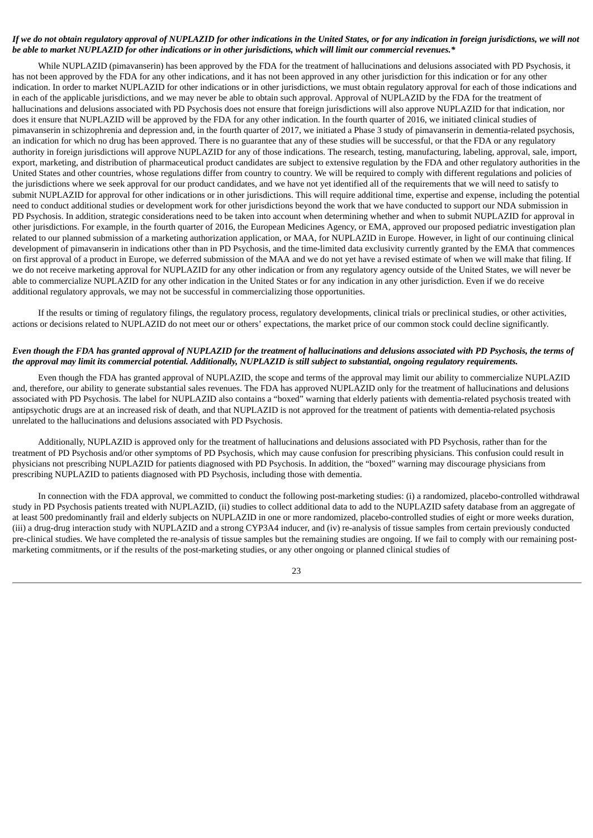#### If we do not obtain regulatory approval of NUPLAZID for other indications in the United States, or for any indication in foreign jurisdictions, we will not be able to market NUPLAZID for other indications or in other jurisdictions, which will limit our commercial revenues.\*

While NUPLAZID (pimavanserin) has been approved by the FDA for the treatment of hallucinations and delusions associated with PD Psychosis, it has not been approved by the FDA for any other indications, and it has not been approved in any other jurisdiction for this indication or for any other indication. In order to market NUPLAZID for other indications or in other jurisdictions, we must obtain regulatory approval for each of those indications and in each of the applicable jurisdictions, and we may never be able to obtain such approval. Approval of NUPLAZID by the FDA for the treatment of hallucinations and delusions associated with PD Psychosis does not ensure that foreign jurisdictions will also approve NUPLAZID for that indication, nor does it ensure that NUPLAZID will be approved by the FDA for any other indication. In the fourth quarter of 2016, we initiated clinical studies of pimavanserin in schizophrenia and depression and, in the fourth quarter of 2017, we initiated a Phase 3 study of pimavanserin in dementia-related psychosis, an indication for which no drug has been approved. There is no guarantee that any of these studies will be successful, or that the FDA or any regulatory authority in foreign jurisdictions will approve NUPLAZID for any of those indications. The research, testing, manufacturing, labeling, approval, sale, import, export, marketing, and distribution of pharmaceutical product candidates are subject to extensive regulation by the FDA and other regulatory authorities in the United States and other countries, whose regulations differ from country to country. We will be required to comply with different regulations and policies of the jurisdictions where we seek approval for our product candidates, and we have not yet identified all of the requirements that we will need to satisfy to submit NUPLAZID for approval for other indications or in other jurisdictions. This will require additional time, expertise and expense, including the potential need to conduct additional studies or development work for other jurisdictions beyond the work that we have conducted to support our NDA submission in PD Psychosis. In addition, strategic considerations need to be taken into account when determining whether and when to submit NUPLAZID for approval in other jurisdictions. For example, in the fourth quarter of 2016, the European Medicines Agency, or EMA, approved our proposed pediatric investigation plan related to our planned submission of a marketing authorization application, or MAA, for NUPLAZID in Europe. However, in light of our continuing clinical development of pimavanserin in indications other than in PD Psychosis, and the time-limited data exclusivity currently granted by the EMA that commences on first approval of a product in Europe, we deferred submission of the MAA and we do not yet have a revised estimate of when we will make that filing. If we do not receive marketing approval for NUPLAZID for any other indication or from any regulatory agency outside of the United States, we will never be able to commercialize NUPLAZID for any other indication in the United States or for any indication in any other jurisdiction. Even if we do receive additional regulatory approvals, we may not be successful in commercializing those opportunities.

If the results or timing of regulatory filings, the regulatory process, regulatory developments, clinical trials or preclinical studies, or other activities, actions or decisions related to NUPLAZID do not meet our or others' expectations, the market price of our common stock could decline significantly.

#### Even though the FDA has granted approval of NUPLAZID for the treatment of hallucinations and delusions associated with PD Psychosis, the terms of the approval may limit its commercial potential. Additionally, NUPLAZID is still subject to substantial, ongoing regulatory requirements.

Even though the FDA has granted approval of NUPLAZID, the scope and terms of the approval may limit our ability to commercialize NUPLAZID and, therefore, our ability to generate substantial sales revenues. The FDA has approved NUPLAZID only for the treatment of hallucinations and delusions associated with PD Psychosis. The label for NUPLAZID also contains a "boxed" warning that elderly patients with dementia-related psychosis treated with antipsychotic drugs are at an increased risk of death, and that NUPLAZID is not approved for the treatment of patients with dementia-related psychosis unrelated to the hallucinations and delusions associated with PD Psychosis.

Additionally, NUPLAZID is approved only for the treatment of hallucinations and delusions associated with PD Psychosis, rather than for the treatment of PD Psychosis and/or other symptoms of PD Psychosis, which may cause confusion for prescribing physicians. This confusion could result in physicians not prescribing NUPLAZID for patients diagnosed with PD Psychosis. In addition, the "boxed" warning may discourage physicians from prescribing NUPLAZID to patients diagnosed with PD Psychosis, including those with dementia.

In connection with the FDA approval, we committed to conduct the following post-marketing studies: (i) a randomized, placebo-controlled withdrawal study in PD Psychosis patients treated with NUPLAZID, (ii) studies to collect additional data to add to the NUPLAZID safety database from an aggregate of at least 500 predominantly frail and elderly subjects on NUPLAZID in one or more randomized, placebo-controlled studies of eight or more weeks duration, (iii) a drug-drug interaction study with NUPLAZID and a strong CYP3A4 inducer, and (iv) re-analysis of tissue samples from certain previously conducted pre-clinical studies. We have completed the re-analysis of tissue samples but the remaining studies are ongoing. If we fail to comply with our remaining postmarketing commitments, or if the results of the post-marketing studies, or any other ongoing or planned clinical studies of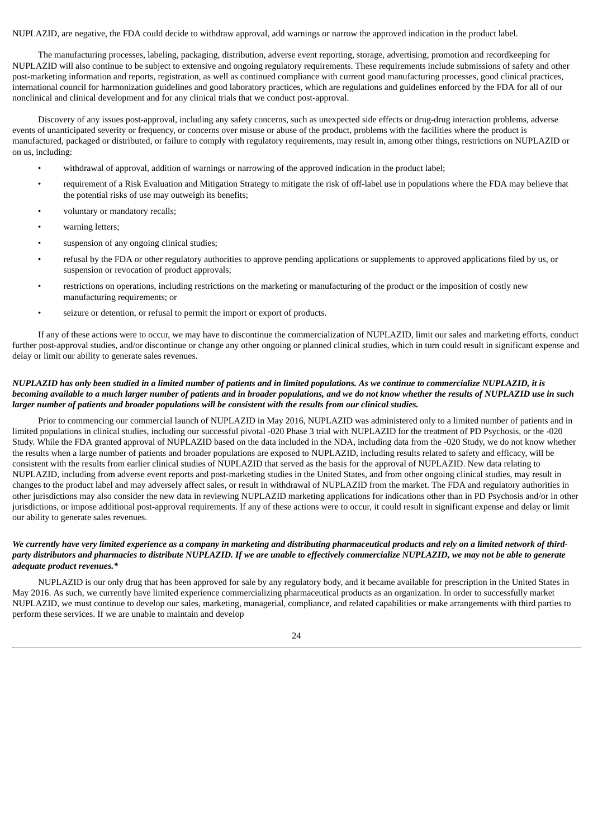NUPLAZID, are negative, the FDA could decide to withdraw approval, add warnings or narrow the approved indication in the product label.

The manufacturing processes, labeling, packaging, distribution, adverse event reporting, storage, advertising, promotion and recordkeeping for NUPLAZID will also continue to be subject to extensive and ongoing regulatory requirements. These requirements include submissions of safety and other post-marketing information and reports, registration, as well as continued compliance with current good manufacturing processes, good clinical practices, international council for harmonization guidelines and good laboratory practices, which are regulations and guidelines enforced by the FDA for all of our nonclinical and clinical development and for any clinical trials that we conduct post-approval.

Discovery of any issues post-approval, including any safety concerns, such as unexpected side effects or drug-drug interaction problems, adverse events of unanticipated severity or frequency, or concerns over misuse or abuse of the product, problems with the facilities where the product is manufactured, packaged or distributed, or failure to comply with regulatory requirements, may result in, among other things, restrictions on NUPLAZID or on us, including:

- withdrawal of approval, addition of warnings or narrowing of the approved indication in the product label;
- requirement of a Risk Evaluation and Mitigation Strategy to mitigate the risk of off-label use in populations where the FDA may believe that the potential risks of use may outweigh its benefits;
- voluntary or mandatory recalls;
- warning letters;
- suspension of any ongoing clinical studies;
- refusal by the FDA or other regulatory authorities to approve pending applications or supplements to approved applications filed by us, or suspension or revocation of product approvals;
- restrictions on operations, including restrictions on the marketing or manufacturing of the product or the imposition of costly new manufacturing requirements; or
- seizure or detention, or refusal to permit the import or export of products.

If any of these actions were to occur, we may have to discontinue the commercialization of NUPLAZID, limit our sales and marketing efforts, conduct further post-approval studies, and/or discontinue or change any other ongoing or planned clinical studies, which in turn could result in significant expense and delay or limit our ability to generate sales revenues.

#### NUPLAZID has only been studied in a limited number of patients and in limited populations. As we continue to commercialize NUPLAZID, it is becoming available to a much larger number of patients and in broader populations, and we do not know whether the results of NUPLAZID use in such larger number of patients and broader populations will be consistent with the results from our clinical studies.

Prior to commencing our commercial launch of NUPLAZID in May 2016, NUPLAZID was administered only to a limited number of patients and in limited populations in clinical studies, including our successful pivotal -020 Phase 3 trial with NUPLAZID for the treatment of PD Psychosis, or the -020 Study. While the FDA granted approval of NUPLAZID based on the data included in the NDA, including data from the -020 Study, we do not know whether the results when a large number of patients and broader populations are exposed to NUPLAZID, including results related to safety and efficacy, will be consistent with the results from earlier clinical studies of NUPLAZID that served as the basis for the approval of NUPLAZID. New data relating to NUPLAZID, including from adverse event reports and post-marketing studies in the United States, and from other ongoing clinical studies, may result in changes to the product label and may adversely affect sales, or result in withdrawal of NUPLAZID from the market. The FDA and regulatory authorities in other jurisdictions may also consider the new data in reviewing NUPLAZID marketing applications for indications other than in PD Psychosis and/or in other jurisdictions, or impose additional post-approval requirements. If any of these actions were to occur, it could result in significant expense and delay or limit our ability to generate sales revenues.

#### We currently have very limited experience as a company in marketing and distributing pharmaceutical products and rely on a limited network of thirdparty distributors and pharmacies to distribute NUPLAZID. If we are unable to effectively commercialize NUPLAZID, we may not be able to generate *adequate product revenues.\**

NUPLAZID is our only drug that has been approved for sale by any regulatory body, and it became available for prescription in the United States in May 2016. As such, we currently have limited experience commercializing pharmaceutical products as an organization. In order to successfully market NUPLAZID, we must continue to develop our sales, marketing, managerial, compliance, and related capabilities or make arrangements with third parties to perform these services. If we are unable to maintain and develop

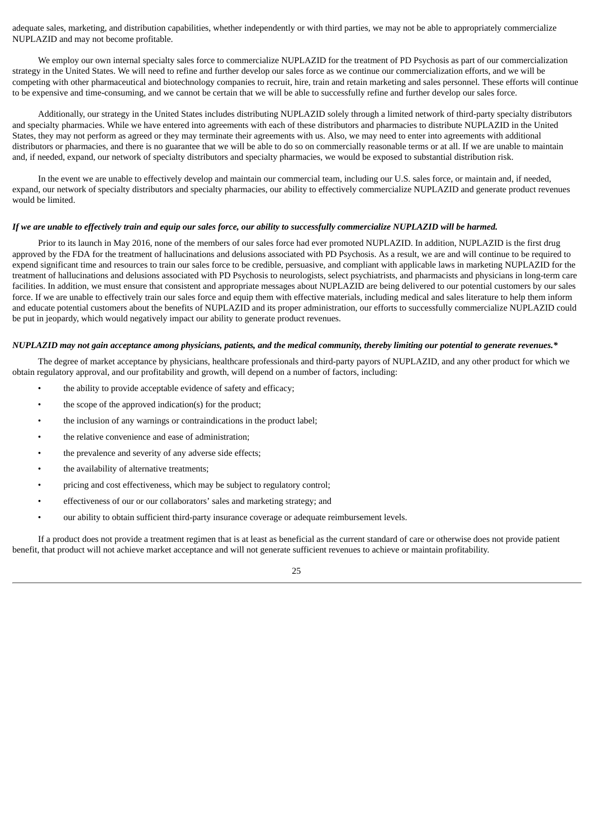adequate sales, marketing, and distribution capabilities, whether independently or with third parties, we may not be able to appropriately commercialize NUPLAZID and may not become profitable.

We employ our own internal specialty sales force to commercialize NUPLAZID for the treatment of PD Psychosis as part of our commercialization strategy in the United States. We will need to refine and further develop our sales force as we continue our commercialization efforts, and we will be competing with other pharmaceutical and biotechnology companies to recruit, hire, train and retain marketing and sales personnel. These efforts will continue to be expensive and time-consuming, and we cannot be certain that we will be able to successfully refine and further develop our sales force.

Additionally, our strategy in the United States includes distributing NUPLAZID solely through a limited network of third-party specialty distributors and specialty pharmacies. While we have entered into agreements with each of these distributors and pharmacies to distribute NUPLAZID in the United States, they may not perform as agreed or they may terminate their agreements with us. Also, we may need to enter into agreements with additional distributors or pharmacies, and there is no guarantee that we will be able to do so on commercially reasonable terms or at all. If we are unable to maintain and, if needed, expand, our network of specialty distributors and specialty pharmacies, we would be exposed to substantial distribution risk.

In the event we are unable to effectively develop and maintain our commercial team, including our U.S. sales force, or maintain and, if needed, expand, our network of specialty distributors and specialty pharmacies, our ability to effectively commercialize NUPLAZID and generate product revenues would be limited.

#### If we are unable to effectively train and equip our sales force, our ability to successfully commercialize NUPLAZID will be harmed.

Prior to its launch in May 2016, none of the members of our sales force had ever promoted NUPLAZID. In addition, NUPLAZID is the first drug approved by the FDA for the treatment of hallucinations and delusions associated with PD Psychosis. As a result, we are and will continue to be required to expend significant time and resources to train our sales force to be credible, persuasive, and compliant with applicable laws in marketing NUPLAZID for the treatment of hallucinations and delusions associated with PD Psychosis to neurologists, select psychiatrists, and pharmacists and physicians in long-term care facilities. In addition, we must ensure that consistent and appropriate messages about NUPLAZID are being delivered to our potential customers by our sales force. If we are unable to effectively train our sales force and equip them with effective materials, including medical and sales literature to help them inform and educate potential customers about the benefits of NUPLAZID and its proper administration, our efforts to successfully commercialize NUPLAZID could be put in jeopardy, which would negatively impact our ability to generate product revenues.

#### NUPLAZID may not gain acceptance among physicians, patients, and the medical community, thereby limiting our potential to generate revenues.\*

The degree of market acceptance by physicians, healthcare professionals and third-party payors of NUPLAZID, and any other product for which we obtain regulatory approval, and our profitability and growth, will depend on a number of factors, including:

- the ability to provide acceptable evidence of safety and efficacy;
- the scope of the approved indication(s) for the product;
- the inclusion of any warnings or contraindications in the product label;
- the relative convenience and ease of administration;
- the prevalence and severity of any adverse side effects;
- the availability of alternative treatments;
- pricing and cost effectiveness, which may be subject to regulatory control;
- effectiveness of our or our collaborators' sales and marketing strategy; and
- our ability to obtain sufficient third-party insurance coverage or adequate reimbursement levels.

If a product does not provide a treatment regimen that is at least as beneficial as the current standard of care or otherwise does not provide patient benefit, that product will not achieve market acceptance and will not generate sufficient revenues to achieve or maintain profitability.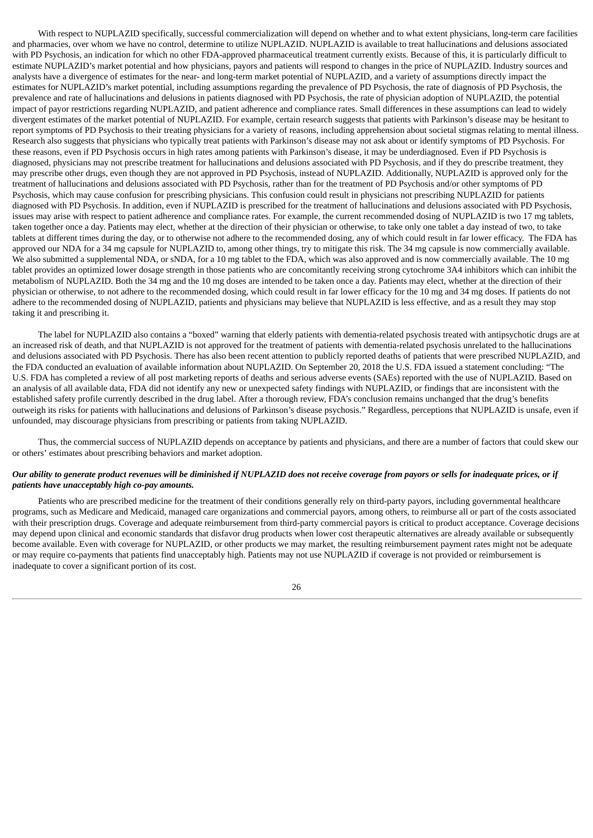With respect to NUPLAZID specifically, successful commercialization will depend on whether and to what extent physicians, long-term care facilities and pharmacies, over whom we have no control, determine to utilize NUPLAZID. NUPLAZID is available to treat hallucinations and delusions associated with PD Psychosis, an indication for which no other FDA-approved pharmaceutical treatment currently exists. Because of this, it is particularly difficult to estimate NUPLAZID's market potential and how physicians, payors and patients will respond to changes in the price of NUPLAZID. Industry sources and analysts have a divergence of estimates for the near- and long-term market potential of NUPLAZID, and a variety of assumptions directly impact the estimates for NUPLAZID's market potential, including assumptions regarding the prevalence of PD Psychosis, the rate of diagnosis of PD Psychosis, the prevalence and rate of hallucinations and delusions in patients diagnosed with PD Psychosis, the rate of physician adoption of NUPLAZID, the potential impact of payor restrictions regarding NUPLAZID, and patient adherence and compliance rates. Small differences in these assumptions can lead to widely divergent estimates of the market potential of NUPLAZID. For example, certain research suggests that patients with Parkinson's disease may be hesitant to report symptoms of PD Psychosis to their treating physicians for a variety of reasons, including apprehension about societal stigmas relating to mental illness. Research also suggests that physicians who typically treat patients with Parkinson's disease may not ask about or identify symptoms of PD Psychosis. For these reasons, even if PD Psychosis occurs in high rates among patients with Parkinson's disease, it may be underdiagnosed. Even if PD Psychosis is diagnosed, physicians may not prescribe treatment for hallucinations and delusions associated with PD Psychosis, and if they do prescribe treatment, they may prescribe other drugs, even though they are not approved in PD Psychosis, instead of NUPLAZID. Additionally, NUPLAZID is approved only for the treatment of hallucinations and delusions associated with PD Psychosis, rather than for the treatment of PD Psychosis and/or other symptoms of PD Psychosis, which may cause confusion for prescribing physicians. This confusion could result in physicians not prescribing NUPLAZID for patients diagnosed with PD Psychosis. In addition, even if NUPLAZID is prescribed for the treatment of hallucinations and delusions associated with PD Psychosis, issues may arise with respect to patient adherence and compliance rates. For example, the current recommended dosing of NUPLAZID is two 17 mg tablets, taken together once a day. Patients may elect, whether at the direction of their physician or otherwise, to take only one tablet a day instead of two, to take tablets at different times during the day, or to otherwise not adhere to the recommended dosing, any of which could result in far lower efficacy. The FDA has approved our NDA for a 34 mg capsule for NUPLAZID to, among other things, try to mitigate this risk. The 34 mg capsule is now commercially available. We also submitted a supplemental NDA, or sNDA, for a 10 mg tablet to the FDA, which was also approved and is now commercially available. The 10 mg tablet provides an optimized lower dosage strength in those patients who are concomitantly receiving strong cytochrome 3A4 inhibitors which can inhibit the metabolism of NUPLAZID. Both the 34 mg and the 10 mg doses are intended to be taken once a day. Patients may elect, whether at the direction of their physician or otherwise, to not adhere to the recommended dosing, which could result in far lower efficacy for the 10 mg and 34 mg doses. If patients do not adhere to the recommended dosing of NUPLAZID, patients and physicians may believe that NUPLAZID is less effective, and as a result they may stop taking it and prescribing it.

The label for NUPLAZID also contains a "boxed" warning that elderly patients with dementia-related psychosis treated with antipsychotic drugs are at an increased risk of death, and that NUPLAZID is not approved for the treatment of patients with dementia-related psychosis unrelated to the hallucinations and delusions associated with PD Psychosis. There has also been recent attention to publicly reported deaths of patients that were prescribed NUPLAZID, and the FDA conducted an evaluation of available information about NUPLAZID. On September 20, 2018 the U.S. FDA issued a statement concluding: "The U.S. FDA has completed a review of all post marketing reports of deaths and serious adverse events (SAEs) reported with the use of NUPLAZID. Based on an analysis of all available data, FDA did not identify any new or unexpected safety findings with NUPLAZID, or findings that are inconsistent with the established safety profile currently described in the drug label. After a thorough review, FDA's conclusion remains unchanged that the drug's benefits outweigh its risks for patients with hallucinations and delusions of Parkinson's disease psychosis." Regardless, perceptions that NUPLAZID is unsafe, even if unfounded, may discourage physicians from prescribing or patients from taking NUPLAZID.

Thus, the commercial success of NUPLAZID depends on acceptance by patients and physicians, and there are a number of factors that could skew our or others' estimates about prescribing behaviors and market adoption.

#### Our ability to generate product revenues will be diminished if NUPLAZID does not receive coverage from payors or sells for inadequate prices, or if *patients have unacceptably high co-pay amounts.*

Patients who are prescribed medicine for the treatment of their conditions generally rely on third-party payors, including governmental healthcare programs, such as Medicare and Medicaid, managed care organizations and commercial payors, among others, to reimburse all or part of the costs associated with their prescription drugs. Coverage and adequate reimbursement from third-party commercial payors is critical to product acceptance. Coverage decisions may depend upon clinical and economic standards that disfavor drug products when lower cost therapeutic alternatives are already available or subsequently become available. Even with coverage for NUPLAZID, or other products we may market, the resulting reimbursement payment rates might not be adequate or may require co-payments that patients find unacceptably high. Patients may not use NUPLAZID if coverage is not provided or reimbursement is inadequate to cover a significant portion of its cost.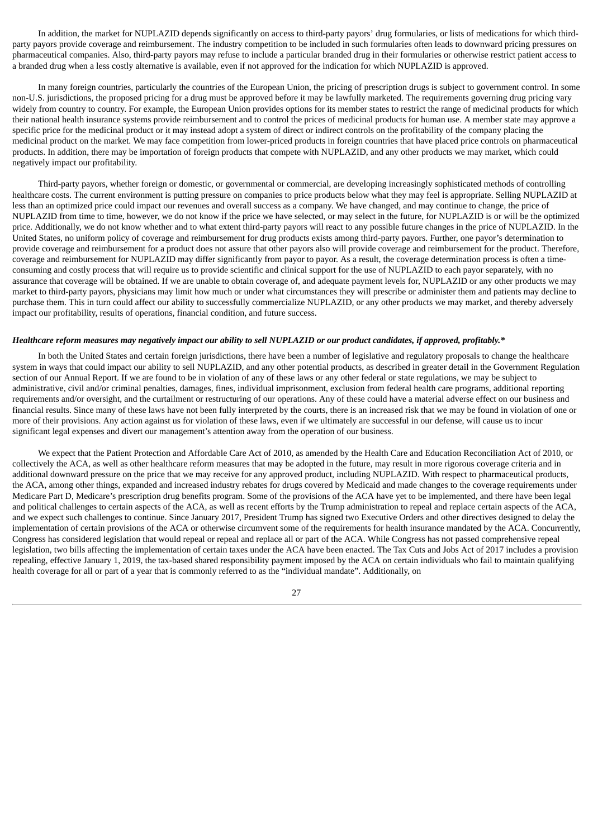In addition, the market for NUPLAZID depends significantly on access to third-party payors' drug formularies, or lists of medications for which thirdparty payors provide coverage and reimbursement. The industry competition to be included in such formularies often leads to downward pricing pressures on pharmaceutical companies. Also, third-party payors may refuse to include a particular branded drug in their formularies or otherwise restrict patient access to a branded drug when a less costly alternative is available, even if not approved for the indication for which NUPLAZID is approved.

In many foreign countries, particularly the countries of the European Union, the pricing of prescription drugs is subject to government control. In some non-U.S. jurisdictions, the proposed pricing for a drug must be approved before it may be lawfully marketed. The requirements governing drug pricing vary widely from country to country. For example, the European Union provides options for its member states to restrict the range of medicinal products for which their national health insurance systems provide reimbursement and to control the prices of medicinal products for human use. A member state may approve a specific price for the medicinal product or it may instead adopt a system of direct or indirect controls on the profitability of the company placing the medicinal product on the market. We may face competition from lower-priced products in foreign countries that have placed price controls on pharmaceutical products. In addition, there may be importation of foreign products that compete with NUPLAZID, and any other products we may market, which could negatively impact our profitability.

Third-party payors, whether foreign or domestic, or governmental or commercial, are developing increasingly sophisticated methods of controlling healthcare costs. The current environment is putting pressure on companies to price products below what they may feel is appropriate. Selling NUPLAZID at less than an optimized price could impact our revenues and overall success as a company. We have changed, and may continue to change, the price of NUPLAZID from time to time, however, we do not know if the price we have selected, or may select in the future, for NUPLAZID is or will be the optimized price. Additionally, we do not know whether and to what extent third-party payors will react to any possible future changes in the price of NUPLAZID. In the United States, no uniform policy of coverage and reimbursement for drug products exists among third-party payors. Further, one payor's determination to provide coverage and reimbursement for a product does not assure that other payors also will provide coverage and reimbursement for the product. Therefore, coverage and reimbursement for NUPLAZID may differ significantly from payor to payor. As a result, the coverage determination process is often a timeconsuming and costly process that will require us to provide scientific and clinical support for the use of NUPLAZID to each payor separately, with no assurance that coverage will be obtained. If we are unable to obtain coverage of, and adequate payment levels for, NUPLAZID or any other products we may market to third-party payors, physicians may limit how much or under what circumstances they will prescribe or administer them and patients may decline to purchase them. This in turn could affect our ability to successfully commercialize NUPLAZID, or any other products we may market, and thereby adversely impact our profitability, results of operations, financial condition, and future success.

#### Healthcare reform measures may negatively impact our ability to sell NUPLAZID or our product candidates, if approved, profitably.\*

In both the United States and certain foreign jurisdictions, there have been a number of legislative and regulatory proposals to change the healthcare system in ways that could impact our ability to sell NUPLAZID, and any other potential products, as described in greater detail in the Government Regulation section of our Annual Report. If we are found to be in violation of any of these laws or any other federal or state regulations, we may be subject to administrative, civil and/or criminal penalties, damages, fines, individual imprisonment, exclusion from federal health care programs, additional reporting requirements and/or oversight, and the curtailment or restructuring of our operations. Any of these could have a material adverse effect on our business and financial results. Since many of these laws have not been fully interpreted by the courts, there is an increased risk that we may be found in violation of one or more of their provisions. Any action against us for violation of these laws, even if we ultimately are successful in our defense, will cause us to incur significant legal expenses and divert our management's attention away from the operation of our business.

We expect that the Patient Protection and Affordable Care Act of 2010, as amended by the Health Care and Education Reconciliation Act of 2010, or collectively the ACA, as well as other healthcare reform measures that may be adopted in the future, may result in more rigorous coverage criteria and in additional downward pressure on the price that we may receive for any approved product, including NUPLAZID. With respect to pharmaceutical products, the ACA, among other things, expanded and increased industry rebates for drugs covered by Medicaid and made changes to the coverage requirements under Medicare Part D, Medicare's prescription drug benefits program. Some of the provisions of the ACA have yet to be implemented, and there have been legal and political challenges to certain aspects of the ACA, as well as recent efforts by the Trump administration to repeal and replace certain aspects of the ACA, and we expect such challenges to continue. Since January 2017, President Trump has signed two Executive Orders and other directives designed to delay the implementation of certain provisions of the ACA or otherwise circumvent some of the requirements for health insurance mandated by the ACA. Concurrently, Congress has considered legislation that would repeal or repeal and replace all or part of the ACA. While Congress has not passed comprehensive repeal legislation, two bills affecting the implementation of certain taxes under the ACA have been enacted. The Tax Cuts and Jobs Act of 2017 includes a provision repealing, effective January 1, 2019, the tax-based shared responsibility payment imposed by the ACA on certain individuals who fail to maintain qualifying health coverage for all or part of a year that is commonly referred to as the "individual mandate". Additionally, on

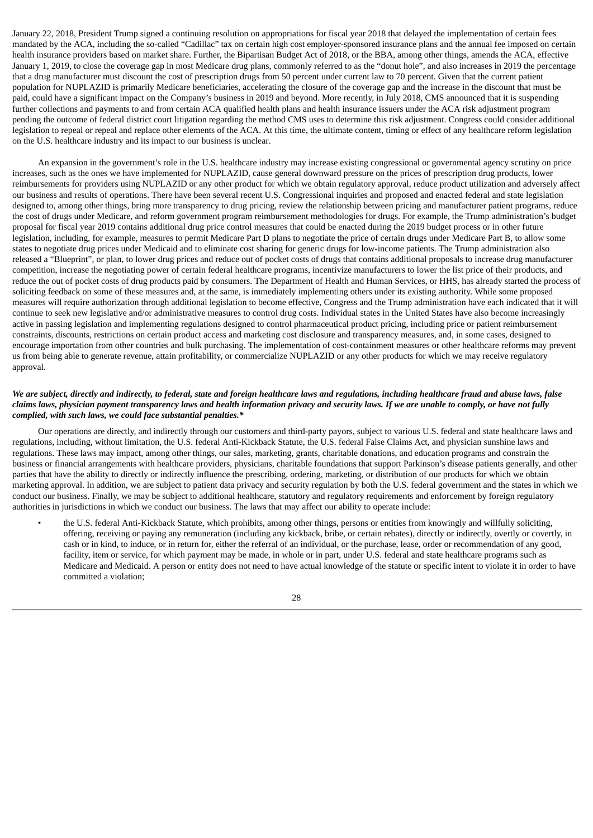January 22, 2018, President Trump signed a continuing resolution on appropriations for fiscal year 2018 that delayed the implementation of certain fees mandated by the ACA, including the so-called "Cadillac" tax on certain high cost employer-sponsored insurance plans and the annual fee imposed on certain health insurance providers based on market share. Further, the Bipartisan Budget Act of 2018, or the BBA, among other things, amends the ACA, effective January 1, 2019, to close the coverage gap in most Medicare drug plans, commonly referred to as the "donut hole", and also increases in 2019 the percentage that a drug manufacturer must discount the cost of prescription drugs from 50 percent under current law to 70 percent. Given that the current patient population for NUPLAZID is primarily Medicare beneficiaries, accelerating the closure of the coverage gap and the increase in the discount that must be paid, could have a significant impact on the Company's business in 2019 and beyond. More recently, in July 2018, CMS announced that it is suspending further collections and payments to and from certain ACA qualified health plans and health insurance issuers under the ACA risk adjustment program pending the outcome of federal district court litigation regarding the method CMS uses to determine this risk adjustment. Congress could consider additional legislation to repeal or repeal and replace other elements of the ACA. At this time, the ultimate content, timing or effect of any healthcare reform legislation on the U.S. healthcare industry and its impact to our business is unclear.

An expansion in the government's role in the U.S. healthcare industry may increase existing congressional or governmental agency scrutiny on price increases, such as the ones we have implemented for NUPLAZID, cause general downward pressure on the prices of prescription drug products, lower reimbursements for providers using NUPLAZID or any other product for which we obtain regulatory approval, reduce product utilization and adversely affect our business and results of operations. There have been several recent U.S. Congressional inquiries and proposed and enacted federal and state legislation designed to, among other things, bring more transparency to drug pricing, review the relationship between pricing and manufacturer patient programs, reduce the cost of drugs under Medicare, and reform government program reimbursement methodologies for drugs. For example, the Trump administration's budget proposal for fiscal year 2019 contains additional drug price control measures that could be enacted during the 2019 budget process or in other future legislation, including, for example, measures to permit Medicare Part D plans to negotiate the price of certain drugs under Medicare Part B, to allow some states to negotiate drug prices under Medicaid and to eliminate cost sharing for generic drugs for low-income patients. The Trump administration also released a "Blueprint", or plan, to lower drug prices and reduce out of pocket costs of drugs that contains additional proposals to increase drug manufacturer competition, increase the negotiating power of certain federal healthcare programs, incentivize manufacturers to lower the list price of their products, and reduce the out of pocket costs of drug products paid by consumers. The Department of Health and Human Services, or HHS, has already started the process of soliciting feedback on some of these measures and, at the same, is immediately implementing others under its existing authority. While some proposed measures will require authorization through additional legislation to become effective, Congress and the Trump administration have each indicated that it will continue to seek new legislative and/or administrative measures to control drug costs. Individual states in the United States have also become increasingly active in passing legislation and implementing regulations designed to control pharmaceutical product pricing, including price or patient reimbursement constraints, discounts, restrictions on certain product access and marketing cost disclosure and transparency measures, and, in some cases, designed to encourage importation from other countries and bulk purchasing. The implementation of cost-containment measures or other healthcare reforms may prevent us from being able to generate revenue, attain profitability, or commercialize NUPLAZID or any other products for which we may receive regulatory approval.

#### We are subject, directly and indirectly, to federal, state and foreign healthcare laws and regulations, including healthcare fraud and abuse laws, false claims laws, physician payment transparency laws and health information privacy and security laws. If we are unable to comply, or have not fully *complied, with such laws, we could face substantial penalties.\**

Our operations are directly, and indirectly through our customers and third-party payors, subject to various U.S. federal and state healthcare laws and regulations, including, without limitation, the U.S. federal Anti-Kickback Statute, the U.S. federal False Claims Act, and physician sunshine laws and regulations. These laws may impact, among other things, our sales, marketing, grants, charitable donations, and education programs and constrain the business or financial arrangements with healthcare providers, physicians, charitable foundations that support Parkinson's disease patients generally, and other parties that have the ability to directly or indirectly influence the prescribing, ordering, marketing, or distribution of our products for which we obtain marketing approval. In addition, we are subject to patient data privacy and security regulation by both the U.S. federal government and the states in which we conduct our business. Finally, we may be subject to additional healthcare, statutory and regulatory requirements and enforcement by foreign regulatory authorities in jurisdictions in which we conduct our business. The laws that may affect our ability to operate include:

• the U.S. federal Anti-Kickback Statute, which prohibits, among other things, persons or entities from knowingly and willfully soliciting, offering, receiving or paying any remuneration (including any kickback, bribe, or certain rebates), directly or indirectly, overtly or covertly, in cash or in kind, to induce, or in return for, either the referral of an individual, or the purchase, lease, order or recommendation of any good, facility, item or service, for which payment may be made, in whole or in part, under U.S. federal and state healthcare programs such as Medicare and Medicaid. A person or entity does not need to have actual knowledge of the statute or specific intent to violate it in order to have committed a violation;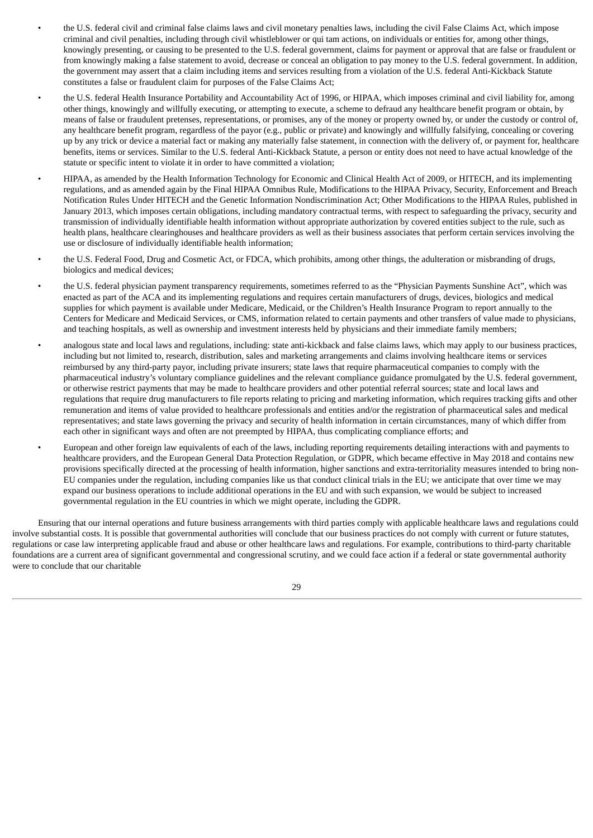- the U.S. federal civil and criminal false claims laws and civil monetary penalties laws, including the civil False Claims Act, which impose criminal and civil penalties, including through civil whistleblower or qui tam actions, on individuals or entities for, among other things, knowingly presenting, or causing to be presented to the U.S. federal government, claims for payment or approval that are false or fraudulent or from knowingly making a false statement to avoid, decrease or conceal an obligation to pay money to the U.S. federal government. In addition, the government may assert that a claim including items and services resulting from a violation of the U.S. federal Anti-Kickback Statute constitutes a false or fraudulent claim for purposes of the False Claims Act;
- the U.S. federal Health Insurance Portability and Accountability Act of 1996, or HIPAA, which imposes criminal and civil liability for, among other things, knowingly and willfully executing, or attempting to execute, a scheme to defraud any healthcare benefit program or obtain, by means of false or fraudulent pretenses, representations, or promises, any of the money or property owned by, or under the custody or control of, any healthcare benefit program, regardless of the payor (e.g., public or private) and knowingly and willfully falsifying, concealing or covering up by any trick or device a material fact or making any materially false statement, in connection with the delivery of, or payment for, healthcare benefits, items or services. Similar to the U.S. federal Anti-Kickback Statute, a person or entity does not need to have actual knowledge of the statute or specific intent to violate it in order to have committed a violation;
- HIPAA, as amended by the Health Information Technology for Economic and Clinical Health Act of 2009, or HITECH, and its implementing regulations, and as amended again by the Final HIPAA Omnibus Rule, Modifications to the HIPAA Privacy, Security, Enforcement and Breach Notification Rules Under HITECH and the Genetic Information Nondiscrimination Act; Other Modifications to the HIPAA Rules, published in January 2013, which imposes certain obligations, including mandatory contractual terms, with respect to safeguarding the privacy, security and transmission of individually identifiable health information without appropriate authorization by covered entities subject to the rule, such as health plans, healthcare clearinghouses and healthcare providers as well as their business associates that perform certain services involving the use or disclosure of individually identifiable health information;
- the U.S. Federal Food, Drug and Cosmetic Act, or FDCA, which prohibits, among other things, the adulteration or misbranding of drugs, biologics and medical devices;
- the U.S. federal physician payment transparency requirements, sometimes referred to as the "Physician Payments Sunshine Act", which was enacted as part of the ACA and its implementing regulations and requires certain manufacturers of drugs, devices, biologics and medical supplies for which payment is available under Medicare, Medicaid, or the Children's Health Insurance Program to report annually to the Centers for Medicare and Medicaid Services, or CMS, information related to certain payments and other transfers of value made to physicians, and teaching hospitals, as well as ownership and investment interests held by physicians and their immediate family members;
- analogous state and local laws and regulations, including: state anti-kickback and false claims laws, which may apply to our business practices, including but not limited to, research, distribution, sales and marketing arrangements and claims involving healthcare items or services reimbursed by any third-party payor, including private insurers; state laws that require pharmaceutical companies to comply with the pharmaceutical industry's voluntary compliance guidelines and the relevant compliance guidance promulgated by the U.S. federal government, or otherwise restrict payments that may be made to healthcare providers and other potential referral sources; state and local laws and regulations that require drug manufacturers to file reports relating to pricing and marketing information, which requires tracking gifts and other remuneration and items of value provided to healthcare professionals and entities and/or the registration of pharmaceutical sales and medical representatives; and state laws governing the privacy and security of health information in certain circumstances, many of which differ from each other in significant ways and often are not preempted by HIPAA, thus complicating compliance efforts; and
- European and other foreign law equivalents of each of the laws, including reporting requirements detailing interactions with and payments to healthcare providers, and the European General Data Protection Regulation, or GDPR, which became effective in May 2018 and contains new provisions specifically directed at the processing of health information, higher sanctions and extra-territoriality measures intended to bring non-EU companies under the regulation, including companies like us that conduct clinical trials in the EU; we anticipate that over time we may expand our business operations to include additional operations in the EU and with such expansion, we would be subject to increased governmental regulation in the EU countries in which we might operate, including the GDPR.

Ensuring that our internal operations and future business arrangements with third parties comply with applicable healthcare laws and regulations could involve substantial costs. It is possible that governmental authorities will conclude that our business practices do not comply with current or future statutes, regulations or case law interpreting applicable fraud and abuse or other healthcare laws and regulations. For example, contributions to third-party charitable foundations are a current area of significant governmental and congressional scrutiny, and we could face action if a federal or state governmental authority were to conclude that our charitable

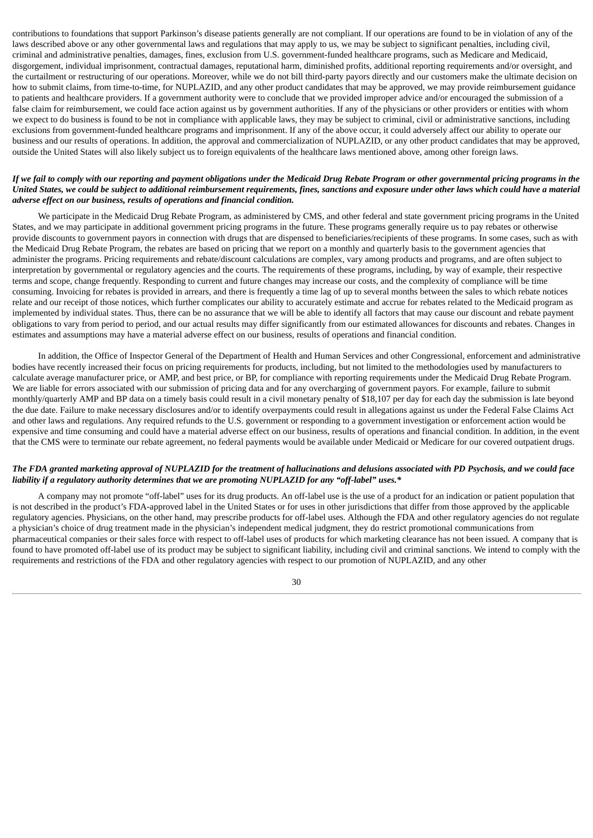contributions to foundations that support Parkinson's disease patients generally are not compliant. If our operations are found to be in violation of any of the laws described above or any other governmental laws and regulations that may apply to us, we may be subject to significant penalties, including civil, criminal and administrative penalties, damages, fines, exclusion from U.S. government-funded healthcare programs, such as Medicare and Medicaid, disgorgement, individual imprisonment, contractual damages, reputational harm, diminished profits, additional reporting requirements and/or oversight, and the curtailment or restructuring of our operations. Moreover, while we do not bill third-party payors directly and our customers make the ultimate decision on how to submit claims, from time-to-time, for NUPLAZID, and any other product candidates that may be approved, we may provide reimbursement guidance to patients and healthcare providers. If a government authority were to conclude that we provided improper advice and/or encouraged the submission of a false claim for reimbursement, we could face action against us by government authorities. If any of the physicians or other providers or entities with whom we expect to do business is found to be not in compliance with applicable laws, they may be subject to criminal, civil or administrative sanctions, including exclusions from government-funded healthcare programs and imprisonment. If any of the above occur, it could adversely affect our ability to operate our business and our results of operations. In addition, the approval and commercialization of NUPLAZID, or any other product candidates that may be approved, outside the United States will also likely subject us to foreign equivalents of the healthcare laws mentioned above, among other foreign laws.

#### If we fail to comply with our reporting and payment obligations under the Medicaid Drug Rebate Program or other governmental pricing programs in the United States, we could be subject to additional reimbursement requirements, fines, sanctions and exposure under other laws which could have a material *adverse effect on our business, results of operations and financial condition.*

We participate in the Medicaid Drug Rebate Program, as administered by CMS, and other federal and state government pricing programs in the United States, and we may participate in additional government pricing programs in the future. These programs generally require us to pay rebates or otherwise provide discounts to government payors in connection with drugs that are dispensed to beneficiaries/recipients of these programs. In some cases, such as with the Medicaid Drug Rebate Program, the rebates are based on pricing that we report on a monthly and quarterly basis to the government agencies that administer the programs. Pricing requirements and rebate/discount calculations are complex, vary among products and programs, and are often subject to interpretation by governmental or regulatory agencies and the courts. The requirements of these programs, including, by way of example, their respective terms and scope, change frequently. Responding to current and future changes may increase our costs, and the complexity of compliance will be time consuming. Invoicing for rebates is provided in arrears, and there is frequently a time lag of up to several months between the sales to which rebate notices relate and our receipt of those notices, which further complicates our ability to accurately estimate and accrue for rebates related to the Medicaid program as implemented by individual states. Thus, there can be no assurance that we will be able to identify all factors that may cause our discount and rebate payment obligations to vary from period to period, and our actual results may differ significantly from our estimated allowances for discounts and rebates. Changes in estimates and assumptions may have a material adverse effect on our business, results of operations and financial condition.

In addition, the Office of Inspector General of the Department of Health and Human Services and other Congressional, enforcement and administrative bodies have recently increased their focus on pricing requirements for products, including, but not limited to the methodologies used by manufacturers to calculate average manufacturer price, or AMP, and best price, or BP, for compliance with reporting requirements under the Medicaid Drug Rebate Program. We are liable for errors associated with our submission of pricing data and for any overcharging of government payors. For example, failure to submit monthly/quarterly AMP and BP data on a timely basis could result in a civil monetary penalty of \$18,107 per day for each day the submission is late beyond the due date. Failure to make necessary disclosures and/or to identify overpayments could result in allegations against us under the Federal False Claims Act and other laws and regulations. Any required refunds to the U.S. government or responding to a government investigation or enforcement action would be expensive and time consuming and could have a material adverse effect on our business, results of operations and financial condition. In addition, in the event that the CMS were to terminate our rebate agreement, no federal payments would be available under Medicaid or Medicare for our covered outpatient drugs.

#### The FDA granted marketing approval of NUPLAZID for the treatment of hallucinations and delusions associated with PD Psychosis, and we could face *liability if a regulatory authority determines that we are promoting NUPLAZID for any "off-label" uses.\**

A company may not promote "off-label" uses for its drug products. An off-label use is the use of a product for an indication or patient population that is not described in the product's FDA-approved label in the United States or for uses in other jurisdictions that differ from those approved by the applicable regulatory agencies. Physicians, on the other hand, may prescribe products for off-label uses. Although the FDA and other regulatory agencies do not regulate a physician's choice of drug treatment made in the physician's independent medical judgment, they do restrict promotional communications from pharmaceutical companies or their sales force with respect to off-label uses of products for which marketing clearance has not been issued. A company that is found to have promoted off-label use of its product may be subject to significant liability, including civil and criminal sanctions. We intend to comply with the requirements and restrictions of the FDA and other regulatory agencies with respect to our promotion of NUPLAZID, and any other

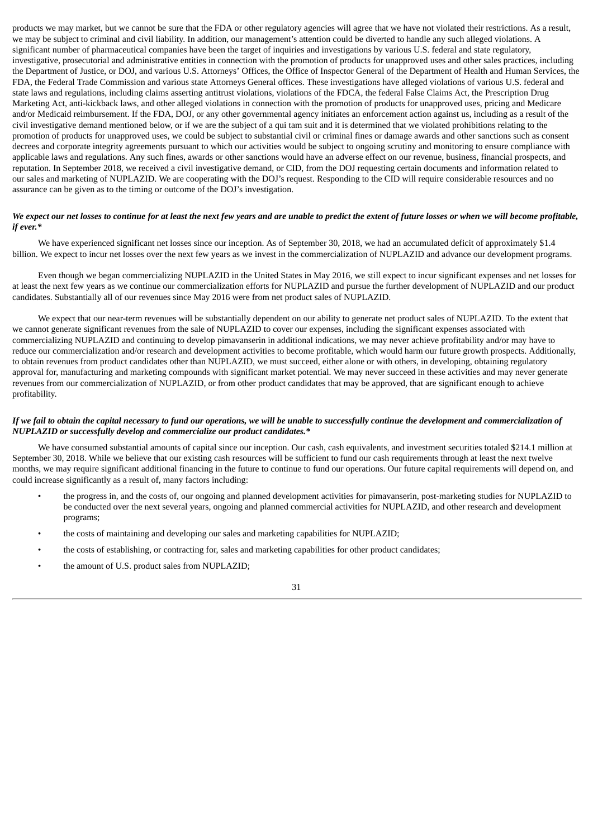products we may market, but we cannot be sure that the FDA or other regulatory agencies will agree that we have not violated their restrictions. As a result, we may be subject to criminal and civil liability. In addition, our management's attention could be diverted to handle any such alleged violations. A significant number of pharmaceutical companies have been the target of inquiries and investigations by various U.S. federal and state regulatory, investigative, prosecutorial and administrative entities in connection with the promotion of products for unapproved uses and other sales practices, including the Department of Justice, or DOJ, and various U.S. Attorneys' Offices, the Office of Inspector General of the Department of Health and Human Services, the FDA, the Federal Trade Commission and various state Attorneys General offices. These investigations have alleged violations of various U.S. federal and state laws and regulations, including claims asserting antitrust violations, violations of the FDCA, the federal False Claims Act, the Prescription Drug Marketing Act, anti-kickback laws, and other alleged violations in connection with the promotion of products for unapproved uses, pricing and Medicare and/or Medicaid reimbursement. If the FDA, DOJ, or any other governmental agency initiates an enforcement action against us, including as a result of the civil investigative demand mentioned below, or if we are the subject of a qui tam suit and it is determined that we violated prohibitions relating to the promotion of products for unapproved uses, we could be subject to substantial civil or criminal fines or damage awards and other sanctions such as consent decrees and corporate integrity agreements pursuant to which our activities would be subject to ongoing scrutiny and monitoring to ensure compliance with applicable laws and regulations. Any such fines, awards or other sanctions would have an adverse effect on our revenue, business, financial prospects, and reputation. In September 2018, we received a civil investigative demand, or CID, from the DOJ requesting certain documents and information related to our sales and marketing of NUPLAZID. We are cooperating with the DOJ's request. Responding to the CID will require considerable resources and no assurance can be given as to the timing or outcome of the DOJ's investigation.

#### We expect our net losses to continue for at least the next few years and are unable to predict the extent of future losses or when we will become profitable, *if ever.\**

We have experienced significant net losses since our inception. As of September 30, 2018, we had an accumulated deficit of approximately \$1.4 billion. We expect to incur net losses over the next few years as we invest in the commercialization of NUPLAZID and advance our development programs.

Even though we began commercializing NUPLAZID in the United States in May 2016, we still expect to incur significant expenses and net losses for at least the next few years as we continue our commercialization efforts for NUPLAZID and pursue the further development of NUPLAZID and our product candidates. Substantially all of our revenues since May 2016 were from net product sales of NUPLAZID.

We expect that our near-term revenues will be substantially dependent on our ability to generate net product sales of NUPLAZID. To the extent that we cannot generate significant revenues from the sale of NUPLAZID to cover our expenses, including the significant expenses associated with commercializing NUPLAZID and continuing to develop pimavanserin in additional indications, we may never achieve profitability and/or may have to reduce our commercialization and/or research and development activities to become profitable, which would harm our future growth prospects. Additionally, to obtain revenues from product candidates other than NUPLAZID, we must succeed, either alone or with others, in developing, obtaining regulatory approval for, manufacturing and marketing compounds with significant market potential. We may never succeed in these activities and may never generate revenues from our commercialization of NUPLAZID, or from other product candidates that may be approved, that are significant enough to achieve profitability.

#### If we fail to obtain the capital necessary to fund our operations, we will be unable to successfully continue the development and commercialization of *NUPLAZID or successfully develop and commercialize our product candidates.\**

We have consumed substantial amounts of capital since our inception. Our cash, cash equivalents, and investment securities totaled \$214.1 million at September 30, 2018. While we believe that our existing cash resources will be sufficient to fund our cash requirements through at least the next twelve months, we may require significant additional financing in the future to continue to fund our operations. Our future capital requirements will depend on, and could increase significantly as a result of, many factors including:

- the progress in, and the costs of, our ongoing and planned development activities for pimavanserin, post-marketing studies for NUPLAZID to be conducted over the next several years, ongoing and planned commercial activities for NUPLAZID, and other research and development programs;
- the costs of maintaining and developing our sales and marketing capabilities for NUPLAZID;
- the costs of establishing, or contracting for, sales and marketing capabilities for other product candidates;
- the amount of U.S. product sales from NUPLAZID;

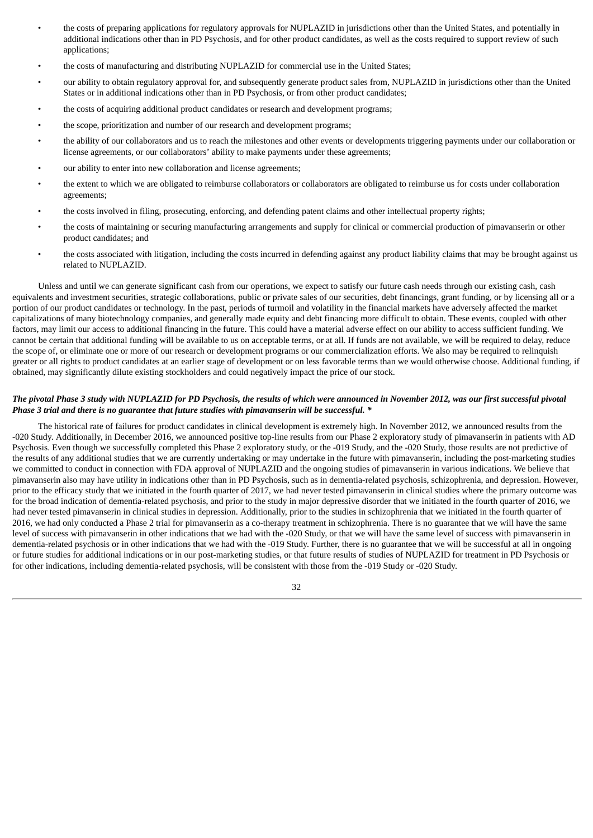- the costs of preparing applications for regulatory approvals for NUPLAZID in jurisdictions other than the United States, and potentially in additional indications other than in PD Psychosis, and for other product candidates, as well as the costs required to support review of such applications;
- the costs of manufacturing and distributing NUPLAZID for commercial use in the United States;
- our ability to obtain regulatory approval for, and subsequently generate product sales from, NUPLAZID in jurisdictions other than the United States or in additional indications other than in PD Psychosis, or from other product candidates;
- the costs of acquiring additional product candidates or research and development programs;
- the scope, prioritization and number of our research and development programs;
- the ability of our collaborators and us to reach the milestones and other events or developments triggering payments under our collaboration or license agreements, or our collaborators' ability to make payments under these agreements;
- our ability to enter into new collaboration and license agreements;
- the extent to which we are obligated to reimburse collaborators or collaborators are obligated to reimburse us for costs under collaboration agreements;
- the costs involved in filing, prosecuting, enforcing, and defending patent claims and other intellectual property rights;
- the costs of maintaining or securing manufacturing arrangements and supply for clinical or commercial production of pimavanserin or other product candidates; and
- the costs associated with litigation, including the costs incurred in defending against any product liability claims that may be brought against us related to NUPLAZID.

Unless and until we can generate significant cash from our operations, we expect to satisfy our future cash needs through our existing cash, cash equivalents and investment securities, strategic collaborations, public or private sales of our securities, debt financings, grant funding, or by licensing all or a portion of our product candidates or technology. In the past, periods of turmoil and volatility in the financial markets have adversely affected the market capitalizations of many biotechnology companies, and generally made equity and debt financing more difficult to obtain. These events, coupled with other factors, may limit our access to additional financing in the future. This could have a material adverse effect on our ability to access sufficient funding. We cannot be certain that additional funding will be available to us on acceptable terms, or at all. If funds are not available, we will be required to delay, reduce the scope of, or eliminate one or more of our research or development programs or our commercialization efforts. We also may be required to relinquish greater or all rights to product candidates at an earlier stage of development or on less favorable terms than we would otherwise choose. Additional funding, if obtained, may significantly dilute existing stockholders and could negatively impact the price of our stock.

#### The pivotal Phase 3 study with NUPLAZID for PD Psychosis, the results of which were announced in November 2012, was our first successful pivotal *Phase 3 trial and there is no guarantee that future studies with pimavanserin will be successful. \**

The historical rate of failures for product candidates in clinical development is extremely high. In November 2012, we announced results from the -020 Study. Additionally, in December 2016, we announced positive top-line results from our Phase 2 exploratory study of pimavanserin in patients with AD Psychosis. Even though we successfully completed this Phase 2 exploratory study, or the -019 Study, and the -020 Study, those results are not predictive of the results of any additional studies that we are currently undertaking or may undertake in the future with pimavanserin, including the post-marketing studies we committed to conduct in connection with FDA approval of NUPLAZID and the ongoing studies of pimavanserin in various indications. We believe that pimavanserin also may have utility in indications other than in PD Psychosis, such as in dementia-related psychosis, schizophrenia, and depression. However, prior to the efficacy study that we initiated in the fourth quarter of 2017, we had never tested pimavanserin in clinical studies where the primary outcome was for the broad indication of dementia-related psychosis, and prior to the study in major depressive disorder that we initiated in the fourth quarter of 2016, we had never tested pimavanserin in clinical studies in depression. Additionally, prior to the studies in schizophrenia that we initiated in the fourth quarter of 2016, we had only conducted a Phase 2 trial for pimavanserin as a co-therapy treatment in schizophrenia. There is no guarantee that we will have the same level of success with pimavanserin in other indications that we had with the -020 Study, or that we will have the same level of success with pimavanserin in dementia-related psychosis or in other indications that we had with the -019 Study. Further, there is no guarantee that we will be successful at all in ongoing or future studies for additional indications or in our post-marketing studies, or that future results of studies of NUPLAZID for treatment in PD Psychosis or for other indications, including dementia-related psychosis, will be consistent with those from the -019 Study or -020 Study.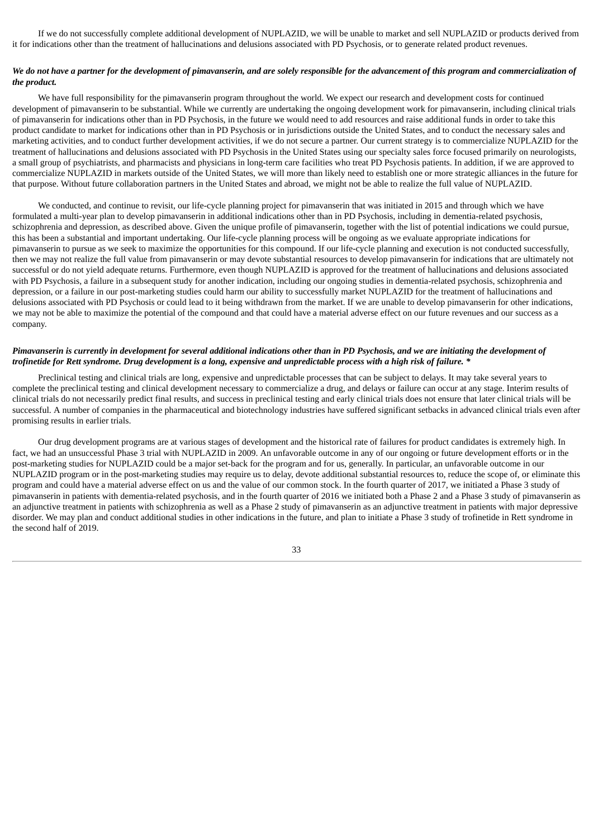If we do not successfully complete additional development of NUPLAZID, we will be unable to market and sell NUPLAZID or products derived from it for indications other than the treatment of hallucinations and delusions associated with PD Psychosis, or to generate related product revenues.

#### We do not have a partner for the development of pimavanserin, and are solely responsible for the advancement of this program and commercialization of *the product.*

We have full responsibility for the pimavanserin program throughout the world. We expect our research and development costs for continued development of pimavanserin to be substantial. While we currently are undertaking the ongoing development work for pimavanserin, including clinical trials of pimavanserin for indications other than in PD Psychosis, in the future we would need to add resources and raise additional funds in order to take this product candidate to market for indications other than in PD Psychosis or in jurisdictions outside the United States, and to conduct the necessary sales and marketing activities, and to conduct further development activities, if we do not secure a partner. Our current strategy is to commercialize NUPLAZID for the treatment of hallucinations and delusions associated with PD Psychosis in the United States using our specialty sales force focused primarily on neurologists, a small group of psychiatrists, and pharmacists and physicians in long-term care facilities who treat PD Psychosis patients. In addition, if we are approved to commercialize NUPLAZID in markets outside of the United States, we will more than likely need to establish one or more strategic alliances in the future for that purpose. Without future collaboration partners in the United States and abroad, we might not be able to realize the full value of NUPLAZID.

We conducted, and continue to revisit, our life-cycle planning project for pimavanserin that was initiated in 2015 and through which we have formulated a multi-year plan to develop pimavanserin in additional indications other than in PD Psychosis, including in dementia-related psychosis, schizophrenia and depression, as described above. Given the unique profile of pimavanserin, together with the list of potential indications we could pursue, this has been a substantial and important undertaking. Our life-cycle planning process will be ongoing as we evaluate appropriate indications for pimavanserin to pursue as we seek to maximize the opportunities for this compound. If our life-cycle planning and execution is not conducted successfully, then we may not realize the full value from pimavanserin or may devote substantial resources to develop pimavanserin for indications that are ultimately not successful or do not yield adequate returns. Furthermore, even though NUPLAZID is approved for the treatment of hallucinations and delusions associated with PD Psychosis, a failure in a subsequent study for another indication, including our ongoing studies in dementia-related psychosis, schizophrenia and depression, or a failure in our post-marketing studies could harm our ability to successfully market NUPLAZID for the treatment of hallucinations and delusions associated with PD Psychosis or could lead to it being withdrawn from the market. If we are unable to develop pimavanserin for other indications, we may not be able to maximize the potential of the compound and that could have a material adverse effect on our future revenues and our success as a company.

#### Pimavanserin is currently in development for several additional indications other than in PD Psychosis, and we are initiating the development of trofinetide for Rett syndrome. Drug development is a long, expensive and unpredictable process with a high risk of failure. \*

Preclinical testing and clinical trials are long, expensive and unpredictable processes that can be subject to delays. It may take several years to complete the preclinical testing and clinical development necessary to commercialize a drug, and delays or failure can occur at any stage. Interim results of clinical trials do not necessarily predict final results, and success in preclinical testing and early clinical trials does not ensure that later clinical trials will be successful. A number of companies in the pharmaceutical and biotechnology industries have suffered significant setbacks in advanced clinical trials even after promising results in earlier trials.

Our drug development programs are at various stages of development and the historical rate of failures for product candidates is extremely high. In fact, we had an unsuccessful Phase 3 trial with NUPLAZID in 2009. An unfavorable outcome in any of our ongoing or future development efforts or in the post-marketing studies for NUPLAZID could be a major set-back for the program and for us, generally. In particular, an unfavorable outcome in our NUPLAZID program or in the post-marketing studies may require us to delay, devote additional substantial resources to, reduce the scope of, or eliminate this program and could have a material adverse effect on us and the value of our common stock. In the fourth quarter of 2017, we initiated a Phase 3 study of pimavanserin in patients with dementia-related psychosis, and in the fourth quarter of 2016 we initiated both a Phase 2 and a Phase 3 study of pimavanserin as an adjunctive treatment in patients with schizophrenia as well as a Phase 2 study of pimavanserin as an adjunctive treatment in patients with major depressive disorder. We may plan and conduct additional studies in other indications in the future, and plan to initiate a Phase 3 study of trofinetide in Rett syndrome in the second half of 2019.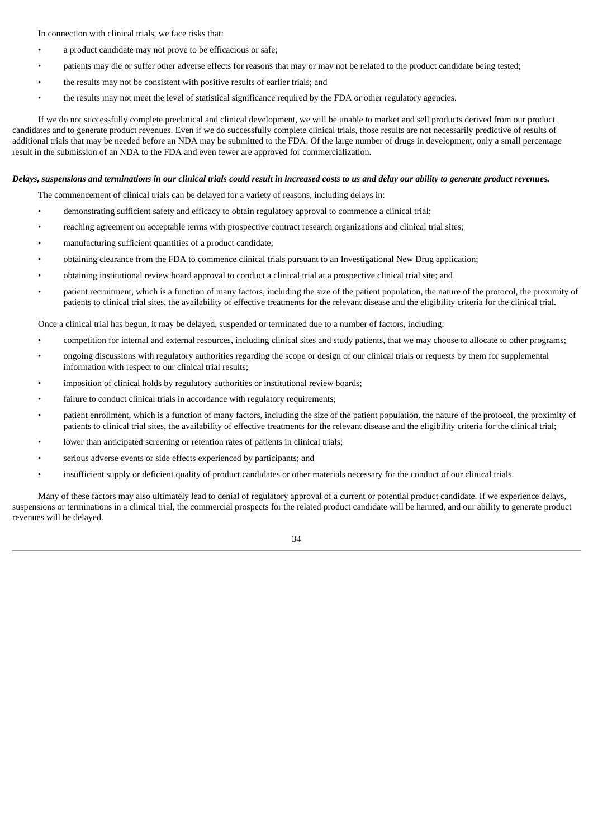In connection with clinical trials, we face risks that:

- a product candidate may not prove to be efficacious or safe;
- patients may die or suffer other adverse effects for reasons that may or may not be related to the product candidate being tested;
- the results may not be consistent with positive results of earlier trials; and
- the results may not meet the level of statistical significance required by the FDA or other regulatory agencies.

If we do not successfully complete preclinical and clinical development, we will be unable to market and sell products derived from our product candidates and to generate product revenues. Even if we do successfully complete clinical trials, those results are not necessarily predictive of results of additional trials that may be needed before an NDA may be submitted to the FDA. Of the large number of drugs in development, only a small percentage result in the submission of an NDA to the FDA and even fewer are approved for commercialization.

#### Delays, suspensions and terminations in our clinical trials could result in increased costs to us and delay our ability to generate product revenues.

The commencement of clinical trials can be delayed for a variety of reasons, including delays in:

- demonstrating sufficient safety and efficacy to obtain regulatory approval to commence a clinical trial;
- reaching agreement on acceptable terms with prospective contract research organizations and clinical trial sites;
- manufacturing sufficient quantities of a product candidate;
- obtaining clearance from the FDA to commence clinical trials pursuant to an Investigational New Drug application;
- obtaining institutional review board approval to conduct a clinical trial at a prospective clinical trial site; and
- patient recruitment, which is a function of many factors, including the size of the patient population, the nature of the protocol, the proximity of patients to clinical trial sites, the availability of effective treatments for the relevant disease and the eligibility criteria for the clinical trial.

Once a clinical trial has begun, it may be delayed, suspended or terminated due to a number of factors, including:

- competition for internal and external resources, including clinical sites and study patients, that we may choose to allocate to other programs;
- ongoing discussions with regulatory authorities regarding the scope or design of our clinical trials or requests by them for supplemental information with respect to our clinical trial results;
- imposition of clinical holds by regulatory authorities or institutional review boards;
- failure to conduct clinical trials in accordance with regulatory requirements;
- patient enrollment, which is a function of many factors, including the size of the patient population, the nature of the protocol, the proximity of patients to clinical trial sites, the availability of effective treatments for the relevant disease and the eligibility criteria for the clinical trial;
- lower than anticipated screening or retention rates of patients in clinical trials;
- serious adverse events or side effects experienced by participants; and
- insufficient supply or deficient quality of product candidates or other materials necessary for the conduct of our clinical trials.

Many of these factors may also ultimately lead to denial of regulatory approval of a current or potential product candidate. If we experience delays, suspensions or terminations in a clinical trial, the commercial prospects for the related product candidate will be harmed, and our ability to generate product revenues will be delayed.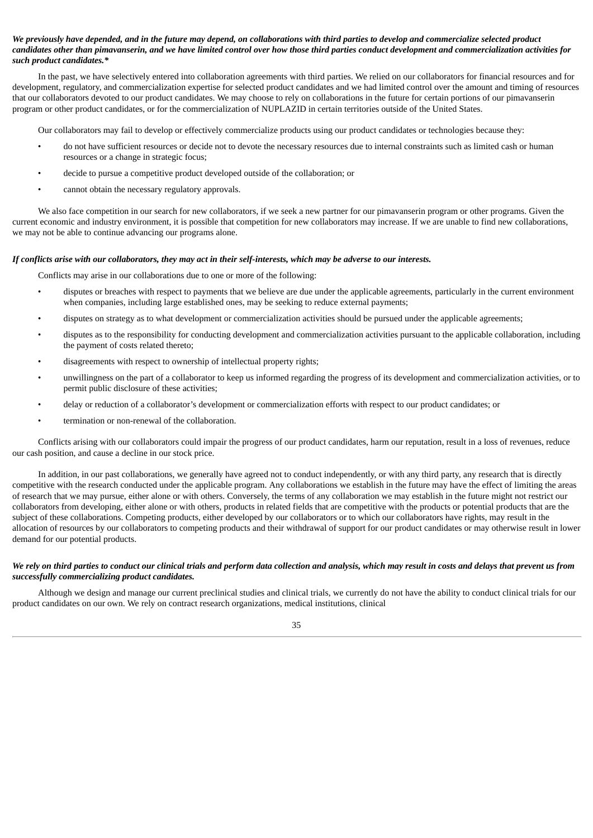#### We previously have depended, and in the future may depend, on collaborations with third parties to develop and commercialize selected product candidates other than pimavanserin, and we have limited control over how those third parties conduct development and commercialization activities for *such product candidates.\**

In the past, we have selectively entered into collaboration agreements with third parties. We relied on our collaborators for financial resources and for development, regulatory, and commercialization expertise for selected product candidates and we had limited control over the amount and timing of resources that our collaborators devoted to our product candidates. We may choose to rely on collaborations in the future for certain portions of our pimavanserin program or other product candidates, or for the commercialization of NUPLAZID in certain territories outside of the United States.

Our collaborators may fail to develop or effectively commercialize products using our product candidates or technologies because they:

- do not have sufficient resources or decide not to devote the necessary resources due to internal constraints such as limited cash or human resources or a change in strategic focus;
- decide to pursue a competitive product developed outside of the collaboration; or
- cannot obtain the necessary regulatory approvals.

We also face competition in our search for new collaborators, if we seek a new partner for our pimavanserin program or other programs. Given the current economic and industry environment, it is possible that competition for new collaborators may increase. If we are unable to find new collaborations, we may not be able to continue advancing our programs alone.

#### If conflicts arise with our collaborators, they may act in their self-interests, which may be adverse to our interests.

Conflicts may arise in our collaborations due to one or more of the following:

- disputes or breaches with respect to payments that we believe are due under the applicable agreements, particularly in the current environment when companies, including large established ones, may be seeking to reduce external payments;
- disputes on strategy as to what development or commercialization activities should be pursued under the applicable agreements;
- disputes as to the responsibility for conducting development and commercialization activities pursuant to the applicable collaboration, including the payment of costs related thereto;
- disagreements with respect to ownership of intellectual property rights;
- unwillingness on the part of a collaborator to keep us informed regarding the progress of its development and commercialization activities, or to permit public disclosure of these activities;
- delay or reduction of a collaborator's development or commercialization efforts with respect to our product candidates; or
- termination or non-renewal of the collaboration.

Conflicts arising with our collaborators could impair the progress of our product candidates, harm our reputation, result in a loss of revenues, reduce our cash position, and cause a decline in our stock price.

In addition, in our past collaborations, we generally have agreed not to conduct independently, or with any third party, any research that is directly competitive with the research conducted under the applicable program. Any collaborations we establish in the future may have the effect of limiting the areas of research that we may pursue, either alone or with others. Conversely, the terms of any collaboration we may establish in the future might not restrict our collaborators from developing, either alone or with others, products in related fields that are competitive with the products or potential products that are the subject of these collaborations. Competing products, either developed by our collaborators or to which our collaborators have rights, may result in the allocation of resources by our collaborators to competing products and their withdrawal of support for our product candidates or may otherwise result in lower demand for our potential products.

#### We rely on third parties to conduct our clinical trials and perform data collection and analysis, which may result in costs and delays that prevent us from *successfully commercializing product candidates.*

Although we design and manage our current preclinical studies and clinical trials, we currently do not have the ability to conduct clinical trials for our product candidates on our own. We rely on contract research organizations, medical institutions, clinical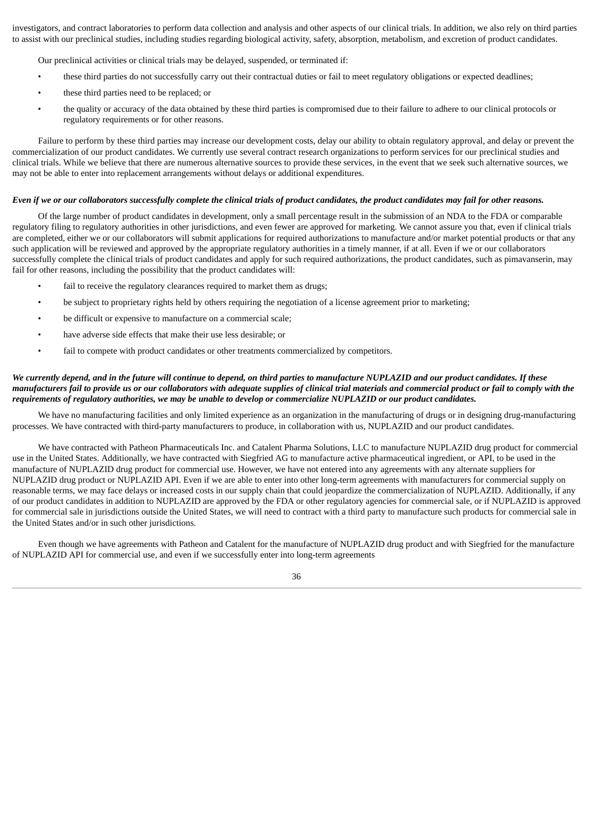investigators, and contract laboratories to perform data collection and analysis and other aspects of our clinical trials. In addition, we also rely on third parties to assist with our preclinical studies, including studies regarding biological activity, safety, absorption, metabolism, and excretion of product candidates.

Our preclinical activities or clinical trials may be delayed, suspended, or terminated if:

- these third parties do not successfully carry out their contractual duties or fail to meet regulatory obligations or expected deadlines;
- these third parties need to be replaced; or
- the quality or accuracy of the data obtained by these third parties is compromised due to their failure to adhere to our clinical protocols or regulatory requirements or for other reasons.

Failure to perform by these third parties may increase our development costs, delay our ability to obtain regulatory approval, and delay or prevent the commercialization of our product candidates. We currently use several contract research organizations to perform services for our preclinical studies and clinical trials. While we believe that there are numerous alternative sources to provide these services, in the event that we seek such alternative sources, we may not be able to enter into replacement arrangements without delays or additional expenditures.

#### Even if we or our collaborators successfully complete the clinical trials of product candidates, the product candidates may fail for other reasons.

Of the large number of product candidates in development, only a small percentage result in the submission of an NDA to the FDA or comparable regulatory filing to regulatory authorities in other jurisdictions, and even fewer are approved for marketing. We cannot assure you that, even if clinical trials are completed, either we or our collaborators will submit applications for required authorizations to manufacture and/or market potential products or that any such application will be reviewed and approved by the appropriate regulatory authorities in a timely manner, if at all. Even if we or our collaborators successfully complete the clinical trials of product candidates and apply for such required authorizations, the product candidates, such as pimavanserin, may fail for other reasons, including the possibility that the product candidates will:

- fail to receive the regulatory clearances required to market them as drugs;
- be subject to proprietary rights held by others requiring the negotiation of a license agreement prior to marketing;
- be difficult or expensive to manufacture on a commercial scale;
- have adverse side effects that make their use less desirable; or
- fail to compete with product candidates or other treatments commercialized by competitors.

#### We currently depend, and in the future will continue to depend, on third parties to manufacture NUPLAZID and our product candidates. If these manufacturers fail to provide us or our collaborators with adequate supplies of clinical trial materials and commercial product or fail to comply with the requirements of requlatory authorities, we may be unable to develop or commercialize NUPLAZID or our product candidates.

We have no manufacturing facilities and only limited experience as an organization in the manufacturing of drugs or in designing drug-manufacturing processes. We have contracted with third-party manufacturers to produce, in collaboration with us, NUPLAZID and our product candidates.

We have contracted with Patheon Pharmaceuticals Inc. and Catalent Pharma Solutions, LLC to manufacture NUPLAZID drug product for commercial use in the United States. Additionally, we have contracted with Siegfried AG to manufacture active pharmaceutical ingredient, or API, to be used in the manufacture of NUPLAZID drug product for commercial use. However, we have not entered into any agreements with any alternate suppliers for NUPLAZID drug product or NUPLAZID API. Even if we are able to enter into other long-term agreements with manufacturers for commercial supply on reasonable terms, we may face delays or increased costs in our supply chain that could jeopardize the commercialization of NUPLAZID. Additionally, if any of our product candidates in addition to NUPLAZID are approved by the FDA or other regulatory agencies for commercial sale, or if NUPLAZID is approved for commercial sale in jurisdictions outside the United States, we will need to contract with a third party to manufacture such products for commercial sale in the United States and/or in such other jurisdictions.

Even though we have agreements with Patheon and Catalent for the manufacture of NUPLAZID drug product and with Siegfried for the manufacture of NUPLAZID API for commercial use, and even if we successfully enter into long-term agreements

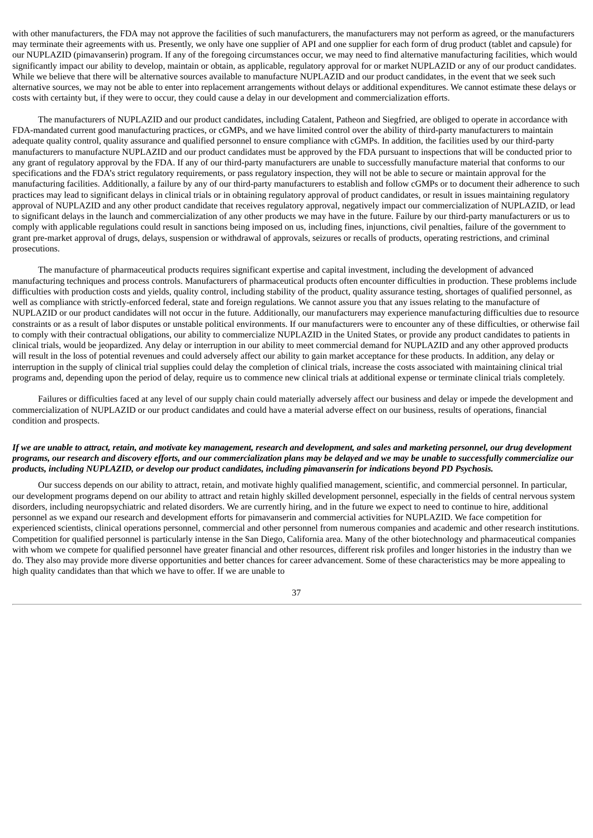with other manufacturers, the FDA may not approve the facilities of such manufacturers, the manufacturers may not perform as agreed, or the manufacturers may terminate their agreements with us. Presently, we only have one supplier of API and one supplier for each form of drug product (tablet and capsule) for our NUPLAZID (pimavanserin) program. If any of the foregoing circumstances occur, we may need to find alternative manufacturing facilities, which would significantly impact our ability to develop, maintain or obtain, as applicable, regulatory approval for or market NUPLAZID or any of our product candidates. While we believe that there will be alternative sources available to manufacture NUPLAZID and our product candidates, in the event that we seek such alternative sources, we may not be able to enter into replacement arrangements without delays or additional expenditures. We cannot estimate these delays or costs with certainty but, if they were to occur, they could cause a delay in our development and commercialization efforts.

The manufacturers of NUPLAZID and our product candidates, including Catalent, Patheon and Siegfried, are obliged to operate in accordance with FDA-mandated current good manufacturing practices, or cGMPs, and we have limited control over the ability of third-party manufacturers to maintain adequate quality control, quality assurance and qualified personnel to ensure compliance with cGMPs. In addition, the facilities used by our third-party manufacturers to manufacture NUPLAZID and our product candidates must be approved by the FDA pursuant to inspections that will be conducted prior to any grant of regulatory approval by the FDA. If any of our third-party manufacturers are unable to successfully manufacture material that conforms to our specifications and the FDA's strict regulatory requirements, or pass regulatory inspection, they will not be able to secure or maintain approval for the manufacturing facilities. Additionally, a failure by any of our third-party manufacturers to establish and follow cGMPs or to document their adherence to such practices may lead to significant delays in clinical trials or in obtaining regulatory approval of product candidates, or result in issues maintaining regulatory approval of NUPLAZID and any other product candidate that receives regulatory approval, negatively impact our commercialization of NUPLAZID, or lead to significant delays in the launch and commercialization of any other products we may have in the future. Failure by our third-party manufacturers or us to comply with applicable regulations could result in sanctions being imposed on us, including fines, injunctions, civil penalties, failure of the government to grant pre-market approval of drugs, delays, suspension or withdrawal of approvals, seizures or recalls of products, operating restrictions, and criminal prosecutions.

The manufacture of pharmaceutical products requires significant expertise and capital investment, including the development of advanced manufacturing techniques and process controls. Manufacturers of pharmaceutical products often encounter difficulties in production. These problems include difficulties with production costs and yields, quality control, including stability of the product, quality assurance testing, shortages of qualified personnel, as well as compliance with strictly-enforced federal, state and foreign regulations. We cannot assure you that any issues relating to the manufacture of NUPLAZID or our product candidates will not occur in the future. Additionally, our manufacturers may experience manufacturing difficulties due to resource constraints or as a result of labor disputes or unstable political environments. If our manufacturers were to encounter any of these difficulties, or otherwise fail to comply with their contractual obligations, our ability to commercialize NUPLAZID in the United States, or provide any product candidates to patients in clinical trials, would be jeopardized. Any delay or interruption in our ability to meet commercial demand for NUPLAZID and any other approved products will result in the loss of potential revenues and could adversely affect our ability to gain market acceptance for these products. In addition, any delay or interruption in the supply of clinical trial supplies could delay the completion of clinical trials, increase the costs associated with maintaining clinical trial programs and, depending upon the period of delay, require us to commence new clinical trials at additional expense or terminate clinical trials completely.

Failures or difficulties faced at any level of our supply chain could materially adversely affect our business and delay or impede the development and commercialization of NUPLAZID or our product candidates and could have a material adverse effect on our business, results of operations, financial condition and prospects.

#### If we are unable to attract, retain, and motivate key management, research and development, and sales and marketing personnel, our drug development programs, our research and discovery efforts, and our commercialization plans may be delayed and we may be unable to successfully commercialize our products, including NUPLAZID, or develop our product candidates, including pimavanserin for indications beyond PD Psychosis.

Our success depends on our ability to attract, retain, and motivate highly qualified management, scientific, and commercial personnel. In particular, our development programs depend on our ability to attract and retain highly skilled development personnel, especially in the fields of central nervous system disorders, including neuropsychiatric and related disorders. We are currently hiring, and in the future we expect to need to continue to hire, additional personnel as we expand our research and development efforts for pimavanserin and commercial activities for NUPLAZID. We face competition for experienced scientists, clinical operations personnel, commercial and other personnel from numerous companies and academic and other research institutions. Competition for qualified personnel is particularly intense in the San Diego, California area. Many of the other biotechnology and pharmaceutical companies with whom we compete for qualified personnel have greater financial and other resources, different risk profiles and longer histories in the industry than we do. They also may provide more diverse opportunities and better chances for career advancement. Some of these characteristics may be more appealing to high quality candidates than that which we have to offer. If we are unable to

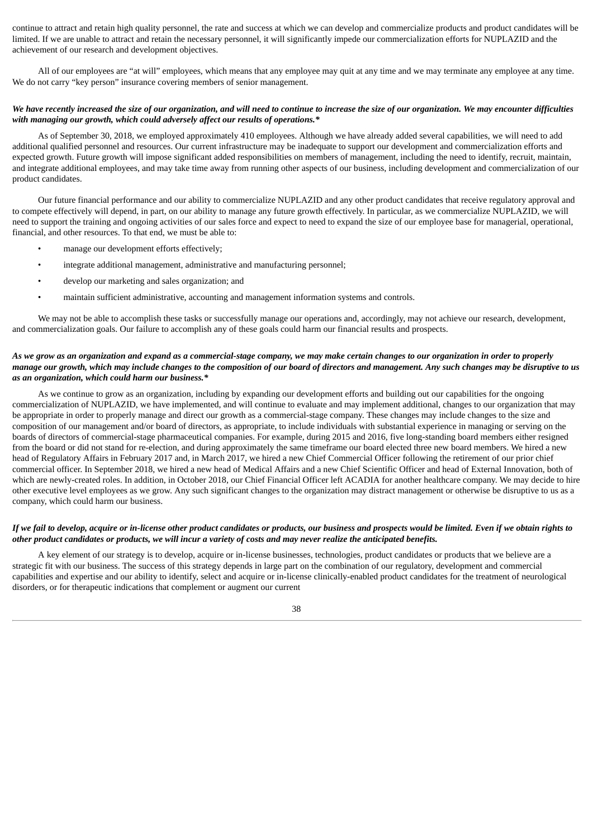continue to attract and retain high quality personnel, the rate and success at which we can develop and commercialize products and product candidates will be limited. If we are unable to attract and retain the necessary personnel, it will significantly impede our commercialization efforts for NUPLAZID and the achievement of our research and development objectives.

All of our employees are "at will" employees, which means that any employee may quit at any time and we may terminate any employee at any time. We do not carry "key person" insurance covering members of senior management.

#### We have recently increased the size of our organization, and will need to continue to increase the size of our organization. We may encounter difficulties *with managing our growth, which could adversely affect our results of operations.\**

As of September 30, 2018, we employed approximately 410 employees. Although we have already added several capabilities, we will need to add additional qualified personnel and resources. Our current infrastructure may be inadequate to support our development and commercialization efforts and expected growth. Future growth will impose significant added responsibilities on members of management, including the need to identify, recruit, maintain, and integrate additional employees, and may take time away from running other aspects of our business, including development and commercialization of our product candidates.

Our future financial performance and our ability to commercialize NUPLAZID and any other product candidates that receive regulatory approval and to compete effectively will depend, in part, on our ability to manage any future growth effectively. In particular, as we commercialize NUPLAZID, we will need to support the training and ongoing activities of our sales force and expect to need to expand the size of our employee base for managerial, operational, financial, and other resources. To that end, we must be able to:

- manage our development efforts effectively;
- integrate additional management, administrative and manufacturing personnel;
- develop our marketing and sales organization; and
- maintain sufficient administrative, accounting and management information systems and controls.

We may not be able to accomplish these tasks or successfully manage our operations and, accordingly, may not achieve our research, development, and commercialization goals. Our failure to accomplish any of these goals could harm our financial results and prospects.

#### As we grow as an organization and expand as a commercial-stage company, we may make certain changes to our organization in order to properly manage our growth, which may include changes to the composition of our board of directors and management. Any such changes may be disruptive to us *as an organization, which could harm our business.\**

As we continue to grow as an organization, including by expanding our development efforts and building out our capabilities for the ongoing commercialization of NUPLAZID, we have implemented, and will continue to evaluate and may implement additional, changes to our organization that may be appropriate in order to properly manage and direct our growth as a commercial-stage company. These changes may include changes to the size and composition of our management and/or board of directors, as appropriate, to include individuals with substantial experience in managing or serving on the boards of directors of commercial-stage pharmaceutical companies. For example, during 2015 and 2016, five long-standing board members either resigned from the board or did not stand for re-election, and during approximately the same timeframe our board elected three new board members. We hired a new head of Regulatory Affairs in February 2017 and, in March 2017, we hired a new Chief Commercial Officer following the retirement of our prior chief commercial officer. In September 2018, we hired a new head of Medical Affairs and a new Chief Scientific Officer and head of External Innovation, both of which are newly-created roles. In addition, in October 2018, our Chief Financial Officer left ACADIA for another healthcare company. We may decide to hire other executive level employees as we grow. Any such significant changes to the organization may distract management or otherwise be disruptive to us as a company, which could harm our business.

#### If we fail to develop, acquire or in-license other product candidates or products, our business and prospects would be limited. Even if we obtain rights to other product candidates or products, we will incur a variety of costs and may never realize the anticipated benefits.

A key element of our strategy is to develop, acquire or in-license businesses, technologies, product candidates or products that we believe are a strategic fit with our business. The success of this strategy depends in large part on the combination of our regulatory, development and commercial capabilities and expertise and our ability to identify, select and acquire or in-license clinically-enabled product candidates for the treatment of neurological disorders, or for therapeutic indications that complement or augment our current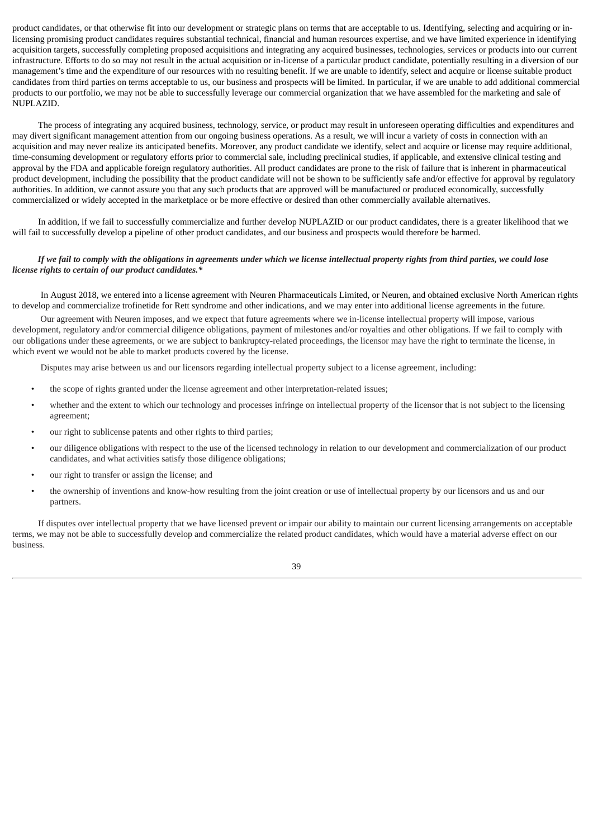product candidates, or that otherwise fit into our development or strategic plans on terms that are acceptable to us. Identifying, selecting and acquiring or inlicensing promising product candidates requires substantial technical, financial and human resources expertise, and we have limited experience in identifying acquisition targets, successfully completing proposed acquisitions and integrating any acquired businesses, technologies, services or products into our current infrastructure. Efforts to do so may not result in the actual acquisition or in-license of a particular product candidate, potentially resulting in a diversion of our management's time and the expenditure of our resources with no resulting benefit. If we are unable to identify, select and acquire or license suitable product candidates from third parties on terms acceptable to us, our business and prospects will be limited. In particular, if we are unable to add additional commercial products to our portfolio, we may not be able to successfully leverage our commercial organization that we have assembled for the marketing and sale of NUPLAZID.

The process of integrating any acquired business, technology, service, or product may result in unforeseen operating difficulties and expenditures and may divert significant management attention from our ongoing business operations. As a result, we will incur a variety of costs in connection with an acquisition and may never realize its anticipated benefits. Moreover, any product candidate we identify, select and acquire or license may require additional, time-consuming development or regulatory efforts prior to commercial sale, including preclinical studies, if applicable, and extensive clinical testing and approval by the FDA and applicable foreign regulatory authorities. All product candidates are prone to the risk of failure that is inherent in pharmaceutical product development, including the possibility that the product candidate will not be shown to be sufficiently safe and/or effective for approval by regulatory authorities. In addition, we cannot assure you that any such products that are approved will be manufactured or produced economically, successfully commercialized or widely accepted in the marketplace or be more effective or desired than other commercially available alternatives.

In addition, if we fail to successfully commercialize and further develop NUPLAZID or our product candidates, there is a greater likelihood that we will fail to successfully develop a pipeline of other product candidates, and our business and prospects would therefore be harmed.

#### If we fail to comply with the obligations in agreements under which we license intellectual property rights from third parties, we could lose *license rights to certain of our product candidates.\**

In August 2018, we entered into a license agreement with Neuren Pharmaceuticals Limited, or Neuren, and obtained exclusive North American rights to develop and commercialize trofinetide for Rett syndrome and other indications, and we may enter into additional license agreements in the future.

Our agreement with Neuren imposes, and we expect that future agreements where we in-license intellectual property will impose, various development, regulatory and/or commercial diligence obligations, payment of milestones and/or royalties and other obligations. If we fail to comply with our obligations under these agreements, or we are subject to bankruptcy-related proceedings, the licensor may have the right to terminate the license, in which event we would not be able to market products covered by the license.

Disputes may arise between us and our licensors regarding intellectual property subject to a license agreement, including:

- the scope of rights granted under the license agreement and other interpretation-related issues;
- whether and the extent to which our technology and processes infringe on intellectual property of the licensor that is not subject to the licensing agreement;
- our right to sublicense patents and other rights to third parties;
- our diligence obligations with respect to the use of the licensed technology in relation to our development and commercialization of our product candidates, and what activities satisfy those diligence obligations;
- our right to transfer or assign the license; and
- the ownership of inventions and know-how resulting from the joint creation or use of intellectual property by our licensors and us and our partners.

If disputes over intellectual property that we have licensed prevent or impair our ability to maintain our current licensing arrangements on acceptable terms, we may not be able to successfully develop and commercialize the related product candidates, which would have a material adverse effect on our business.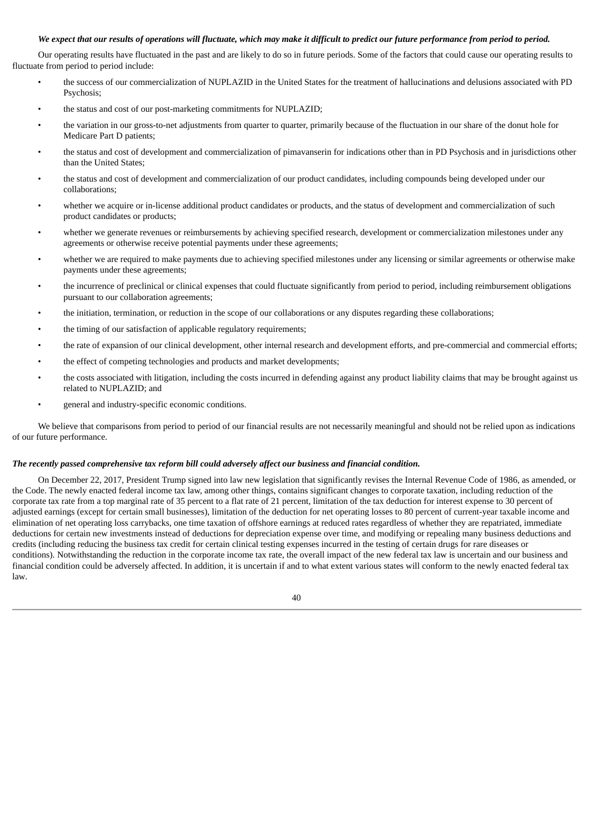#### We expect that our results of operations will fluctuate, which may make it difficult to predict our future performance from period to period.

Our operating results have fluctuated in the past and are likely to do so in future periods. Some of the factors that could cause our operating results to fluctuate from period to period include:

- the success of our commercialization of NUPLAZID in the United States for the treatment of hallucinations and delusions associated with PD Psychosis;
- the status and cost of our post-marketing commitments for NUPLAZID;
- the variation in our gross-to-net adjustments from quarter to quarter, primarily because of the fluctuation in our share of the donut hole for Medicare Part D patients;
- the status and cost of development and commercialization of pimavanserin for indications other than in PD Psychosis and in jurisdictions other than the United States;
- the status and cost of development and commercialization of our product candidates, including compounds being developed under our collaborations;
- whether we acquire or in-license additional product candidates or products, and the status of development and commercialization of such product candidates or products;
- whether we generate revenues or reimbursements by achieving specified research, development or commercialization milestones under any agreements or otherwise receive potential payments under these agreements;
- whether we are required to make payments due to achieving specified milestones under any licensing or similar agreements or otherwise make payments under these agreements;
- the incurrence of preclinical or clinical expenses that could fluctuate significantly from period to period, including reimbursement obligations pursuant to our collaboration agreements;
- the initiation, termination, or reduction in the scope of our collaborations or any disputes regarding these collaborations;
- the timing of our satisfaction of applicable regulatory requirements;
- the rate of expansion of our clinical development, other internal research and development efforts, and pre-commercial and commercial efforts;
- the effect of competing technologies and products and market developments;
- the costs associated with litigation, including the costs incurred in defending against any product liability claims that may be brought against us related to NUPLAZID; and
- general and industry-specific economic conditions.

We believe that comparisons from period to period of our financial results are not necessarily meaningful and should not be relied upon as indications of our future performance.

#### *The recently passed comprehensive tax reform bill could adversely affect our business and financial condition.*

On December 22, 2017, President Trump signed into law new legislation that significantly revises the Internal Revenue Code of 1986, as amended, or the Code. The newly enacted federal income tax law, among other things, contains significant changes to corporate taxation, including reduction of the corporate tax rate from a top marginal rate of 35 percent to a flat rate of 21 percent, limitation of the tax deduction for interest expense to 30 percent of adjusted earnings (except for certain small businesses), limitation of the deduction for net operating losses to 80 percent of current-year taxable income and elimination of net operating loss carrybacks, one time taxation of offshore earnings at reduced rates regardless of whether they are repatriated, immediate deductions for certain new investments instead of deductions for depreciation expense over time, and modifying or repealing many business deductions and credits (including reducing the business tax credit for certain clinical testing expenses incurred in the testing of certain drugs for rare diseases or conditions). Notwithstanding the reduction in the corporate income tax rate, the overall impact of the new federal tax law is uncertain and our business and financial condition could be adversely affected. In addition, it is uncertain if and to what extent various states will conform to the newly enacted federal tax law.

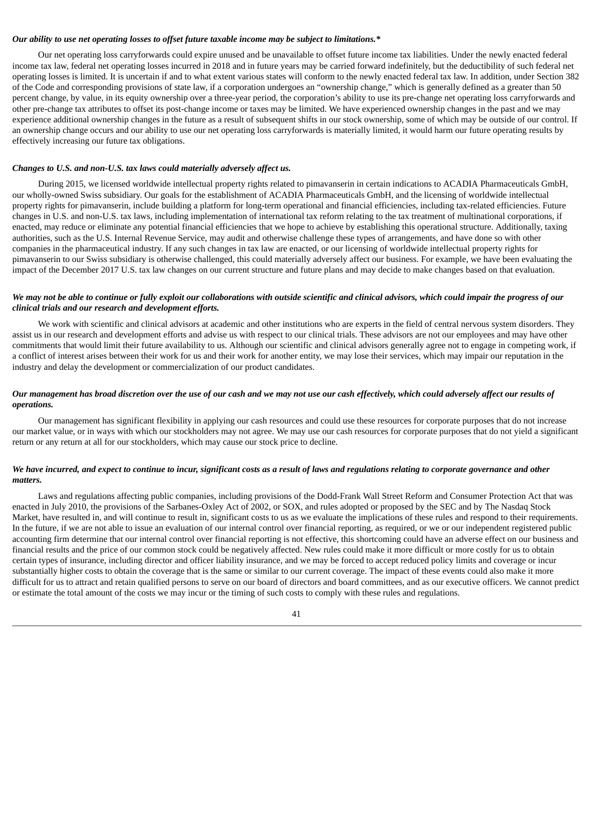#### *Our ability to use net operating losses to offset future taxable income may be subject to limitations.\**

Our net operating loss carryforwards could expire unused and be unavailable to offset future income tax liabilities. Under the newly enacted federal income tax law, federal net operating losses incurred in 2018 and in future years may be carried forward indefinitely, but the deductibility of such federal net operating losses is limited. It is uncertain if and to what extent various states will conform to the newly enacted federal tax law. In addition, under Section 382 of the Code and corresponding provisions of state law, if a corporation undergoes an "ownership change," which is generally defined as a greater than 50 percent change, by value, in its equity ownership over a three-year period, the corporation's ability to use its pre-change net operating loss carryforwards and other pre-change tax attributes to offset its post-change income or taxes may be limited. We have experienced ownership changes in the past and we may experience additional ownership changes in the future as a result of subsequent shifts in our stock ownership, some of which may be outside of our control. If an ownership change occurs and our ability to use our net operating loss carryforwards is materially limited, it would harm our future operating results by effectively increasing our future tax obligations.

#### *Changes to U.S. and non-U.S. tax laws could materially adversely affect us.*

During 2015, we licensed worldwide intellectual property rights related to pimavanserin in certain indications to ACADIA Pharmaceuticals GmbH, our wholly-owned Swiss subsidiary. Our goals for the establishment of ACADIA Pharmaceuticals GmbH, and the licensing of worldwide intellectual property rights for pimavanserin, include building a platform for long-term operational and financial efficiencies, including tax-related efficiencies. Future changes in U.S. and non-U.S. tax laws, including implementation of international tax reform relating to the tax treatment of multinational corporations, if enacted, may reduce or eliminate any potential financial efficiencies that we hope to achieve by establishing this operational structure. Additionally, taxing authorities, such as the U.S. Internal Revenue Service, may audit and otherwise challenge these types of arrangements, and have done so with other companies in the pharmaceutical industry. If any such changes in tax law are enacted, or our licensing of worldwide intellectual property rights for pimavanserin to our Swiss subsidiary is otherwise challenged, this could materially adversely affect our business. For example, we have been evaluating the impact of the December 2017 U.S. tax law changes on our current structure and future plans and may decide to make changes based on that evaluation.

#### We may not be able to continue or fully exploit our collaborations with outside scientific and clinical advisors, which could impair the progress of our *clinical trials and our research and development efforts.*

We work with scientific and clinical advisors at academic and other institutions who are experts in the field of central nervous system disorders. They assist us in our research and development efforts and advise us with respect to our clinical trials. These advisors are not our employees and may have other commitments that would limit their future availability to us. Although our scientific and clinical advisors generally agree not to engage in competing work, if a conflict of interest arises between their work for us and their work for another entity, we may lose their services, which may impair our reputation in the industry and delay the development or commercialization of our product candidates.

#### Our management has broad discretion over the use of our cash and we may not use our cash effectively, which could adversely affect our results of *operations.*

Our management has significant flexibility in applying our cash resources and could use these resources for corporate purposes that do not increase our market value, or in ways with which our stockholders may not agree. We may use our cash resources for corporate purposes that do not yield a significant return or any return at all for our stockholders, which may cause our stock price to decline.

#### We have incurred, and expect to continue to incur, significant costs as a result of laws and regulations relating to corporate governance and other *matters.*

Laws and regulations affecting public companies, including provisions of the Dodd-Frank Wall Street Reform and Consumer Protection Act that was enacted in July 2010, the provisions of the Sarbanes-Oxley Act of 2002, or SOX, and rules adopted or proposed by the SEC and by The Nasdaq Stock Market, have resulted in, and will continue to result in, significant costs to us as we evaluate the implications of these rules and respond to their requirements. In the future, if we are not able to issue an evaluation of our internal control over financial reporting, as required, or we or our independent registered public accounting firm determine that our internal control over financial reporting is not effective, this shortcoming could have an adverse effect on our business and financial results and the price of our common stock could be negatively affected. New rules could make it more difficult or more costly for us to obtain certain types of insurance, including director and officer liability insurance, and we may be forced to accept reduced policy limits and coverage or incur substantially higher costs to obtain the coverage that is the same or similar to our current coverage. The impact of these events could also make it more difficult for us to attract and retain qualified persons to serve on our board of directors and board committees, and as our executive officers. We cannot predict or estimate the total amount of the costs we may incur or the timing of such costs to comply with these rules and regulations.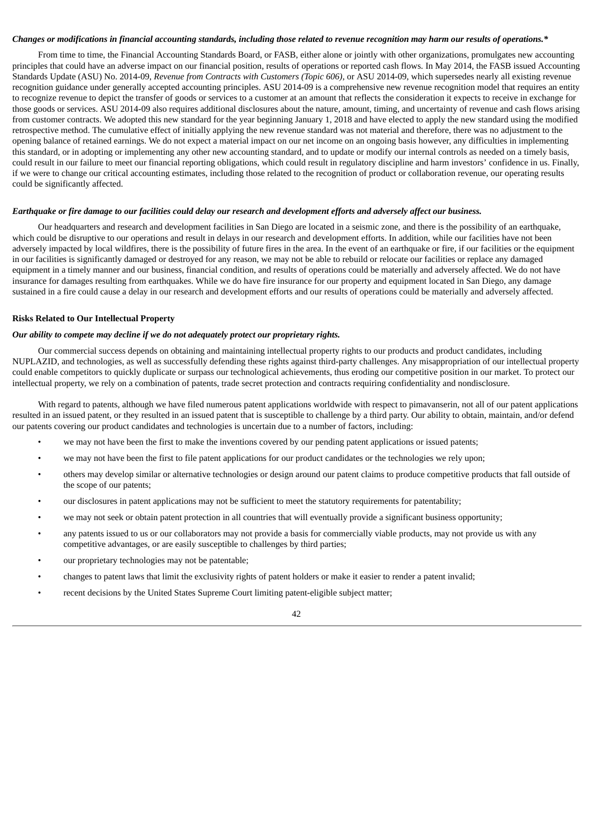#### Changes or modifications in financial accounting standards, including those related to revenue recognition may harm our results of operations.\*

From time to time, the Financial Accounting Standards Board, or FASB, either alone or jointly with other organizations, promulgates new accounting principles that could have an adverse impact on our financial position, results of operations or reported cash flows. In May 2014, the FASB issued Accounting Standards Update (ASU) No. 2014-09, *Revenue from Contracts with Customers (Topic 606)*, or ASU 2014-09, which supersedes nearly all existing revenue recognition guidance under generally accepted accounting principles. ASU 2014-09 is a comprehensive new revenue recognition model that requires an entity to recognize revenue to depict the transfer of goods or services to a customer at an amount that reflects the consideration it expects to receive in exchange for those goods or services. ASU 2014-09 also requires additional disclosures about the nature, amount, timing, and uncertainty of revenue and cash flows arising from customer contracts. We adopted this new standard for the year beginning January 1, 2018 and have elected to apply the new standard using the modified retrospective method. The cumulative effect of initially applying the new revenue standard was not material and therefore, there was no adjustment to the opening balance of retained earnings. We do not expect a material impact on our net income on an ongoing basis however, any difficulties in implementing this standard, or in adopting or implementing any other new accounting standard, and to update or modify our internal controls as needed on a timely basis, could result in our failure to meet our financial reporting obligations, which could result in regulatory discipline and harm investors' confidence in us. Finally, if we were to change our critical accounting estimates, including those related to the recognition of product or collaboration revenue, our operating results could be significantly affected.

#### Earthquake or fire damage to our facilities could delay our research and development efforts and adversely affect our business.

Our headquarters and research and development facilities in San Diego are located in a seismic zone, and there is the possibility of an earthquake, which could be disruptive to our operations and result in delays in our research and development efforts. In addition, while our facilities have not been adversely impacted by local wildfires, there is the possibility of future fires in the area. In the event of an earthquake or fire, if our facilities or the equipment in our facilities is significantly damaged or destroyed for any reason, we may not be able to rebuild or relocate our facilities or replace any damaged equipment in a timely manner and our business, financial condition, and results of operations could be materially and adversely affected. We do not have insurance for damages resulting from earthquakes. While we do have fire insurance for our property and equipment located in San Diego, any damage sustained in a fire could cause a delay in our research and development efforts and our results of operations could be materially and adversely affected.

#### **Risks Related to Our Intellectual Property**

#### *Our ability to compete may decline if we do not adequately protect our proprietary rights.*

Our commercial success depends on obtaining and maintaining intellectual property rights to our products and product candidates, including NUPLAZID, and technologies, as well as successfully defending these rights against third-party challenges. Any misappropriation of our intellectual property could enable competitors to quickly duplicate or surpass our technological achievements, thus eroding our competitive position in our market. To protect our intellectual property, we rely on a combination of patents, trade secret protection and contracts requiring confidentiality and nondisclosure.

With regard to patents, although we have filed numerous patent applications worldwide with respect to pimavanserin, not all of our patent applications resulted in an issued patent, or they resulted in an issued patent that is susceptible to challenge by a third party. Our ability to obtain, maintain, and/or defend our patents covering our product candidates and technologies is uncertain due to a number of factors, including:

- we may not have been the first to make the inventions covered by our pending patent applications or issued patents;
- we may not have been the first to file patent applications for our product candidates or the technologies we rely upon;
- others may develop similar or alternative technologies or design around our patent claims to produce competitive products that fall outside of the scope of our patents;
- our disclosures in patent applications may not be sufficient to meet the statutory requirements for patentability;
- we may not seek or obtain patent protection in all countries that will eventually provide a significant business opportunity;
- any patents issued to us or our collaborators may not provide a basis for commercially viable products, may not provide us with any competitive advantages, or are easily susceptible to challenges by third parties;
- our proprietary technologies may not be patentable;
- changes to patent laws that limit the exclusivity rights of patent holders or make it easier to render a patent invalid;
- recent decisions by the United States Supreme Court limiting patent-eligible subject matter;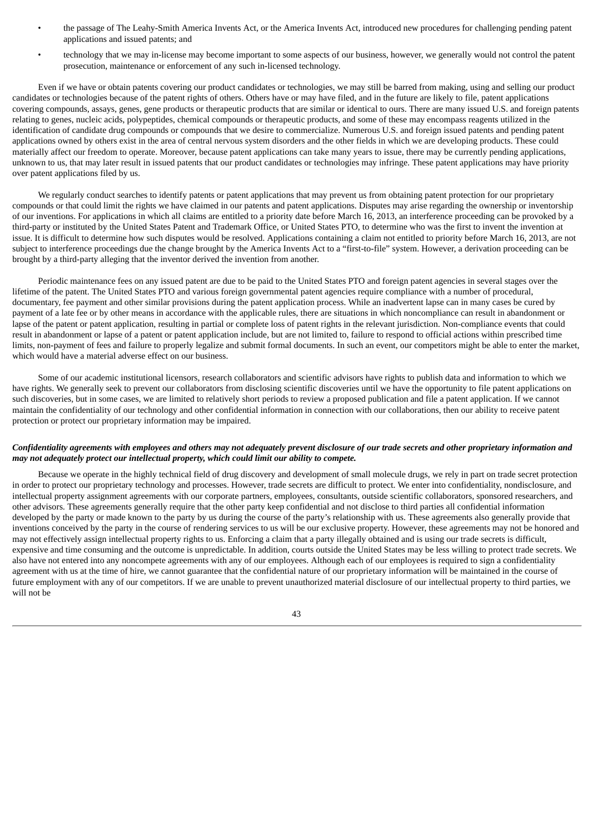- the passage of The Leahy-Smith America Invents Act, or the America Invents Act, introduced new procedures for challenging pending patent applications and issued patents; and
- technology that we may in-license may become important to some aspects of our business, however, we generally would not control the patent prosecution, maintenance or enforcement of any such in-licensed technology.

Even if we have or obtain patents covering our product candidates or technologies, we may still be barred from making, using and selling our product candidates or technologies because of the patent rights of others. Others have or may have filed, and in the future are likely to file, patent applications covering compounds, assays, genes, gene products or therapeutic products that are similar or identical to ours. There are many issued U.S. and foreign patents relating to genes, nucleic acids, polypeptides, chemical compounds or therapeutic products, and some of these may encompass reagents utilized in the identification of candidate drug compounds or compounds that we desire to commercialize. Numerous U.S. and foreign issued patents and pending patent applications owned by others exist in the area of central nervous system disorders and the other fields in which we are developing products. These could materially affect our freedom to operate. Moreover, because patent applications can take many years to issue, there may be currently pending applications, unknown to us, that may later result in issued patents that our product candidates or technologies may infringe. These patent applications may have priority over patent applications filed by us.

We regularly conduct searches to identify patents or patent applications that may prevent us from obtaining patent protection for our proprietary compounds or that could limit the rights we have claimed in our patents and patent applications. Disputes may arise regarding the ownership or inventorship of our inventions. For applications in which all claims are entitled to a priority date before March 16, 2013, an interference proceeding can be provoked by a third-party or instituted by the United States Patent and Trademark Office, or United States PTO, to determine who was the first to invent the invention at issue. It is difficult to determine how such disputes would be resolved. Applications containing a claim not entitled to priority before March 16, 2013, are not subject to interference proceedings due the change brought by the America Invents Act to a "first-to-file" system. However, a derivation proceeding can be brought by a third-party alleging that the inventor derived the invention from another.

Periodic maintenance fees on any issued patent are due to be paid to the United States PTO and foreign patent agencies in several stages over the lifetime of the patent. The United States PTO and various foreign governmental patent agencies require compliance with a number of procedural, documentary, fee payment and other similar provisions during the patent application process. While an inadvertent lapse can in many cases be cured by payment of a late fee or by other means in accordance with the applicable rules, there are situations in which noncompliance can result in abandonment or lapse of the patent or patent application, resulting in partial or complete loss of patent rights in the relevant jurisdiction. Non-compliance events that could result in abandonment or lapse of a patent or patent application include, but are not limited to, failure to respond to official actions within prescribed time limits, non-payment of fees and failure to properly legalize and submit formal documents. In such an event, our competitors might be able to enter the market, which would have a material adverse effect on our business.

Some of our academic institutional licensors, research collaborators and scientific advisors have rights to publish data and information to which we have rights. We generally seek to prevent our collaborators from disclosing scientific discoveries until we have the opportunity to file patent applications on such discoveries, but in some cases, we are limited to relatively short periods to review a proposed publication and file a patent application. If we cannot maintain the confidentiality of our technology and other confidential information in connection with our collaborations, then our ability to receive patent protection or protect our proprietary information may be impaired.

#### Confidentiality agreements with employees and others may not adequately prevent disclosure of our trade secrets and other proprietary information and *may not adequately protect our intellectual property, which could limit our ability to compete.*

Because we operate in the highly technical field of drug discovery and development of small molecule drugs, we rely in part on trade secret protection in order to protect our proprietary technology and processes. However, trade secrets are difficult to protect. We enter into confidentiality, nondisclosure, and intellectual property assignment agreements with our corporate partners, employees, consultants, outside scientific collaborators, sponsored researchers, and other advisors. These agreements generally require that the other party keep confidential and not disclose to third parties all confidential information developed by the party or made known to the party by us during the course of the party's relationship with us. These agreements also generally provide that inventions conceived by the party in the course of rendering services to us will be our exclusive property. However, these agreements may not be honored and may not effectively assign intellectual property rights to us. Enforcing a claim that a party illegally obtained and is using our trade secrets is difficult, expensive and time consuming and the outcome is unpredictable. In addition, courts outside the United States may be less willing to protect trade secrets. We also have not entered into any noncompete agreements with any of our employees. Although each of our employees is required to sign a confidentiality agreement with us at the time of hire, we cannot guarantee that the confidential nature of our proprietary information will be maintained in the course of future employment with any of our competitors. If we are unable to prevent unauthorized material disclosure of our intellectual property to third parties, we will not be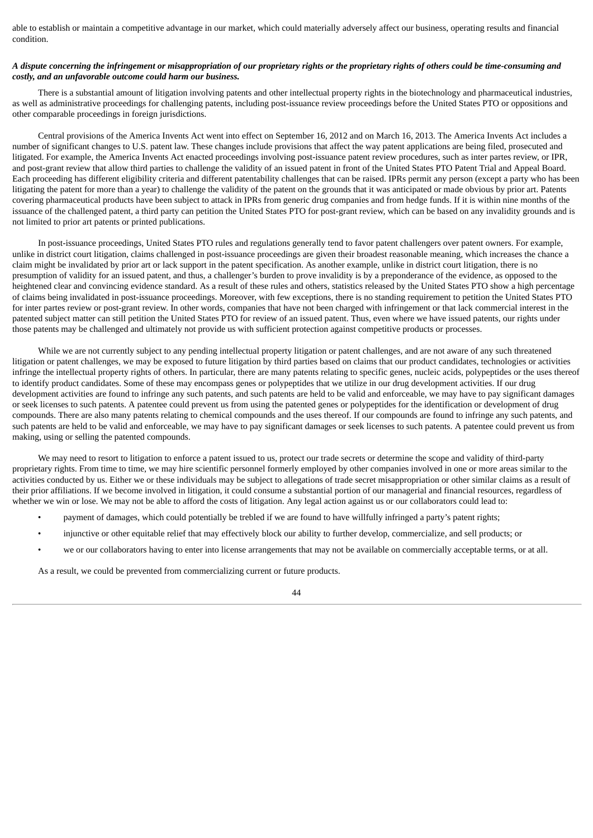able to establish or maintain a competitive advantage in our market, which could materially adversely affect our business, operating results and financial condition.

#### A dispute concerning the infringement or misappropriation of our proprietary rights or the proprietary rights of others could be time-consuming and *costly, and an unfavorable outcome could harm our business.*

There is a substantial amount of litigation involving patents and other intellectual property rights in the biotechnology and pharmaceutical industries, as well as administrative proceedings for challenging patents, including post-issuance review proceedings before the United States PTO or oppositions and other comparable proceedings in foreign jurisdictions.

Central provisions of the America Invents Act went into effect on September 16, 2012 and on March 16, 2013. The America Invents Act includes a number of significant changes to U.S. patent law. These changes include provisions that affect the way patent applications are being filed, prosecuted and litigated. For example, the America Invents Act enacted proceedings involving post-issuance patent review procedures, such as inter partes review, or IPR, and post-grant review that allow third parties to challenge the validity of an issued patent in front of the United States PTO Patent Trial and Appeal Board. Each proceeding has different eligibility criteria and different patentability challenges that can be raised. IPRs permit any person (except a party who has been litigating the patent for more than a year) to challenge the validity of the patent on the grounds that it was anticipated or made obvious by prior art. Patents covering pharmaceutical products have been subject to attack in IPRs from generic drug companies and from hedge funds. If it is within nine months of the issuance of the challenged patent, a third party can petition the United States PTO for post-grant review, which can be based on any invalidity grounds and is not limited to prior art patents or printed publications.

In post-issuance proceedings, United States PTO rules and regulations generally tend to favor patent challengers over patent owners. For example, unlike in district court litigation, claims challenged in post-issuance proceedings are given their broadest reasonable meaning, which increases the chance a claim might be invalidated by prior art or lack support in the patent specification. As another example, unlike in district court litigation, there is no presumption of validity for an issued patent, and thus, a challenger's burden to prove invalidity is by a preponderance of the evidence, as opposed to the heightened clear and convincing evidence standard. As a result of these rules and others, statistics released by the United States PTO show a high percentage of claims being invalidated in post-issuance proceedings. Moreover, with few exceptions, there is no standing requirement to petition the United States PTO for inter partes review or post-grant review. In other words, companies that have not been charged with infringement or that lack commercial interest in the patented subject matter can still petition the United States PTO for review of an issued patent. Thus, even where we have issued patents, our rights under those patents may be challenged and ultimately not provide us with sufficient protection against competitive products or processes.

While we are not currently subject to any pending intellectual property litigation or patent challenges, and are not aware of any such threatened litigation or patent challenges, we may be exposed to future litigation by third parties based on claims that our product candidates, technologies or activities infringe the intellectual property rights of others. In particular, there are many patents relating to specific genes, nucleic acids, polypeptides or the uses thereof to identify product candidates. Some of these may encompass genes or polypeptides that we utilize in our drug development activities. If our drug development activities are found to infringe any such patents, and such patents are held to be valid and enforceable, we may have to pay significant damages or seek licenses to such patents. A patentee could prevent us from using the patented genes or polypeptides for the identification or development of drug compounds. There are also many patents relating to chemical compounds and the uses thereof. If our compounds are found to infringe any such patents, and such patents are held to be valid and enforceable, we may have to pay significant damages or seek licenses to such patents. A patentee could prevent us from making, using or selling the patented compounds.

We may need to resort to litigation to enforce a patent issued to us, protect our trade secrets or determine the scope and validity of third-party proprietary rights. From time to time, we may hire scientific personnel formerly employed by other companies involved in one or more areas similar to the activities conducted by us. Either we or these individuals may be subject to allegations of trade secret misappropriation or other similar claims as a result of their prior affiliations. If we become involved in litigation, it could consume a substantial portion of our managerial and financial resources, regardless of whether we win or lose. We may not be able to afford the costs of litigation. Any legal action against us or our collaborators could lead to:

- payment of damages, which could potentially be trebled if we are found to have willfully infringed a party's patent rights;
- injunctive or other equitable relief that may effectively block our ability to further develop, commercialize, and sell products; or
- we or our collaborators having to enter into license arrangements that may not be available on commercially acceptable terms, or at all.

As a result, we could be prevented from commercializing current or future products.

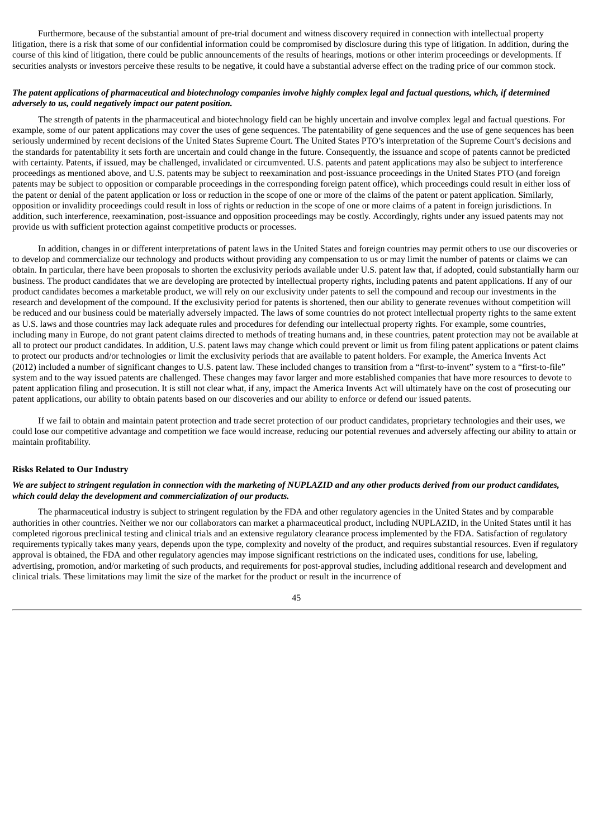Furthermore, because of the substantial amount of pre-trial document and witness discovery required in connection with intellectual property litigation, there is a risk that some of our confidential information could be compromised by disclosure during this type of litigation. In addition, during the course of this kind of litigation, there could be public announcements of the results of hearings, motions or other interim proceedings or developments. If securities analysts or investors perceive these results to be negative, it could have a substantial adverse effect on the trading price of our common stock.

#### The patent applications of pharmaceutical and biotechnology companies involve highly complex legal and factual questions, which, if determined *adversely to us, could negatively impact our patent position.*

The strength of patents in the pharmaceutical and biotechnology field can be highly uncertain and involve complex legal and factual questions. For example, some of our patent applications may cover the uses of gene sequences. The patentability of gene sequences and the use of gene sequences has been seriously undermined by recent decisions of the United States Supreme Court. The United States PTO's interpretation of the Supreme Court's decisions and the standards for patentability it sets forth are uncertain and could change in the future. Consequently, the issuance and scope of patents cannot be predicted with certainty. Patents, if issued, may be challenged, invalidated or circumvented. U.S. patents and patent applications may also be subject to interference proceedings as mentioned above, and U.S. patents may be subject to reexamination and post-issuance proceedings in the United States PTO (and foreign patents may be subject to opposition or comparable proceedings in the corresponding foreign patent office), which proceedings could result in either loss of the patent or denial of the patent application or loss or reduction in the scope of one or more of the claims of the patent or patent application. Similarly, opposition or invalidity proceedings could result in loss of rights or reduction in the scope of one or more claims of a patent in foreign jurisdictions. In addition, such interference, reexamination, post-issuance and opposition proceedings may be costly. Accordingly, rights under any issued patents may not provide us with sufficient protection against competitive products or processes.

In addition, changes in or different interpretations of patent laws in the United States and foreign countries may permit others to use our discoveries or to develop and commercialize our technology and products without providing any compensation to us or may limit the number of patents or claims we can obtain. In particular, there have been proposals to shorten the exclusivity periods available under U.S. patent law that, if adopted, could substantially harm our business. The product candidates that we are developing are protected by intellectual property rights, including patents and patent applications. If any of our product candidates becomes a marketable product, we will rely on our exclusivity under patents to sell the compound and recoup our investments in the research and development of the compound. If the exclusivity period for patents is shortened, then our ability to generate revenues without competition will be reduced and our business could be materially adversely impacted. The laws of some countries do not protect intellectual property rights to the same extent as U.S. laws and those countries may lack adequate rules and procedures for defending our intellectual property rights. For example, some countries, including many in Europe, do not grant patent claims directed to methods of treating humans and, in these countries, patent protection may not be available at all to protect our product candidates. In addition, U.S. patent laws may change which could prevent or limit us from filing patent applications or patent claims to protect our products and/or technologies or limit the exclusivity periods that are available to patent holders. For example, the America Invents Act (2012) included a number of significant changes to U.S. patent law. These included changes to transition from a "first-to-invent" system to a "first-to-file" system and to the way issued patents are challenged. These changes may favor larger and more established companies that have more resources to devote to patent application filing and prosecution. It is still not clear what, if any, impact the America Invents Act will ultimately have on the cost of prosecuting our patent applications, our ability to obtain patents based on our discoveries and our ability to enforce or defend our issued patents.

If we fail to obtain and maintain patent protection and trade secret protection of our product candidates, proprietary technologies and their uses, we could lose our competitive advantage and competition we face would increase, reducing our potential revenues and adversely affecting our ability to attain or maintain profitability.

#### **Risks Related to Our Industry**

#### We are subject to stringent regulation in connection with the marketing of NUPLAZID and any other products derived from our product candidates, *which could delay the development and commercialization of our products.*

The pharmaceutical industry is subject to stringent regulation by the FDA and other regulatory agencies in the United States and by comparable authorities in other countries. Neither we nor our collaborators can market a pharmaceutical product, including NUPLAZID, in the United States until it has completed rigorous preclinical testing and clinical trials and an extensive regulatory clearance process implemented by the FDA. Satisfaction of regulatory requirements typically takes many years, depends upon the type, complexity and novelty of the product, and requires substantial resources. Even if regulatory approval is obtained, the FDA and other regulatory agencies may impose significant restrictions on the indicated uses, conditions for use, labeling, advertising, promotion, and/or marketing of such products, and requirements for post-approval studies, including additional research and development and clinical trials. These limitations may limit the size of the market for the product or result in the incurrence of

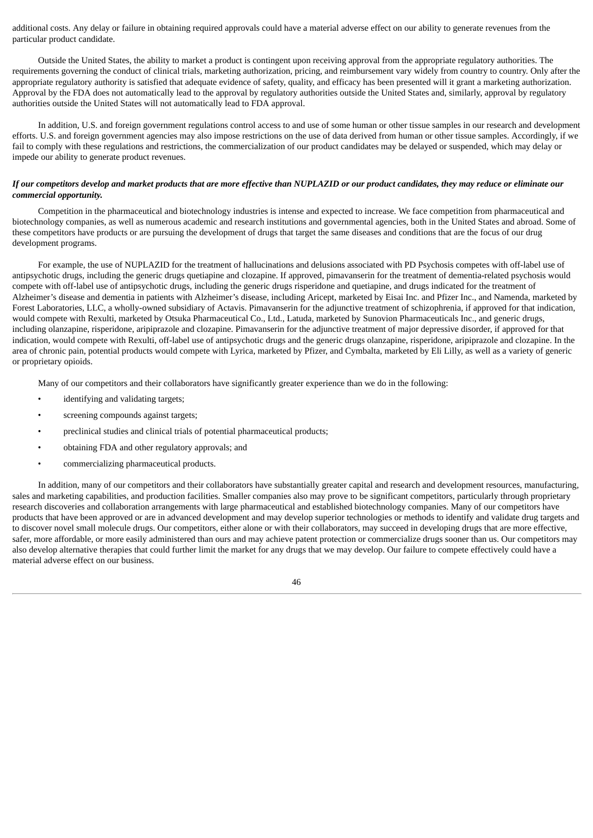additional costs. Any delay or failure in obtaining required approvals could have a material adverse effect on our ability to generate revenues from the particular product candidate.

Outside the United States, the ability to market a product is contingent upon receiving approval from the appropriate regulatory authorities. The requirements governing the conduct of clinical trials, marketing authorization, pricing, and reimbursement vary widely from country to country. Only after the appropriate regulatory authority is satisfied that adequate evidence of safety, quality, and efficacy has been presented will it grant a marketing authorization. Approval by the FDA does not automatically lead to the approval by regulatory authorities outside the United States and, similarly, approval by regulatory authorities outside the United States will not automatically lead to FDA approval.

In addition, U.S. and foreign government regulations control access to and use of some human or other tissue samples in our research and development efforts. U.S. and foreign government agencies may also impose restrictions on the use of data derived from human or other tissue samples. Accordingly, if we fail to comply with these regulations and restrictions, the commercialization of our product candidates may be delayed or suspended, which may delay or impede our ability to generate product revenues.

#### If our competitors develop and market products that are more effective than NUPLAZID or our product candidates, they may reduce or eliminate our *commercial opportunity.*

Competition in the pharmaceutical and biotechnology industries is intense and expected to increase. We face competition from pharmaceutical and biotechnology companies, as well as numerous academic and research institutions and governmental agencies, both in the United States and abroad. Some of these competitors have products or are pursuing the development of drugs that target the same diseases and conditions that are the focus of our drug development programs.

For example, the use of NUPLAZID for the treatment of hallucinations and delusions associated with PD Psychosis competes with off-label use of antipsychotic drugs, including the generic drugs quetiapine and clozapine. If approved, pimavanserin for the treatment of dementia-related psychosis would compete with off-label use of antipsychotic drugs, including the generic drugs risperidone and quetiapine, and drugs indicated for the treatment of Alzheimer's disease and dementia in patients with Alzheimer's disease, including Aricept, marketed by Eisai Inc. and Pfizer Inc., and Namenda, marketed by Forest Laboratories, LLC, a wholly-owned subsidiary of Actavis. Pimavanserin for the adjunctive treatment of schizophrenia, if approved for that indication, would compete with Rexulti, marketed by Otsuka Pharmaceutical Co., Ltd., Latuda, marketed by Sunovion Pharmaceuticals Inc., and generic drugs, including olanzapine, risperidone, aripiprazole and clozapine. Pimavanserin for the adjunctive treatment of major depressive disorder, if approved for that indication, would compete with Rexulti, off-label use of antipsychotic drugs and the generic drugs olanzapine, risperidone, aripiprazole and clozapine. In the area of chronic pain, potential products would compete with Lyrica, marketed by Pfizer, and Cymbalta, marketed by Eli Lilly, as well as a variety of generic or proprietary opioids.

Many of our competitors and their collaborators have significantly greater experience than we do in the following:

- identifying and validating targets;
- screening compounds against targets;
- preclinical studies and clinical trials of potential pharmaceutical products;
- obtaining FDA and other regulatory approvals; and
- commercializing pharmaceutical products.

In addition, many of our competitors and their collaborators have substantially greater capital and research and development resources, manufacturing, sales and marketing capabilities, and production facilities. Smaller companies also may prove to be significant competitors, particularly through proprietary research discoveries and collaboration arrangements with large pharmaceutical and established biotechnology companies. Many of our competitors have products that have been approved or are in advanced development and may develop superior technologies or methods to identify and validate drug targets and to discover novel small molecule drugs. Our competitors, either alone or with their collaborators, may succeed in developing drugs that are more effective, safer, more affordable, or more easily administered than ours and may achieve patent protection or commercialize drugs sooner than us. Our competitors may also develop alternative therapies that could further limit the market for any drugs that we may develop. Our failure to compete effectively could have a material adverse effect on our business.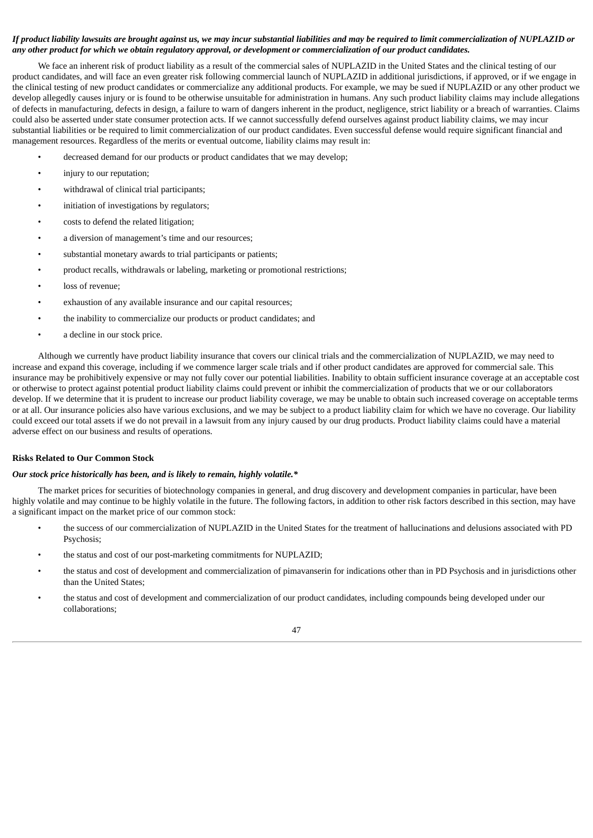#### If product liability lawsuits are brought against us, we may incur substantial liabilities and may be required to limit commercialization of NUPLAZID or any other product for which we obtain regulatory approval, or development or commercialization of our product candidates.

We face an inherent risk of product liability as a result of the commercial sales of NUPLAZID in the United States and the clinical testing of our product candidates, and will face an even greater risk following commercial launch of NUPLAZID in additional jurisdictions, if approved, or if we engage in the clinical testing of new product candidates or commercialize any additional products. For example, we may be sued if NUPLAZID or any other product we develop allegedly causes injury or is found to be otherwise unsuitable for administration in humans. Any such product liability claims may include allegations of defects in manufacturing, defects in design, a failure to warn of dangers inherent in the product, negligence, strict liability or a breach of warranties. Claims could also be asserted under state consumer protection acts. If we cannot successfully defend ourselves against product liability claims, we may incur substantial liabilities or be required to limit commercialization of our product candidates. Even successful defense would require significant financial and management resources. Regardless of the merits or eventual outcome, liability claims may result in:

- decreased demand for our products or product candidates that we may develop;
- injury to our reputation:
- withdrawal of clinical trial participants;
- initiation of investigations by regulators;
- costs to defend the related litigation;
- a diversion of management's time and our resources;
- substantial monetary awards to trial participants or patients;
- product recalls, withdrawals or labeling, marketing or promotional restrictions;
- loss of revenue;
- exhaustion of any available insurance and our capital resources:
- the inability to commercialize our products or product candidates; and
- a decline in our stock price.

Although we currently have product liability insurance that covers our clinical trials and the commercialization of NUPLAZID, we may need to increase and expand this coverage, including if we commence larger scale trials and if other product candidates are approved for commercial sale. This insurance may be prohibitively expensive or may not fully cover our potential liabilities. Inability to obtain sufficient insurance coverage at an acceptable cost or otherwise to protect against potential product liability claims could prevent or inhibit the commercialization of products that we or our collaborators develop. If we determine that it is prudent to increase our product liability coverage, we may be unable to obtain such increased coverage on acceptable terms or at all. Our insurance policies also have various exclusions, and we may be subject to a product liability claim for which we have no coverage. Our liability could exceed our total assets if we do not prevail in a lawsuit from any injury caused by our drug products. Product liability claims could have a material adverse effect on our business and results of operations.

#### **Risks Related to Our Common Stock**

# *Our stock price historically has been, and is likely to remain, highly volatile.\**

The market prices for securities of biotechnology companies in general, and drug discovery and development companies in particular, have been highly volatile and may continue to be highly volatile in the future. The following factors, in addition to other risk factors described in this section, may have a significant impact on the market price of our common stock:

- the success of our commercialization of NUPLAZID in the United States for the treatment of hallucinations and delusions associated with PD Psychosis;
- the status and cost of our post-marketing commitments for NUPLAZID;
- the status and cost of development and commercialization of pimavanserin for indications other than in PD Psychosis and in jurisdictions other than the United States;
- the status and cost of development and commercialization of our product candidates, including compounds being developed under our collaborations;

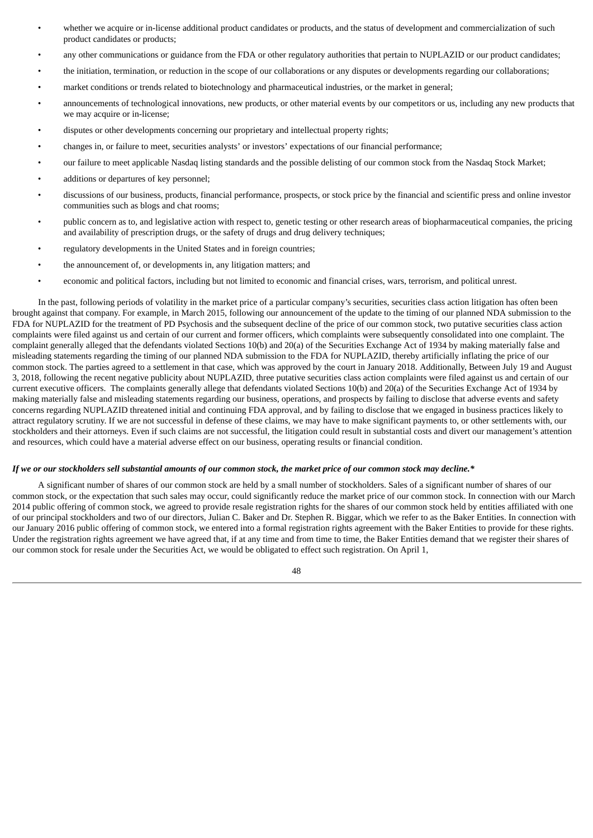- whether we acquire or in-license additional product candidates or products, and the status of development and commercialization of such product candidates or products;
- any other communications or guidance from the FDA or other regulatory authorities that pertain to NUPLAZID or our product candidates;
- the initiation, termination, or reduction in the scope of our collaborations or any disputes or developments regarding our collaborations;
- market conditions or trends related to biotechnology and pharmaceutical industries, or the market in general;
- announcements of technological innovations, new products, or other material events by our competitors or us, including any new products that we may acquire or in-license;
- disputes or other developments concerning our proprietary and intellectual property rights;
- changes in, or failure to meet, securities analysts' or investors' expectations of our financial performance;
- our failure to meet applicable Nasdaq listing standards and the possible delisting of our common stock from the Nasdaq Stock Market;
- additions or departures of key personnel;
- discussions of our business, products, financial performance, prospects, or stock price by the financial and scientific press and online investor communities such as blogs and chat rooms;
- public concern as to, and legislative action with respect to, genetic testing or other research areas of biopharmaceutical companies, the pricing and availability of prescription drugs, or the safety of drugs and drug delivery techniques;
- regulatory developments in the United States and in foreign countries;
- the announcement of, or developments in, any litigation matters; and
- economic and political factors, including but not limited to economic and financial crises, wars, terrorism, and political unrest.

In the past, following periods of volatility in the market price of a particular company's securities, securities class action litigation has often been brought against that company. For example, in March 2015, following our announcement of the update to the timing of our planned NDA submission to the FDA for NUPLAZID for the treatment of PD Psychosis and the subsequent decline of the price of our common stock, two putative securities class action complaints were filed against us and certain of our current and former officers, which complaints were subsequently consolidated into one complaint. The complaint generally alleged that the defendants violated Sections 10(b) and 20(a) of the Securities Exchange Act of 1934 by making materially false and misleading statements regarding the timing of our planned NDA submission to the FDA for NUPLAZID, thereby artificially inflating the price of our common stock. The parties agreed to a settlement in that case, which was approved by the court in January 2018. Additionally, Between July 19 and August 3, 2018, following the recent negative publicity about NUPLAZID, three putative securities class action complaints were filed against us and certain of our current executive officers. The complaints generally allege that defendants violated Sections 10(b) and 20(a) of the Securities Exchange Act of 1934 by making materially false and misleading statements regarding our business, operations, and prospects by failing to disclose that adverse events and safety concerns regarding NUPLAZID threatened initial and continuing FDA approval, and by failing to disclose that we engaged in business practices likely to attract regulatory scrutiny. If we are not successful in defense of these claims, we may have to make significant payments to, or other settlements with, our stockholders and their attorneys. Even if such claims are not successful, the litigation could result in substantial costs and divert our management's attention and resources, which could have a material adverse effect on our business, operating results or financial condition.

#### If we or our stockholders sell substantial amounts of our common stock, the market price of our common stock may decline.\*

A significant number of shares of our common stock are held by a small number of stockholders. Sales of a significant number of shares of our common stock, or the expectation that such sales may occur, could significantly reduce the market price of our common stock. In connection with our March 2014 public offering of common stock, we agreed to provide resale registration rights for the shares of our common stock held by entities affiliated with one of our principal stockholders and two of our directors, Julian C. Baker and Dr. Stephen R. Biggar, which we refer to as the Baker Entities. In connection with our January 2016 public offering of common stock, we entered into a formal registration rights agreement with the Baker Entities to provide for these rights. Under the registration rights agreement we have agreed that, if at any time and from time to time, the Baker Entities demand that we register their shares of our common stock for resale under the Securities Act, we would be obligated to effect such registration. On April 1,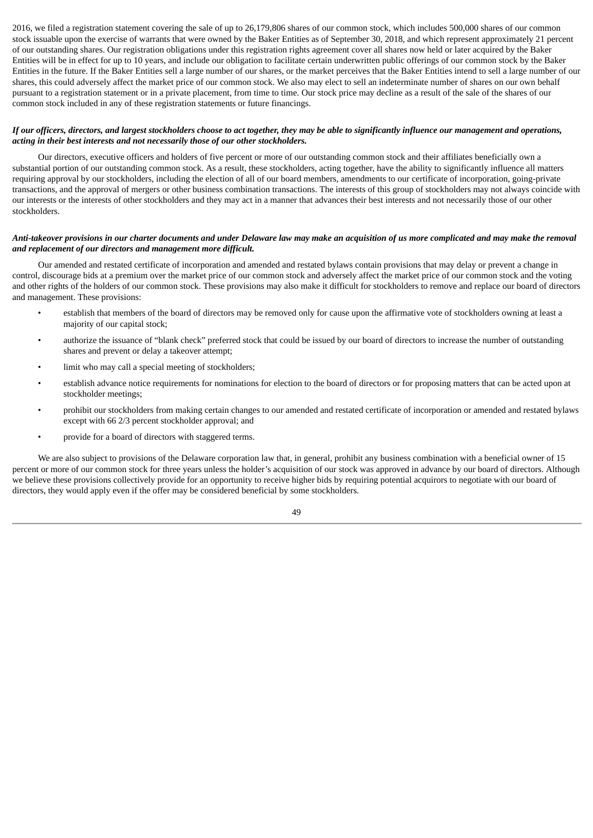2016, we filed a registration statement covering the sale of up to 26,179,806 shares of our common stock, which includes 500,000 shares of our common stock issuable upon the exercise of warrants that were owned by the Baker Entities as of September 30, 2018, and which represent approximately 21 percent of our outstanding shares. Our registration obligations under this registration rights agreement cover all shares now held or later acquired by the Baker Entities will be in effect for up to 10 years, and include our obligation to facilitate certain underwritten public offerings of our common stock by the Baker Entities in the future. If the Baker Entities sell a large number of our shares, or the market perceives that the Baker Entities intend to sell a large number of our shares, this could adversely affect the market price of our common stock. We also may elect to sell an indeterminate number of shares on our own behalf pursuant to a registration statement or in a private placement, from time to time. Our stock price may decline as a result of the sale of the shares of our common stock included in any of these registration statements or future financings.

#### If our officers, directors, and largest stockholders choose to act together, they may be able to significantly influence our management and operations, *acting in their best interests and not necessarily those of our other stockholders.*

Our directors, executive officers and holders of five percent or more of our outstanding common stock and their affiliates beneficially own a substantial portion of our outstanding common stock. As a result, these stockholders, acting together, have the ability to significantly influence all matters requiring approval by our stockholders, including the election of all of our board members, amendments to our certificate of incorporation, going-private transactions, and the approval of mergers or other business combination transactions. The interests of this group of stockholders may not always coincide with our interests or the interests of other stockholders and they may act in a manner that advances their best interests and not necessarily those of our other stockholders.

#### Anti-takeover provisions in our charter documents and under Delaware law may make an acquisition of us more complicated and may make the removal *and replacement of our directors and management more difficult.*

Our amended and restated certificate of incorporation and amended and restated bylaws contain provisions that may delay or prevent a change in control, discourage bids at a premium over the market price of our common stock and adversely affect the market price of our common stock and the voting and other rights of the holders of our common stock. These provisions may also make it difficult for stockholders to remove and replace our board of directors and management. These provisions:

- establish that members of the board of directors may be removed only for cause upon the affirmative vote of stockholders owning at least a majority of our capital stock;
- authorize the issuance of "blank check" preferred stock that could be issued by our board of directors to increase the number of outstanding shares and prevent or delay a takeover attempt;
- limit who may call a special meeting of stockholders;
- establish advance notice requirements for nominations for election to the board of directors or for proposing matters that can be acted upon at stockholder meetings;
- prohibit our stockholders from making certain changes to our amended and restated certificate of incorporation or amended and restated bylaws except with 66 2/3 percent stockholder approval; and
- provide for a board of directors with staggered terms.

We are also subject to provisions of the Delaware corporation law that, in general, prohibit any business combination with a beneficial owner of 15 percent or more of our common stock for three years unless the holder's acquisition of our stock was approved in advance by our board of directors. Although we believe these provisions collectively provide for an opportunity to receive higher bids by requiring potential acquirors to negotiate with our board of directors, they would apply even if the offer may be considered beneficial by some stockholders.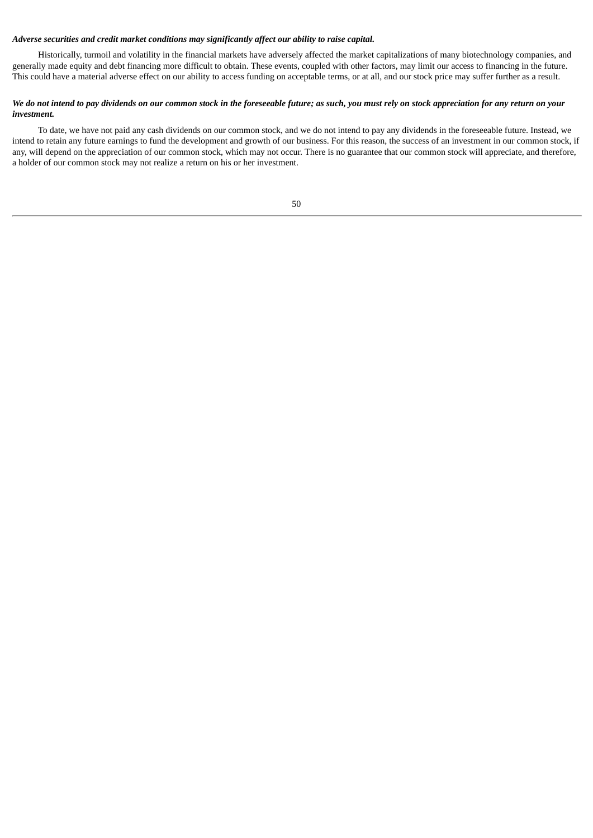#### *Adverse securities and credit market conditions may significantly affect our ability to raise capital.*

Historically, turmoil and volatility in the financial markets have adversely affected the market capitalizations of many biotechnology companies, and generally made equity and debt financing more difficult to obtain. These events, coupled with other factors, may limit our access to financing in the future. This could have a material adverse effect on our ability to access funding on acceptable terms, or at all, and our stock price may suffer further as a result.

#### We do not intend to pay dividends on our common stock in the foreseeable future; as such, you must rely on stock appreciation for any return on your *investment.*

To date, we have not paid any cash dividends on our common stock, and we do not intend to pay any dividends in the foreseeable future. Instead, we intend to retain any future earnings to fund the development and growth of our business. For this reason, the success of an investment in our common stock, if any, will depend on the appreciation of our common stock, which may not occur. There is no guarantee that our common stock will appreciate, and therefore, a holder of our common stock may not realize a return on his or her investment.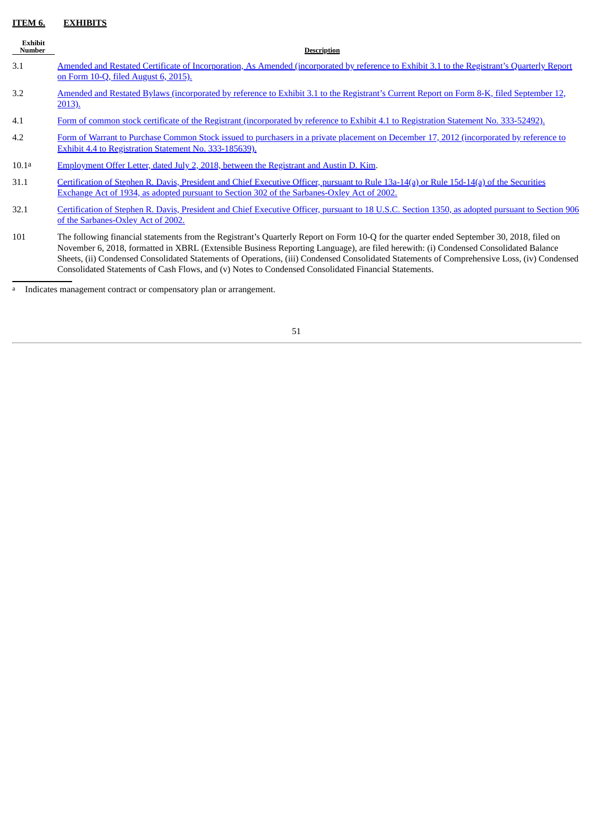# <span id="page-52-0"></span>**ITEM 6. EXHIBITS**

| <b>Exhibit</b><br><b>Number</b> | <b>Description</b>                                                                                                                                                                                                                                                                                                                                                                                                                                                                                                                       |
|---------------------------------|------------------------------------------------------------------------------------------------------------------------------------------------------------------------------------------------------------------------------------------------------------------------------------------------------------------------------------------------------------------------------------------------------------------------------------------------------------------------------------------------------------------------------------------|
| 3.1                             | Amended and Restated Certificate of Incorporation, As Amended (incorporated by reference to Exhibit 3.1 to the Registrant's Quarterly Report<br>on Form 10-Q, filed August 6, 2015).                                                                                                                                                                                                                                                                                                                                                     |
| 3.2                             | Amended and Restated Bylaws (incorporated by reference to Exhibit 3.1 to the Registrant's Current Report on Form 8-K, filed September 12,<br><u>2013).</u>                                                                                                                                                                                                                                                                                                                                                                               |
| 4.1                             | Form of common stock certificate of the Registrant (incorporated by reference to Exhibit 4.1 to Registration Statement No. 333-52492).                                                                                                                                                                                                                                                                                                                                                                                                   |
| 4.2                             | Form of Warrant to Purchase Common Stock issued to purchasers in a private placement on December 17, 2012 (incorporated by reference to<br>Exhibit 4.4 to Registration Statement No. 333-185639).                                                                                                                                                                                                                                                                                                                                        |
| 10.1a                           | Employment Offer Letter, dated July 2, 2018, between the Registrant and Austin D. Kim.                                                                                                                                                                                                                                                                                                                                                                                                                                                   |
| 31.1                            | Certification of Stephen R. Davis, President and Chief Executive Officer, pursuant to Rule 13a-14(a) or Rule 15d-14(a) of the Securities<br>Exchange Act of 1934, as adopted pursuant to Section 302 of the Sarbanes-Oxley Act of 2002.                                                                                                                                                                                                                                                                                                  |
| 32.1                            | Certification of Stephen R. Davis, President and Chief Executive Officer, pursuant to 18 U.S.C. Section 1350, as adopted pursuant to Section 906<br>of the Sarbanes-Oxley Act of 2002.                                                                                                                                                                                                                                                                                                                                                   |
| 101                             | The following financial statements from the Registrant's Quarterly Report on Form 10-Q for the quarter ended September 30, 2018, filed on<br>November 6, 2018, formatted in XBRL (Extensible Business Reporting Language), are filed herewith: (i) Condensed Consolidated Balance<br>Sheets, (ii) Condensed Consolidated Statements of Operations, (iii) Condensed Consolidated Statements of Comprehensive Loss, (iv) Condensed<br>Consolidated Statements of Cash Flows, and (v) Notes to Condensed Consolidated Financial Statements. |

a Indicates management contract or compensatory plan or arrangement.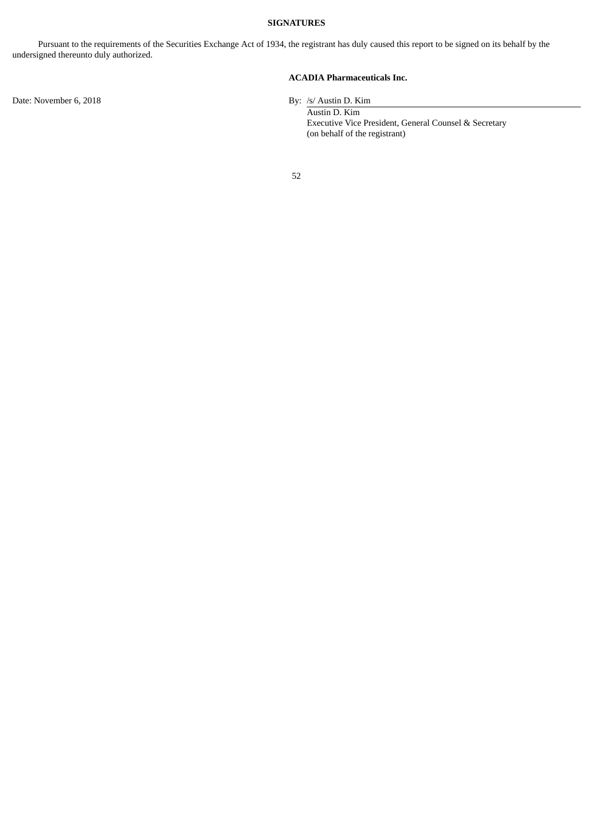#### **SIGNATURES**

<span id="page-53-0"></span>Pursuant to the requirements of the Securities Exchange Act of 1934, the registrant has duly caused this report to be signed on its behalf by the undersigned thereunto duly authorized.

**ACADIA Pharmaceuticals Inc.**

Austin D. Kim Executive Vice President, General Counsel & Secretary (on behalf of the registrant)

52

Date: November 6, 2018 By: /s/ Austin D. Kim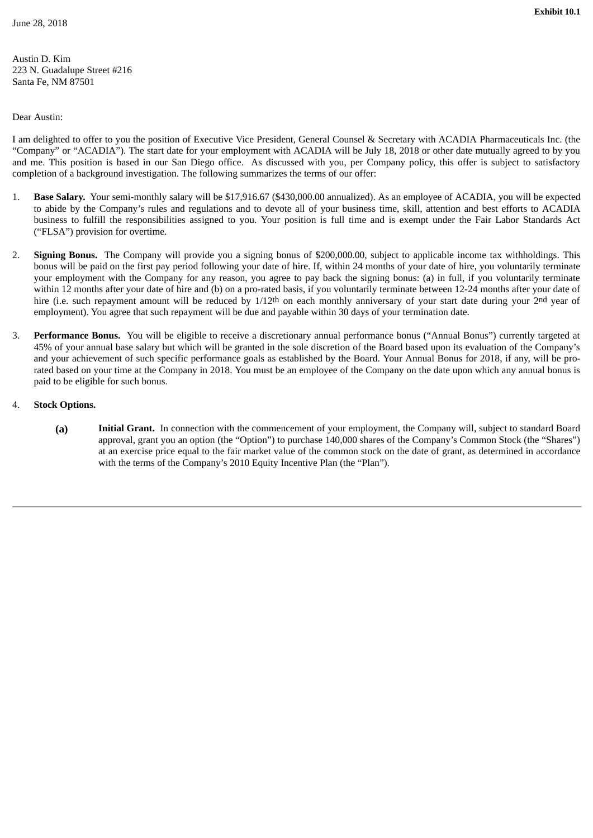<span id="page-54-0"></span>Austin D. Kim 223 N. Guadalupe Street #216 Santa Fe, NM 87501

## Dear Austin:

I am delighted to offer to you the position of Executive Vice President, General Counsel & Secretary with ACADIA Pharmaceuticals Inc. (the "Company" or "ACADIA"). The start date for your employment with ACADIA will be July 18, 2018 or other date mutually agreed to by you and me. This position is based in our San Diego office. As discussed with you, per Company policy, this offer is subject to satisfactory completion of a background investigation. The following summarizes the terms of our offer:

- 1. **Base Salary.** Your semi-monthly salary will be \$17,916.67 (\$430,000.00 annualized). As an employee of ACADIA, you will be expected to abide by the Company's rules and regulations and to devote all of your business time, skill, attention and best efforts to ACADIA business to fulfill the responsibilities assigned to you. Your position is full time and is exempt under the Fair Labor Standards Act ("FLSA") provision for overtime.
- 2. **Signing Bonus.** The Company will provide you a signing bonus of \$200,000.00, subject to applicable income tax withholdings. This bonus will be paid on the first pay period following your date of hire. If, within 24 months of your date of hire, you voluntarily terminate your employment with the Company for any reason, you agree to pay back the signing bonus: (a) in full, if you voluntarily terminate within 12 months after your date of hire and (b) on a pro-rated basis, if you voluntarily terminate between 12-24 months after your date of hire (i.e. such repayment amount will be reduced by 1/12<sup>th</sup> on each monthly anniversary of your start date during your 2<sup>nd</sup> year of employment). You agree that such repayment will be due and payable within 30 days of your termination date.
- 3. **Performance Bonus.** You will be eligible to receive a discretionary annual performance bonus ("Annual Bonus") currently targeted at 45% of your annual base salary but which will be granted in the sole discretion of the Board based upon its evaluation of the Company's and your achievement of such specific performance goals as established by the Board. Your Annual Bonus for 2018, if any, will be prorated based on your time at the Company in 2018. You must be an employee of the Company on the date upon which any annual bonus is paid to be eligible for such bonus.
- 4. **Stock Options.**
	- **(a) Initial Grant.** In connection with the commencement of your employment, the Company will, subject to standard Board approval, grant you an option (the "Option") to purchase 140,000 shares of the Company's Common Stock (the "Shares") at an exercise price equal to the fair market value of the common stock on the date of grant, as determined in accordance with the terms of the Company's 2010 Equity Incentive Plan (the "Plan").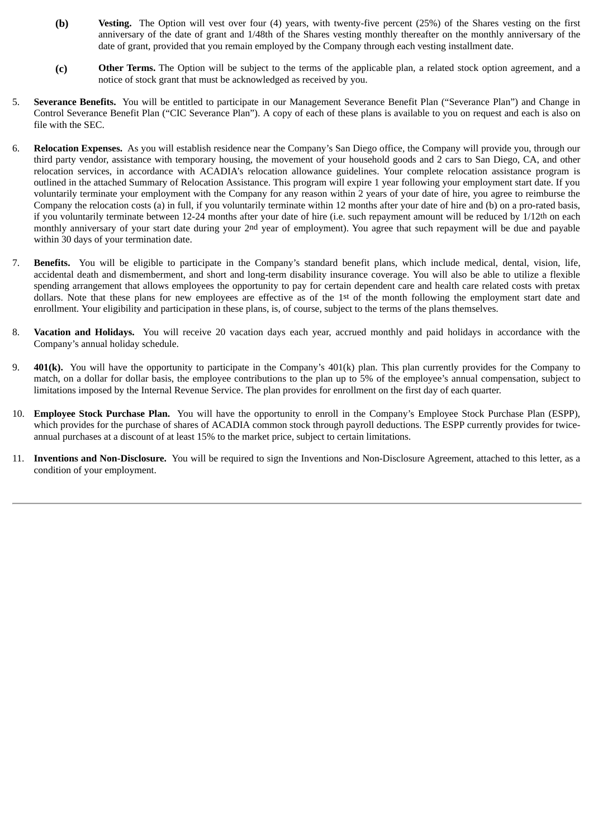- **(b) Vesting.** The Option will vest over four (4) years, with twenty-five percent (25%) of the Shares vesting on the first anniversary of the date of grant and 1/48th of the Shares vesting monthly thereafter on the monthly anniversary of the date of grant, provided that you remain employed by the Company through each vesting installment date.
- **(c) Other Terms.** The Option will be subject to the terms of the applicable plan, a related stock option agreement, and a notice of stock grant that must be acknowledged as received by you.
- 5. **Severance Benefits.** You will be entitled to participate in our Management Severance Benefit Plan ("Severance Plan") and Change in Control Severance Benefit Plan ("CIC Severance Plan"). A copy of each of these plans is available to you on request and each is also on file with the SEC.
- 6. **Relocation Expenses.** As you will establish residence near the Company's San Diego office, the Company will provide you, through our third party vendor, assistance with temporary housing, the movement of your household goods and 2 cars to San Diego, CA, and other relocation services, in accordance with ACADIA's relocation allowance guidelines. Your complete relocation assistance program is outlined in the attached Summary of Relocation Assistance. This program will expire 1 year following your employment start date. If you voluntarily terminate your employment with the Company for any reason within 2 years of your date of hire, you agree to reimburse the Company the relocation costs (a) in full, if you voluntarily terminate within 12 months after your date of hire and (b) on a pro-rated basis, if you voluntarily terminate between 12-24 months after your date of hire (i.e. such repayment amount will be reduced by 1/12th on each monthly anniversary of your start date during your 2nd year of employment). You agree that such repayment will be due and payable within 30 days of your termination date.
- 7. **Benefits.** You will be eligible to participate in the Company's standard benefit plans, which include medical, dental, vision, life, accidental death and dismemberment, and short and long-term disability insurance coverage. You will also be able to utilize a flexible spending arrangement that allows employees the opportunity to pay for certain dependent care and health care related costs with pretax dollars. Note that these plans for new employees are effective as of the 1st of the month following the employment start date and enrollment. Your eligibility and participation in these plans, is, of course, subject to the terms of the plans themselves.
- 8. **Vacation and Holidays.** You will receive 20 vacation days each year, accrued monthly and paid holidays in accordance with the Company's annual holiday schedule.
- 9. **401(k).** You will have the opportunity to participate in the Company's 401(k) plan. This plan currently provides for the Company to match, on a dollar for dollar basis, the employee contributions to the plan up to 5% of the employee's annual compensation, subject to limitations imposed by the Internal Revenue Service. The plan provides for enrollment on the first day of each quarter.
- 10. **Employee Stock Purchase Plan.** You will have the opportunity to enroll in the Company's Employee Stock Purchase Plan (ESPP), which provides for the purchase of shares of ACADIA common stock through payroll deductions. The ESPP currently provides for twiceannual purchases at a discount of at least 15% to the market price, subject to certain limitations.
- 11. **Inventions and Non-Disclosure.** You will be required to sign the Inventions and Non-Disclosure Agreement, attached to this letter, as a condition of your employment.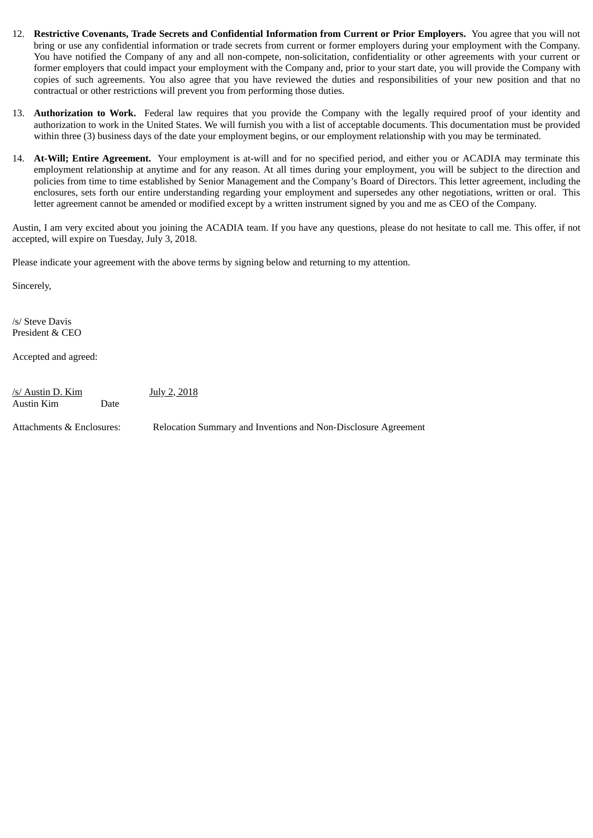- 12. **Restrictive Covenants, Trade Secrets and Confidential Information from Current or Prior Employers.** You agree that you will not bring or use any confidential information or trade secrets from current or former employers during your employment with the Company. You have notified the Company of any and all non-compete, non-solicitation, confidentiality or other agreements with your current or former employers that could impact your employment with the Company and, prior to your start date, you will provide the Company with copies of such agreements. You also agree that you have reviewed the duties and responsibilities of your new position and that no contractual or other restrictions will prevent you from performing those duties.
- 13. **Authorization to Work.** Federal law requires that you provide the Company with the legally required proof of your identity and authorization to work in the United States. We will furnish you with a list of acceptable documents. This documentation must be provided within three (3) business days of the date your employment begins, or our employment relationship with you may be terminated.
- 14. **At-Will; Entire Agreement.** Your employment is at-will and for no specified period, and either you or ACADIA may terminate this employment relationship at anytime and for any reason. At all times during your employment, you will be subject to the direction and policies from time to time established by Senior Management and the Company's Board of Directors. This letter agreement, including the enclosures, sets forth our entire understanding regarding your employment and supersedes any other negotiations, written or oral. This letter agreement cannot be amended or modified except by a written instrument signed by you and me as CEO of the Company.

Austin, I am very excited about you joining the ACADIA team. If you have any questions, please do not hesitate to call me. This offer, if not accepted, will expire on Tuesday, July 3, 2018.

Please indicate your agreement with the above terms by signing below and returning to my attention.

Sincerely,

/s/ Steve Davis President & CEO

Accepted and agreed:

 $/s/$  Austin D. Kim July 2, 2018 Austin Kim Date

Attachments & Enclosures: Relocation Summary and Inventions and Non-Disclosure Agreement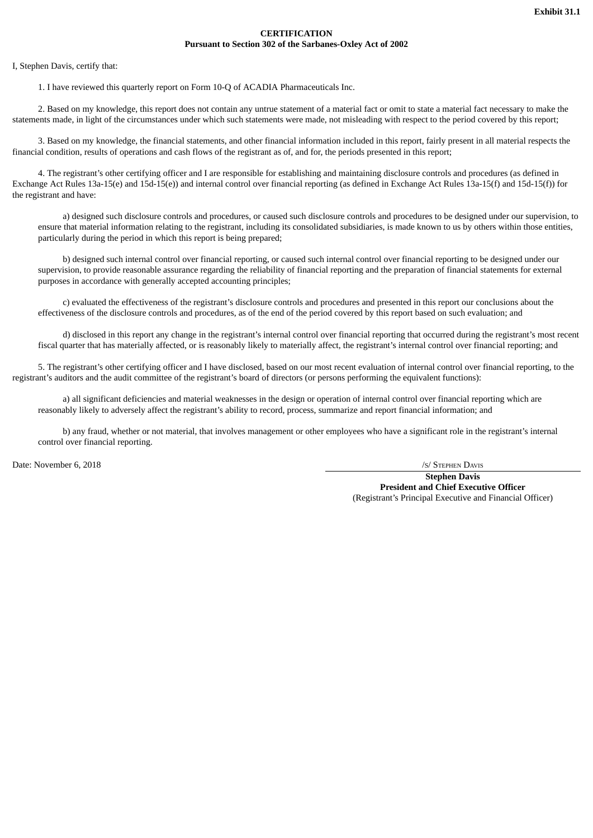#### **CERTIFICATION Pursuant to Section 302 of the Sarbanes-Oxley Act of 2002**

<span id="page-57-0"></span>I, Stephen Davis, certify that:

1. I have reviewed this quarterly report on Form 10-Q of ACADIA Pharmaceuticals Inc.

2. Based on my knowledge, this report does not contain any untrue statement of a material fact or omit to state a material fact necessary to make the statements made, in light of the circumstances under which such statements were made, not misleading with respect to the period covered by this report;

3. Based on my knowledge, the financial statements, and other financial information included in this report, fairly present in all material respects the financial condition, results of operations and cash flows of the registrant as of, and for, the periods presented in this report;

4. The registrant's other certifying officer and I are responsible for establishing and maintaining disclosure controls and procedures (as defined in Exchange Act Rules 13a-15(e) and 15d-15(e)) and internal control over financial reporting (as defined in Exchange Act Rules 13a-15(f) and 15d-15(f)) for the registrant and have:

a) designed such disclosure controls and procedures, or caused such disclosure controls and procedures to be designed under our supervision, to ensure that material information relating to the registrant, including its consolidated subsidiaries, is made known to us by others within those entities, particularly during the period in which this report is being prepared;

b) designed such internal control over financial reporting, or caused such internal control over financial reporting to be designed under our supervision, to provide reasonable assurance regarding the reliability of financial reporting and the preparation of financial statements for external purposes in accordance with generally accepted accounting principles;

c) evaluated the effectiveness of the registrant's disclosure controls and procedures and presented in this report our conclusions about the effectiveness of the disclosure controls and procedures, as of the end of the period covered by this report based on such evaluation; and

d) disclosed in this report any change in the registrant's internal control over financial reporting that occurred during the registrant's most recent fiscal quarter that has materially affected, or is reasonably likely to materially affect, the registrant's internal control over financial reporting; and

5. The registrant's other certifying officer and I have disclosed, based on our most recent evaluation of internal control over financial reporting, to the registrant's auditors and the audit committee of the registrant's board of directors (or persons performing the equivalent functions):

a) all significant deficiencies and material weaknesses in the design or operation of internal control over financial reporting which are reasonably likely to adversely affect the registrant's ability to record, process, summarize and report financial information; and

b) any fraud, whether or not material, that involves management or other employees who have a significant role in the registrant's internal control over financial reporting.

Date: November 6, 2018 /S/ STEPHEN DAVIS

**Stephen Davis President and Chief Executive Officer** (Registrant's Principal Executive and Financial Officer)